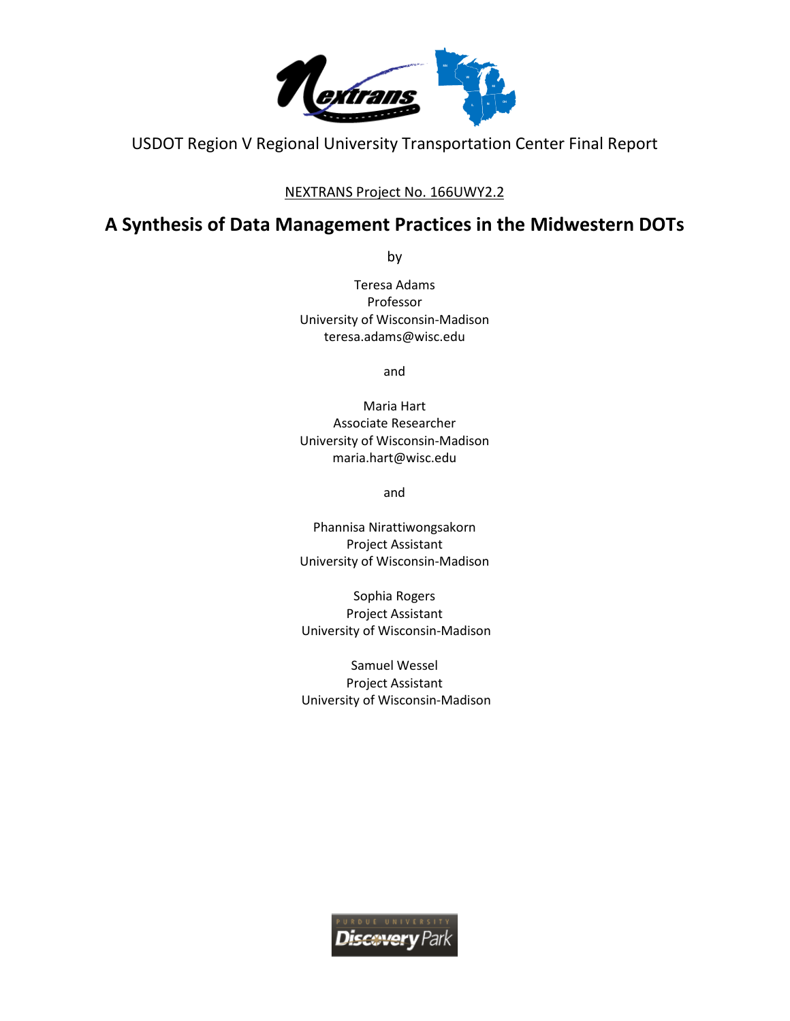

USDOT Region V Regional University Transportation Center Final Report

## NEXTRANS Project No. 166UWY2.2

# **A Synthesis of Data Management Practices in the Midwestern DOTs**

by

Teresa Adams Professor University of Wisconsin-Madison teresa.adams@wisc.edu

and

Maria Hart Associate Researcher University of Wisconsin-Madison maria.hart@wisc.edu

and

Phannisa Nirattiwongsakorn Project Assistant University of Wisconsin-Madison

Sophia Rogers Project Assistant University of Wisconsin-Madison

Samuel Wessel Project Assistant University of Wisconsin-Madison

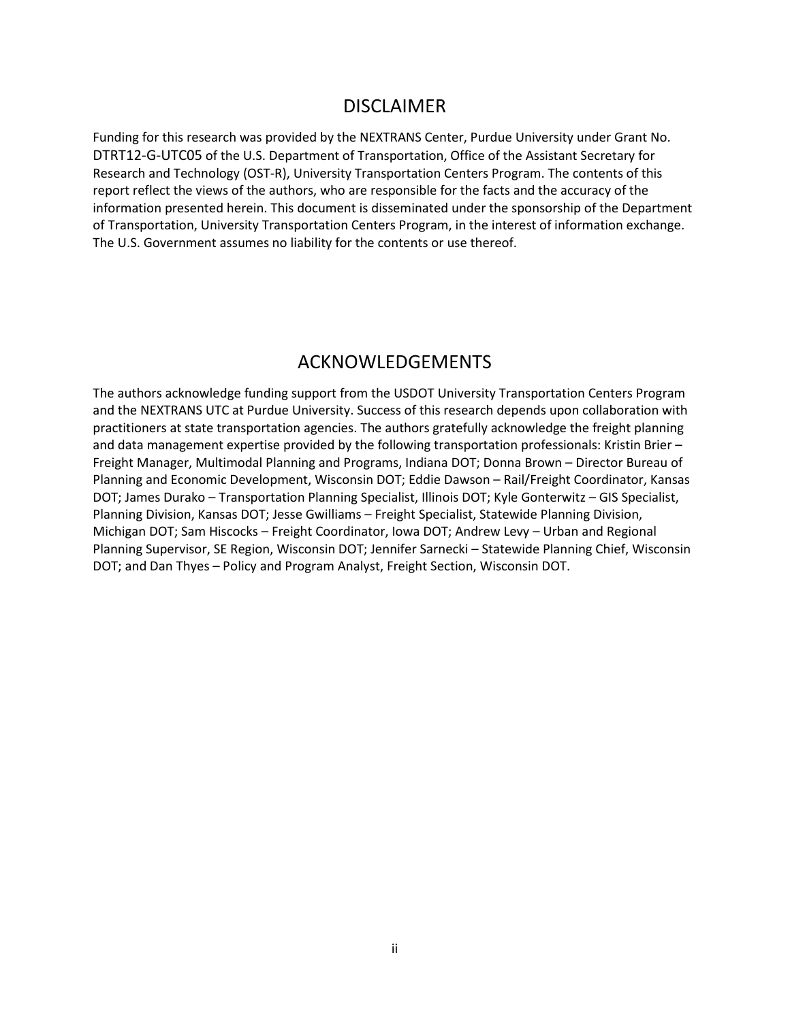# DISCLAIMER

<span id="page-1-0"></span>Funding for this research was provided by the NEXTRANS Center, Purdue University under Grant No. DTRT12-G-UTC05 of the U.S. Department of Transportation, Office of the Assistant Secretary for Research and Technology (OST-R), University Transportation Centers Program. The contents of this report reflect the views of the authors, who are responsible for the facts and the accuracy of the information presented herein. This document is disseminated under the sponsorship of the Department of Transportation, University Transportation Centers Program, in the interest of information exchange. The U.S. Government assumes no liability for the contents or use thereof.

# ACKNOWLEDGEMENTS

<span id="page-1-1"></span>The authors acknowledge funding support from the USDOT University Transportation Centers Program and the NEXTRANS UTC at Purdue University. Success of this research depends upon collaboration with practitioners at state transportation agencies. The authors gratefully acknowledge the freight planning and data management expertise provided by the following transportation professionals: Kristin Brier – Freight Manager, Multimodal Planning and Programs, Indiana DOT; Donna Brown – Director Bureau of Planning and Economic Development, Wisconsin DOT; Eddie Dawson – Rail/Freight Coordinator, Kansas DOT; James Durako – Transportation Planning Specialist, Illinois DOT; Kyle Gonterwitz – GIS Specialist, Planning Division, Kansas DOT; Jesse Gwilliams – Freight Specialist, Statewide Planning Division, Michigan DOT; Sam Hiscocks – Freight Coordinator, Iowa DOT; Andrew Levy – Urban and Regional Planning Supervisor, SE Region, Wisconsin DOT; Jennifer Sarnecki – Statewide Planning Chief, Wisconsin DOT; and Dan Thyes – Policy and Program Analyst, Freight Section, Wisconsin DOT.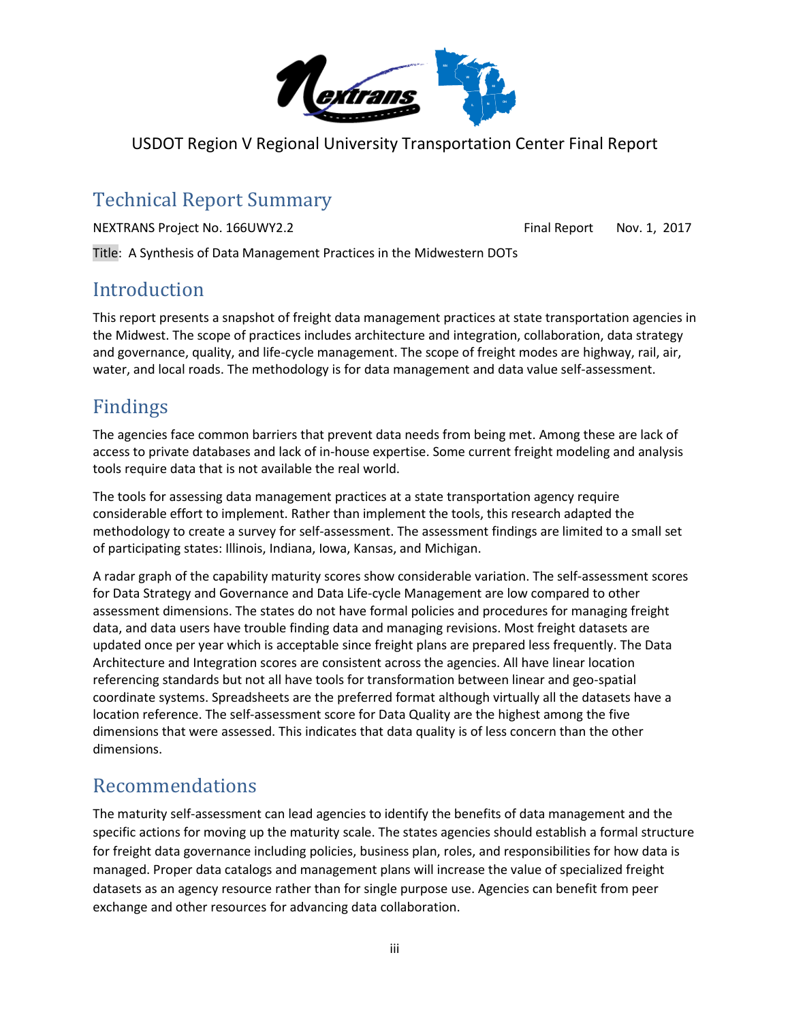

USDOT Region V Regional University Transportation Center Final Report

# <span id="page-2-0"></span>Technical Report Summary

NEXTRANS Project No. 166UWY2.2 Final Report Nov. 1, 2017

Title: A Synthesis of Data Management Practices in the Midwestern DOTs

# <span id="page-2-1"></span>Introduction

This report presents a snapshot of freight data management practices at state transportation agencies in the Midwest. The scope of practices includes architecture and integration, collaboration, data strategy and governance, quality, and life-cycle management. The scope of freight modes are highway, rail, air, water, and local roads. The methodology is for data management and data value self-assessment.

# <span id="page-2-2"></span>Findings

The agencies face common barriers that prevent data needs from being met. Among these are lack of access to private databases and lack of in-house expertise. Some current freight modeling and analysis tools require data that is not available the real world.

The tools for assessing data management practices at a state transportation agency require considerable effort to implement. Rather than implement the tools, this research adapted the methodology to create a survey for self-assessment. The assessment findings are limited to a small set of participating states: Illinois, Indiana, Iowa, Kansas, and Michigan.

A radar graph of the capability maturity scores show considerable variation. The self-assessment scores for Data Strategy and Governance and Data Life-cycle Management are low compared to other assessment dimensions. The states do not have formal policies and procedures for managing freight data, and data users have trouble finding data and managing revisions. Most freight datasets are updated once per year which is acceptable since freight plans are prepared less frequently. The Data Architecture and Integration scores are consistent across the agencies. All have linear location referencing standards but not all have tools for transformation between linear and geo-spatial coordinate systems. Spreadsheets are the preferred format although virtually all the datasets have a location reference. The self-assessment score for Data Quality are the highest among the five dimensions that were assessed. This indicates that data quality is of less concern than the other dimensions.

# <span id="page-2-3"></span>Recommendations

The maturity self-assessment can lead agencies to identify the benefits of data management and the specific actions for moving up the maturity scale. The states agencies should establish a formal structure for freight data governance including policies, business plan, roles, and responsibilities for how data is managed. Proper data catalogs and management plans will increase the value of specialized freight datasets as an agency resource rather than for single purpose use. Agencies can benefit from peer exchange and other resources for advancing data collaboration.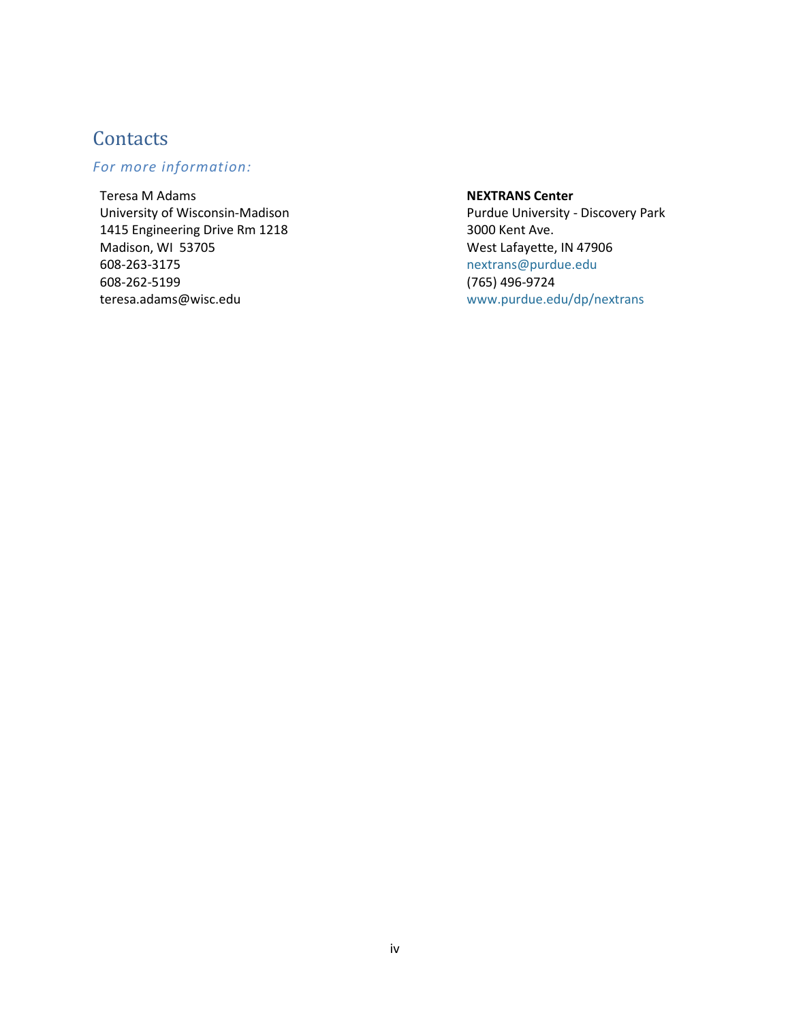# <span id="page-3-0"></span>**Contacts**

# *For more information:*

Teresa M Adams University of Wisconsin-Madison 1415 Engineering Drive Rm 1218 Madison, WI 53705 608-263-3175 608-262-5199 teresa.adams@wisc.edu

#### **NEXTRANS Center**

Purdue University - Discovery Park 3000 Kent Ave. West Lafayette, IN 47906 [nextrans@purdue.edu](mailto:nextrans@purdue.edu) (765) 496-9724 [www.purdue.edu/dp/nextrans](http://www.purdue.edu/dp/nextrans)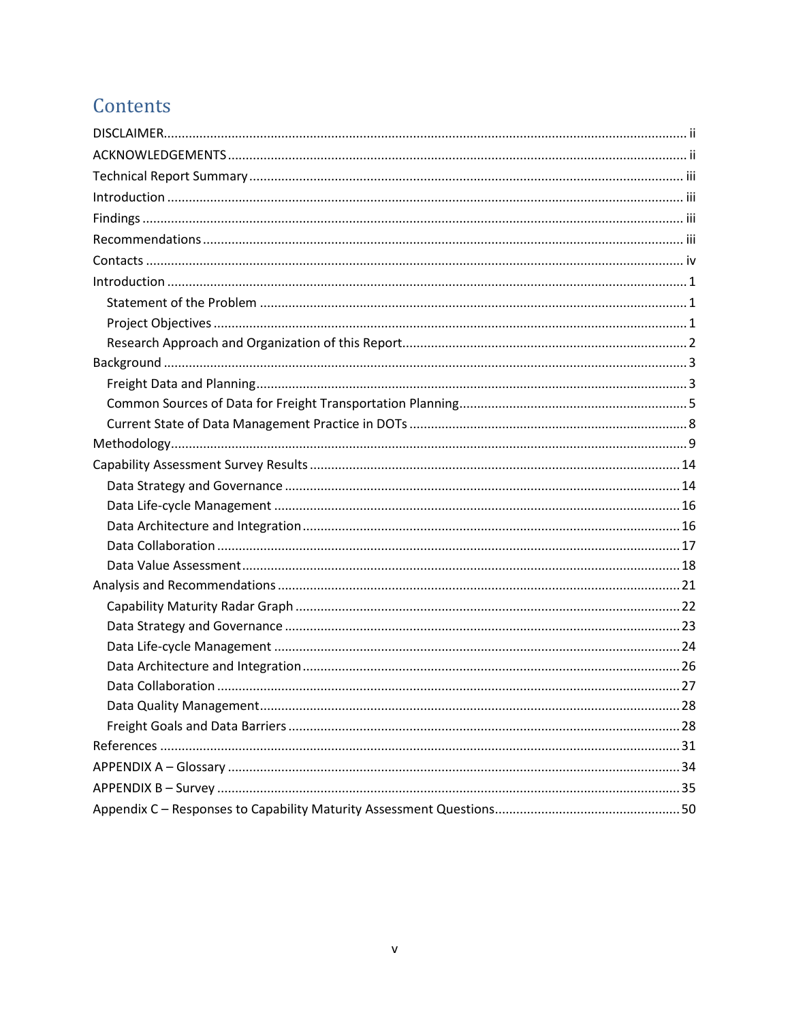# Contents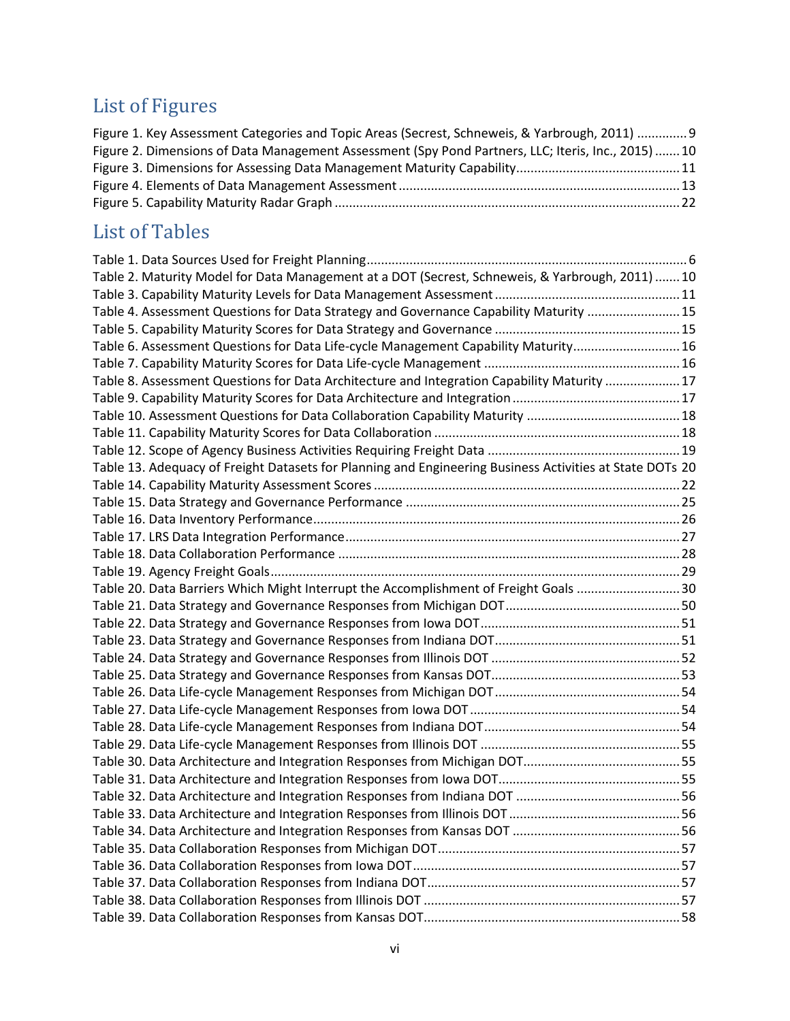# List of Figures

| Figure 1. Key Assessment Categories and Topic Areas (Secrest, Schneweis, & Yarbrough, 2011)  9     |  |
|----------------------------------------------------------------------------------------------------|--|
| Figure 2. Dimensions of Data Management Assessment (Spy Pond Partners, LLC; Iteris, Inc., 2015) 10 |  |
|                                                                                                    |  |
|                                                                                                    |  |
|                                                                                                    |  |

# List of Tables

| Table 2. Maturity Model for Data Management at a DOT (Secrest, Schneweis, & Yarbrough, 2011) 10          |  |
|----------------------------------------------------------------------------------------------------------|--|
|                                                                                                          |  |
| Table 4. Assessment Questions for Data Strategy and Governance Capability Maturity  15                   |  |
|                                                                                                          |  |
| Table 6. Assessment Questions for Data Life-cycle Management Capability Maturity 16                      |  |
|                                                                                                          |  |
| Table 8. Assessment Questions for Data Architecture and Integration Capability Maturity 17               |  |
|                                                                                                          |  |
|                                                                                                          |  |
|                                                                                                          |  |
|                                                                                                          |  |
| Table 13. Adequacy of Freight Datasets for Planning and Engineering Business Activities at State DOTs 20 |  |
|                                                                                                          |  |
|                                                                                                          |  |
|                                                                                                          |  |
|                                                                                                          |  |
|                                                                                                          |  |
|                                                                                                          |  |
| Table 20. Data Barriers Which Might Interrupt the Accomplishment of Freight Goals 30                     |  |
|                                                                                                          |  |
|                                                                                                          |  |
|                                                                                                          |  |
|                                                                                                          |  |
|                                                                                                          |  |
|                                                                                                          |  |
|                                                                                                          |  |
|                                                                                                          |  |
|                                                                                                          |  |
|                                                                                                          |  |
|                                                                                                          |  |
|                                                                                                          |  |
|                                                                                                          |  |
|                                                                                                          |  |
|                                                                                                          |  |
|                                                                                                          |  |
|                                                                                                          |  |
|                                                                                                          |  |
|                                                                                                          |  |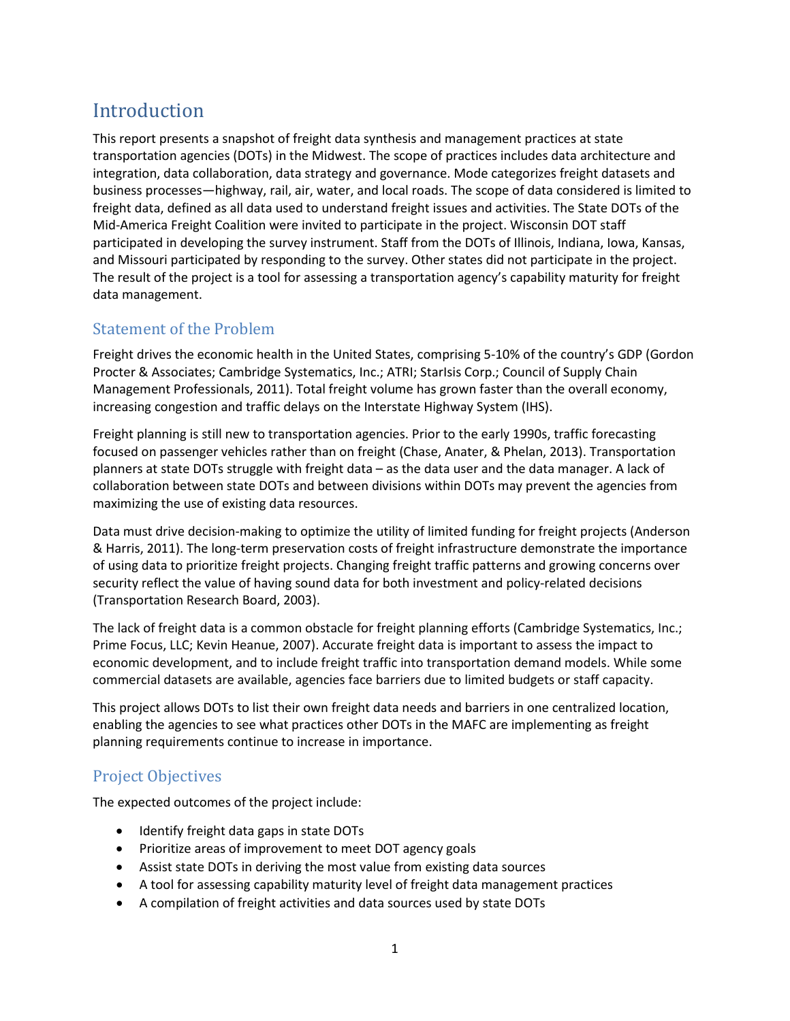# <span id="page-6-0"></span>Introduction

This report presents a snapshot of freight data synthesis and management practices at state transportation agencies (DOTs) in the Midwest. The scope of practices includes data architecture and integration, data collaboration, data strategy and governance. Mode categorizes freight datasets and business processes—highway, rail, air, water, and local roads. The scope of data considered is limited to freight data, defined as all data used to understand freight issues and activities. The State DOTs of the Mid-America Freight Coalition were invited to participate in the project. Wisconsin DOT staff participated in developing the survey instrument. Staff from the DOTs of Illinois, Indiana, Iowa, Kansas, and Missouri participated by responding to the survey. Other states did not participate in the project. The result of the project is a tool for assessing a transportation agency's capability maturity for freight data management.

# <span id="page-6-1"></span>Statement of the Problem

Freight drives the economic health in the United States, comprising 5-10% of the country's GDP (Gordon Procter & Associates; Cambridge Systematics, Inc.; ATRI; StarIsis Corp.; Council of Supply Chain Management Professionals, 2011). Total freight volume has grown faster than the overall economy, increasing congestion and traffic delays on the Interstate Highway System (IHS).

Freight planning is still new to transportation agencies. Prior to the early 1990s, traffic forecasting focused on passenger vehicles rather than on freight (Chase, Anater, & Phelan, 2013). Transportation planners at state DOTs struggle with freight data – as the data user and the data manager. A lack of collaboration between state DOTs and between divisions within DOTs may prevent the agencies from maximizing the use of existing data resources.

Data must drive decision-making to optimize the utility of limited funding for freight projects (Anderson & Harris, 2011). The long-term preservation costs of freight infrastructure demonstrate the importance of using data to prioritize freight projects. Changing freight traffic patterns and growing concerns over security reflect the value of having sound data for both investment and policy-related decisions (Transportation Research Board, 2003).

The lack of freight data is a common obstacle for freight planning efforts (Cambridge Systematics, Inc.; Prime Focus, LLC; Kevin Heanue, 2007). Accurate freight data is important to assess the impact to economic development, and to include freight traffic into transportation demand models. While some commercial datasets are available, agencies face barriers due to limited budgets or staff capacity.

This project allows DOTs to list their own freight data needs and barriers in one centralized location, enabling the agencies to see what practices other DOTs in the MAFC are implementing as freight planning requirements continue to increase in importance.

## <span id="page-6-2"></span>Project Objectives

The expected outcomes of the project include:

- Identify freight data gaps in state DOTs
- Prioritize areas of improvement to meet DOT agency goals
- Assist state DOTs in deriving the most value from existing data sources
- A tool for assessing capability maturity level of freight data management practices
- A compilation of freight activities and data sources used by state DOTs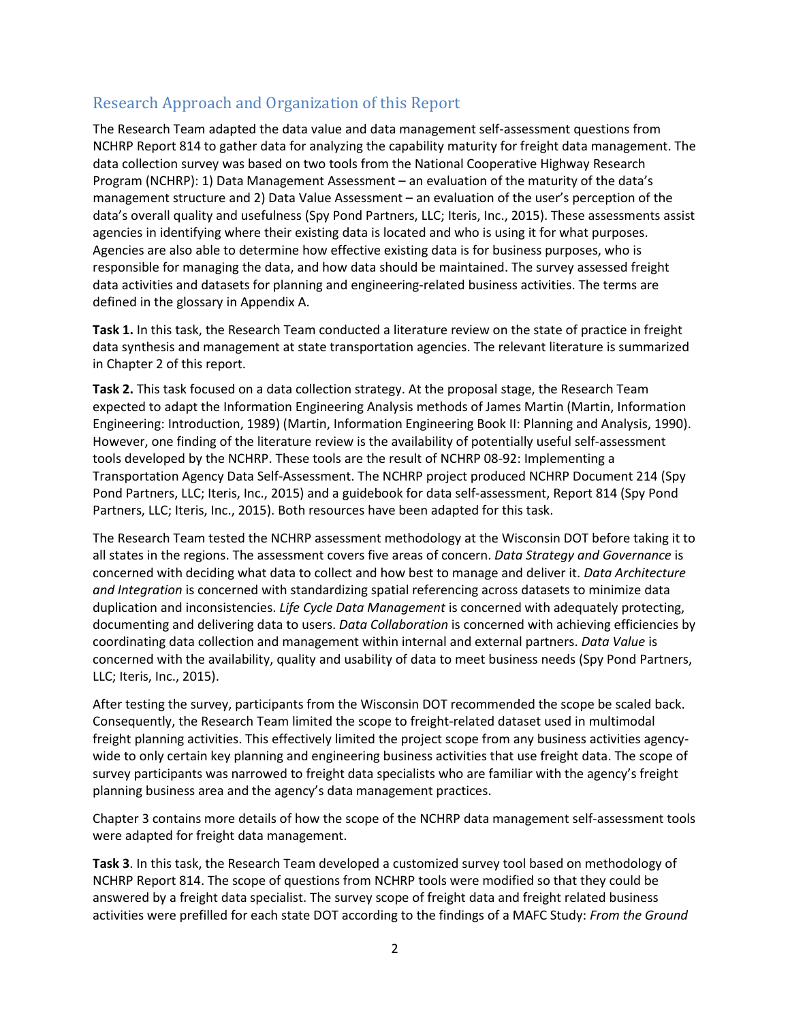# <span id="page-7-0"></span>Research Approach and Organization of this Report

The Research Team adapted the data value and data management self-assessment questions from NCHRP Report 814 to gather data for analyzing the capability maturity for freight data management. The data collection survey was based on two tools from the National Cooperative Highway Research Program (NCHRP): 1) Data Management Assessment – an evaluation of the maturity of the data's management structure and 2) Data Value Assessment – an evaluation of the user's perception of the data's overall quality and usefulness (Spy Pond Partners, LLC; Iteris, Inc., 2015). These assessments assist agencies in identifying where their existing data is located and who is using it for what purposes. Agencies are also able to determine how effective existing data is for business purposes, who is responsible for managing the data, and how data should be maintained. The survey assessed freight data activities and datasets for planning and engineering-related business activities. The terms are defined in the glossary in Appendix A.

**Task 1.** In this task, the Research Team conducted a literature review on the state of practice in freight data synthesis and management at state transportation agencies. The relevant literature is summarized in Chapter 2 of this report.

**Task 2.** This task focused on a data collection strategy. At the proposal stage, the Research Team expected to adapt the Information Engineering Analysis methods of James Martin (Martin, Information Engineering: Introduction, 1989) (Martin, Information Engineering Book II: Planning and Analysis, 1990). However, one finding of the literature review is the availability of potentially useful self-assessment tools developed by the NCHRP. These tools are the result of NCHRP 08-92: Implementing a Transportation Agency Data Self-Assessment. The NCHRP project produced NCHRP Document 214 (Spy Pond Partners, LLC; Iteris, Inc., 2015) and a guidebook for data self-assessment, Report 814 (Spy Pond Partners, LLC; Iteris, Inc., 2015). Both resources have been adapted for this task.

The Research Team tested the NCHRP assessment methodology at the Wisconsin DOT before taking it to all states in the regions. The assessment covers five areas of concern. *Data Strategy and Governance* is concerned with deciding what data to collect and how best to manage and deliver it. *Data Architecture and Integration* is concerned with standardizing spatial referencing across datasets to minimize data duplication and inconsistencies. *Life Cycle Data Management* is concerned with adequately protecting, documenting and delivering data to users. *Data Collaboration* is concerned with achieving efficiencies by coordinating data collection and management within internal and external partners. *Data Value* is concerned with the availability, quality and usability of data to meet business needs (Spy Pond Partners, LLC; Iteris, Inc., 2015).

After testing the survey, participants from the Wisconsin DOT recommended the scope be scaled back. Consequently, the Research Team limited the scope to freight-related dataset used in multimodal freight planning activities. This effectively limited the project scope from any business activities agencywide to only certain key planning and engineering business activities that use freight data. The scope of survey participants was narrowed to freight data specialists who are familiar with the agency's freight planning business area and the agency's data management practices.

Chapter 3 contains more details of how the scope of the NCHRP data management self-assessment tools were adapted for freight data management.

**Task 3**. In this task, the Research Team developed a customized survey tool based on methodology of NCHRP Report 814. The scope of questions from NCHRP tools were modified so that they could be answered by a freight data specialist. The survey scope of freight data and freight related business activities were prefilled for each state DOT according to the findings of a MAFC Study: *From the Ground*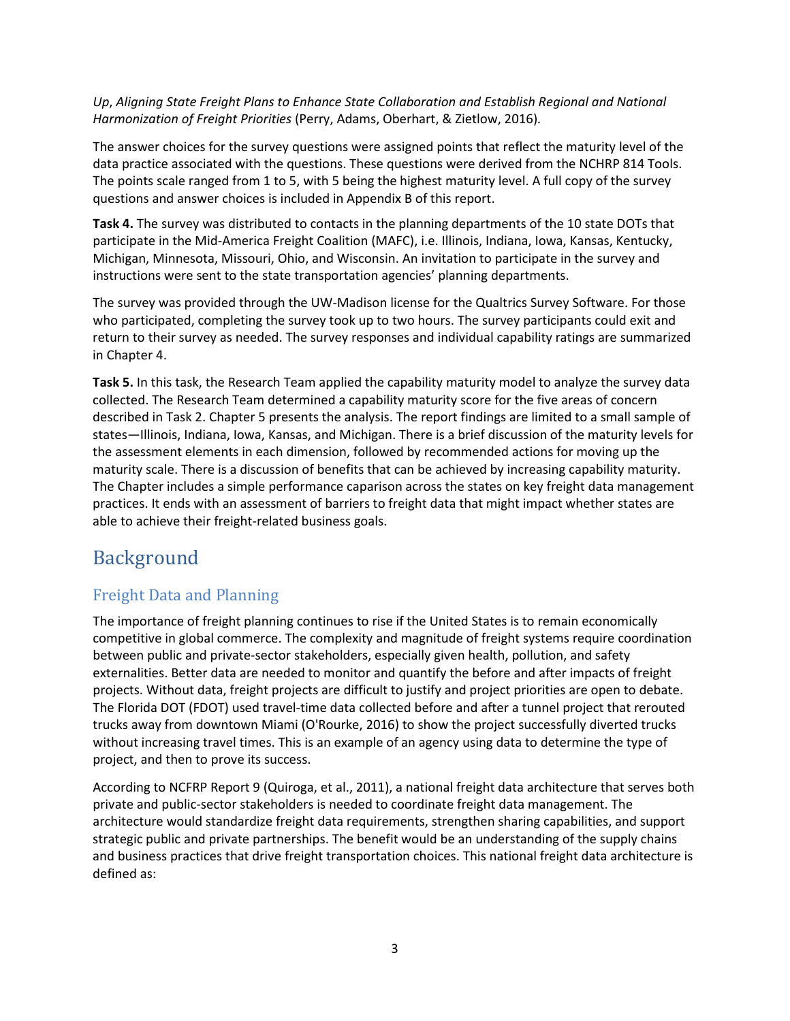#### *Up*, *Aligning State Freight Plans to Enhance State Collaboration and Establish Regional and National Harmonization of Freight Priorities* (Perry, Adams, Oberhart, & Zietlow, 2016)*.*

The answer choices for the survey questions were assigned points that reflect the maturity level of the data practice associated with the questions. These questions were derived from the NCHRP 814 Tools. The points scale ranged from 1 to 5, with 5 being the highest maturity level. A full copy of the survey questions and answer choices is included in Appendix B of this report.

**Task 4.** The survey was distributed to contacts in the planning departments of the 10 state DOTs that participate in the Mid-America Freight Coalition (MAFC), i.e. Illinois, Indiana, Iowa, Kansas, Kentucky, Michigan, Minnesota, Missouri, Ohio, and Wisconsin. An invitation to participate in the survey and instructions were sent to the state transportation agencies' planning departments.

The survey was provided through the UW-Madison license for the Qualtrics Survey Software. For those who participated, completing the survey took up to two hours. The survey participants could exit and return to their survey as needed. The survey responses and individual capability ratings are summarized in Chapter 4.

**Task 5.** In this task, the Research Team applied the capability maturity model to analyze the survey data collected. The Research Team determined a capability maturity score for the five areas of concern described in Task 2. Chapter 5 presents the analysis. The report findings are limited to a small sample of states—Illinois, Indiana, Iowa, Kansas, and Michigan. There is a brief discussion of the maturity levels for the assessment elements in each dimension, followed by recommended actions for moving up the maturity scale. There is a discussion of benefits that can be achieved by increasing capability maturity. The Chapter includes a simple performance caparison across the states on key freight data management practices. It ends with an assessment of barriers to freight data that might impact whether states are able to achieve their freight-related business goals.

# <span id="page-8-0"></span>Background

# <span id="page-8-1"></span>Freight Data and Planning

The importance of freight planning continues to rise if the United States is to remain economically competitive in global commerce. The complexity and magnitude of freight systems require coordination between public and private-sector stakeholders, especially given health, pollution, and safety externalities. Better data are needed to monitor and quantify the before and after impacts of freight projects. Without data, freight projects are difficult to justify and project priorities are open to debate. The Florida DOT (FDOT) used travel-time data collected before and after a tunnel project that rerouted trucks away from downtown Miami (O'Rourke, 2016) to show the project successfully diverted trucks without increasing travel times. This is an example of an agency using data to determine the type of project, and then to prove its success.

According to NCFRP Report 9 (Quiroga, et al., 2011), a national freight data architecture that serves both private and public-sector stakeholders is needed to coordinate freight data management. The architecture would standardize freight data requirements, strengthen sharing capabilities, and support strategic public and private partnerships. The benefit would be an understanding of the supply chains and business practices that drive freight transportation choices. This national freight data architecture is defined as: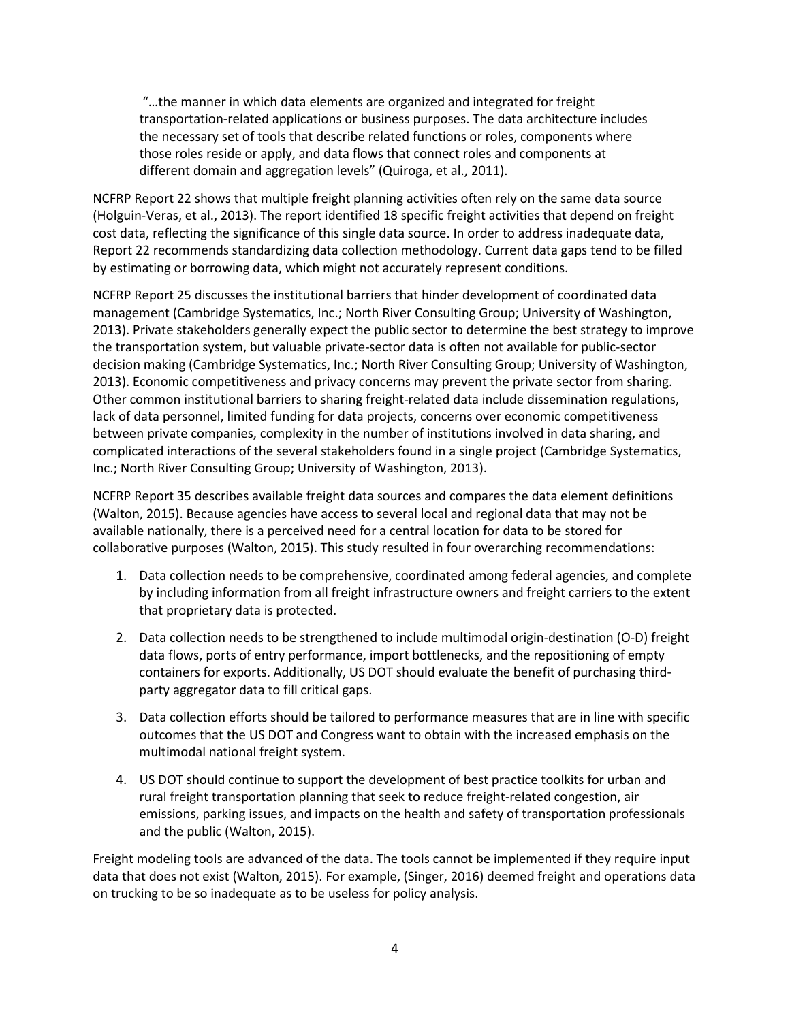"…the manner in which data elements are organized and integrated for freight transportation-related applications or business purposes. The data architecture includes the necessary set of tools that describe related functions or roles, components where those roles reside or apply, and data flows that connect roles and components at different domain and aggregation levels" (Quiroga, et al., 2011).

NCFRP Report 22 shows that multiple freight planning activities often rely on the same data source (Holguin-Veras, et al., 2013). The report identified 18 specific freight activities that depend on freight cost data, reflecting the significance of this single data source. In order to address inadequate data, Report 22 recommends standardizing data collection methodology. Current data gaps tend to be filled by estimating or borrowing data, which might not accurately represent conditions.

NCFRP Report 25 discusses the institutional barriers that hinder development of coordinated data management (Cambridge Systematics, Inc.; North River Consulting Group; University of Washington, 2013). Private stakeholders generally expect the public sector to determine the best strategy to improve the transportation system, but valuable private-sector data is often not available for public-sector decision making (Cambridge Systematics, Inc.; North River Consulting Group; University of Washington, 2013). Economic competitiveness and privacy concerns may prevent the private sector from sharing. Other common institutional barriers to sharing freight-related data include dissemination regulations, lack of data personnel, limited funding for data projects, concerns over economic competitiveness between private companies, complexity in the number of institutions involved in data sharing, and complicated interactions of the several stakeholders found in a single project (Cambridge Systematics, Inc.; North River Consulting Group; University of Washington, 2013).

NCFRP Report 35 describes available freight data sources and compares the data element definitions (Walton, 2015). Because agencies have access to several local and regional data that may not be available nationally, there is a perceived need for a central location for data to be stored for collaborative purposes (Walton, 2015). This study resulted in four overarching recommendations:

- 1. Data collection needs to be comprehensive, coordinated among federal agencies, and complete by including information from all freight infrastructure owners and freight carriers to the extent that proprietary data is protected.
- 2. Data collection needs to be strengthened to include multimodal origin-destination (O-D) freight data flows, ports of entry performance, import bottlenecks, and the repositioning of empty containers for exports. Additionally, US DOT should evaluate the benefit of purchasing thirdparty aggregator data to fill critical gaps.
- 3. Data collection efforts should be tailored to performance measures that are in line with specific outcomes that the US DOT and Congress want to obtain with the increased emphasis on the multimodal national freight system.
- 4. US DOT should continue to support the development of best practice toolkits for urban and rural freight transportation planning that seek to reduce freight-related congestion, air emissions, parking issues, and impacts on the health and safety of transportation professionals and the public (Walton, 2015).

Freight modeling tools are advanced of the data. The tools cannot be implemented if they require input data that does not exist (Walton, 2015). For example, (Singer, 2016) deemed freight and operations data on trucking to be so inadequate as to be useless for policy analysis.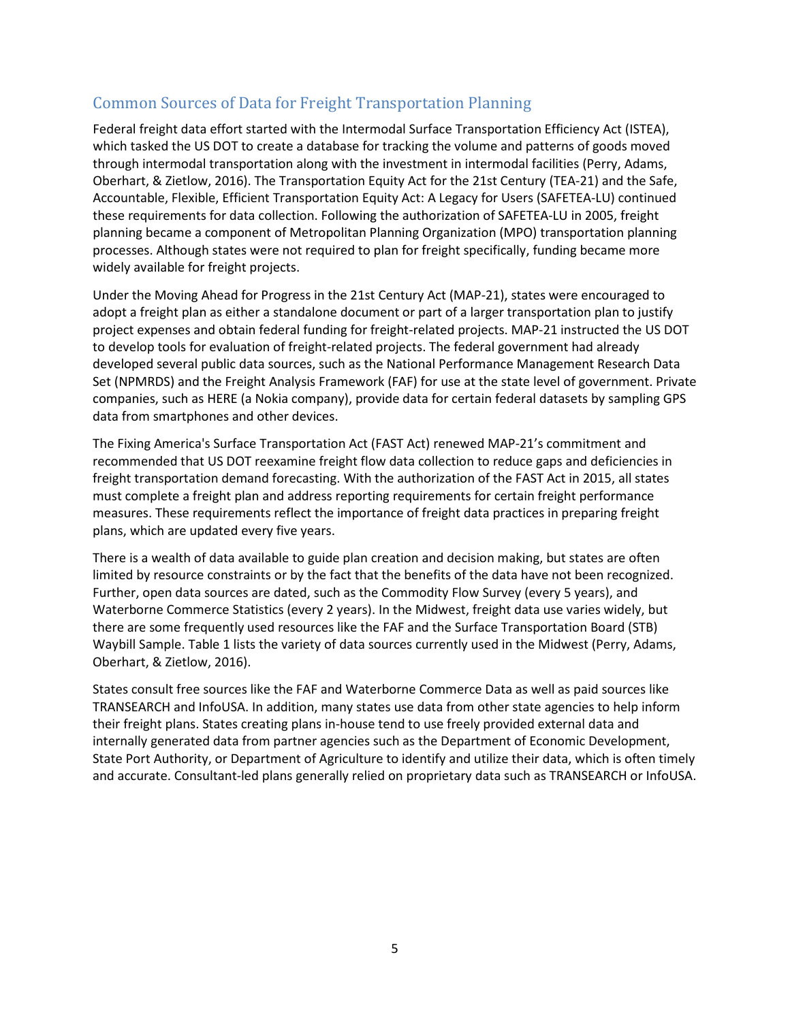## <span id="page-10-0"></span>Common Sources of Data for Freight Transportation Planning

Federal freight data effort started with the Intermodal Surface Transportation Efficiency Act (ISTEA), which tasked the US DOT to create a database for tracking the volume and patterns of goods moved through intermodal transportation along with the investment in intermodal facilities (Perry, Adams, Oberhart, & Zietlow, 2016). The Transportation Equity Act for the 21st Century (TEA-21) and the Safe, Accountable, Flexible, Efficient Transportation Equity Act: A Legacy for Users (SAFETEA-LU) continued these requirements for data collection. Following the authorization of SAFETEA-LU in 2005, freight planning became a component of Metropolitan Planning Organization (MPO) transportation planning processes. Although states were not required to plan for freight specifically, funding became more widely available for freight projects.

Under the Moving Ahead for Progress in the 21st Century Act (MAP-21), states were encouraged to adopt a freight plan as either a standalone document or part of a larger transportation plan to justify project expenses and obtain federal funding for freight-related projects. MAP-21 instructed the US DOT to develop tools for evaluation of freight-related projects. The federal government had already developed several public data sources, such as the National Performance Management Research Data Set (NPMRDS) and the Freight Analysis Framework (FAF) for use at the state level of government. Private companies, such as HERE (a Nokia company), provide data for certain federal datasets by sampling GPS data from smartphones and other devices.

The Fixing America's Surface Transportation Act (FAST Act) renewed MAP-21's commitment and recommended that US DOT reexamine freight flow data collection to reduce gaps and deficiencies in freight transportation demand forecasting. With the authorization of the FAST Act in 2015, all states must complete a freight plan and address reporting requirements for certain freight performance measures. These requirements reflect the importance of freight data practices in preparing freight plans, which are updated every five years.

There is a wealth of data available to guide plan creation and decision making, but states are often limited by resource constraints or by the fact that the benefits of the data have not been recognized. Further, open data sources are dated, such as the Commodity Flow Survey (every 5 years), and Waterborne Commerce Statistics (every 2 years). In the Midwest, freight data use varies widely, but there are some frequently used resources like the FAF and the Surface Transportation Board (STB) Waybill Sample. [Table 1](#page-10-1) lists the variety of data sources currently used in the Midwest (Perry, Adams, Oberhart, & Zietlow, 2016).

<span id="page-10-1"></span>States consult free sources like the FAF and Waterborne Commerce Data as well as paid sources like TRANSEARCH and InfoUSA. In addition, many states use data from other state agencies to help inform their freight plans. States creating plans in-house tend to use freely provided external data and internally generated data from partner agencies such as the Department of Economic Development, State Port Authority, or Department of Agriculture to identify and utilize their data, which is often timely and accurate. Consultant-led plans generally relied on proprietary data such as TRANSEARCH or InfoUSA.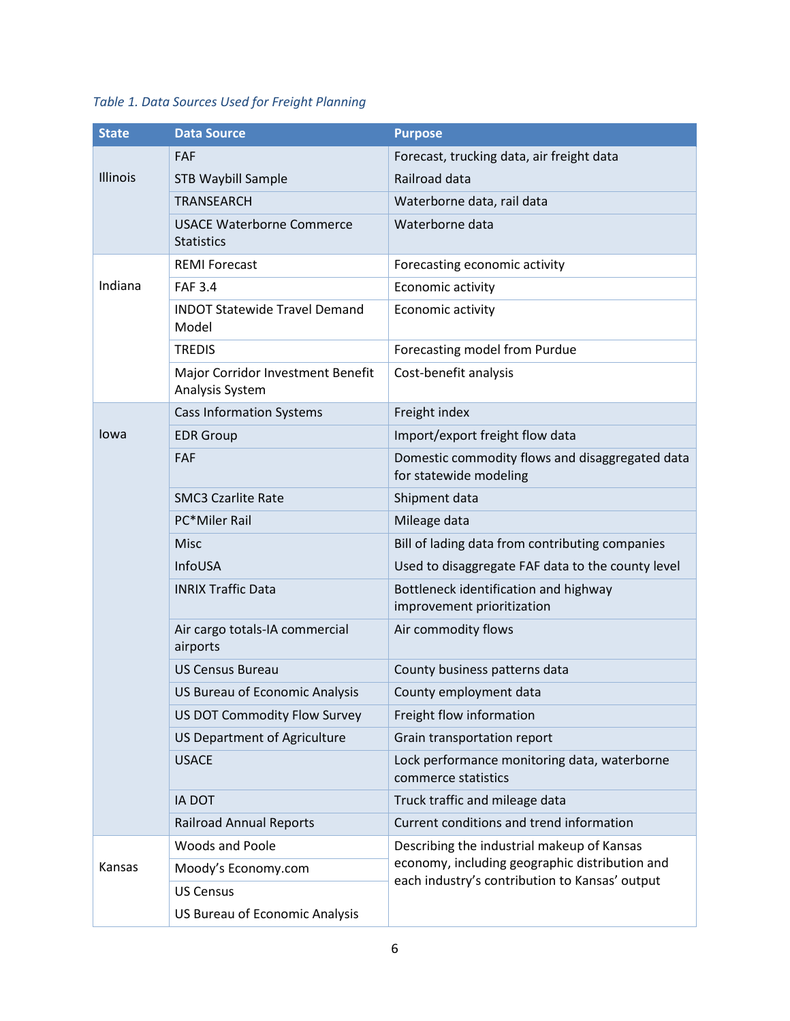# *Table 1. Data Sources Used for Freight Planning*

| <b>State</b> | <b>Data Source</b>                                    | <b>Purpose</b>                                                                                                                                 |  |  |
|--------------|-------------------------------------------------------|------------------------------------------------------------------------------------------------------------------------------------------------|--|--|
|              | FAF                                                   | Forecast, trucking data, air freight data                                                                                                      |  |  |
| Illinois     | <b>STB Waybill Sample</b>                             | Railroad data                                                                                                                                  |  |  |
|              | <b>TRANSEARCH</b>                                     | Waterborne data, rail data                                                                                                                     |  |  |
|              | <b>USACE Waterborne Commerce</b><br><b>Statistics</b> | Waterborne data                                                                                                                                |  |  |
|              | <b>REMI Forecast</b>                                  | Forecasting economic activity                                                                                                                  |  |  |
| Indiana      | <b>FAF 3.4</b>                                        | Economic activity                                                                                                                              |  |  |
|              | <b>INDOT Statewide Travel Demand</b><br>Model         | Economic activity                                                                                                                              |  |  |
|              | <b>TREDIS</b>                                         | Forecasting model from Purdue                                                                                                                  |  |  |
|              | Major Corridor Investment Benefit<br>Analysis System  | Cost-benefit analysis                                                                                                                          |  |  |
|              | <b>Cass Information Systems</b>                       | Freight index                                                                                                                                  |  |  |
| lowa         | <b>EDR Group</b>                                      | Import/export freight flow data                                                                                                                |  |  |
|              | <b>FAF</b>                                            | Domestic commodity flows and disaggregated data<br>for statewide modeling                                                                      |  |  |
|              | <b>SMC3 Czarlite Rate</b>                             | Shipment data                                                                                                                                  |  |  |
|              | PC*Miler Rail                                         | Mileage data                                                                                                                                   |  |  |
|              | Misc                                                  | Bill of lading data from contributing companies                                                                                                |  |  |
|              | InfoUSA                                               | Used to disaggregate FAF data to the county level                                                                                              |  |  |
|              | <b>INRIX Traffic Data</b>                             | Bottleneck identification and highway<br>improvement prioritization                                                                            |  |  |
|              | Air cargo totals-IA commercial<br>airports            | Air commodity flows                                                                                                                            |  |  |
|              | <b>US Census Bureau</b>                               | County business patterns data                                                                                                                  |  |  |
|              | US Bureau of Economic Analysis                        | County employment data                                                                                                                         |  |  |
|              | US DOT Commodity Flow Survey                          | Freight flow information                                                                                                                       |  |  |
|              | US Department of Agriculture                          | Grain transportation report                                                                                                                    |  |  |
|              | <b>USACE</b>                                          | Lock performance monitoring data, waterborne<br>commerce statistics                                                                            |  |  |
|              | <b>IA DOT</b>                                         | Truck traffic and mileage data                                                                                                                 |  |  |
|              | <b>Railroad Annual Reports</b>                        | Current conditions and trend information                                                                                                       |  |  |
|              | <b>Woods and Poole</b>                                | Describing the industrial makeup of Kansas<br>economy, including geographic distribution and<br>each industry's contribution to Kansas' output |  |  |
| Kansas       | Moody's Economy.com                                   |                                                                                                                                                |  |  |
|              | <b>US Census</b>                                      |                                                                                                                                                |  |  |
|              | US Bureau of Economic Analysis                        |                                                                                                                                                |  |  |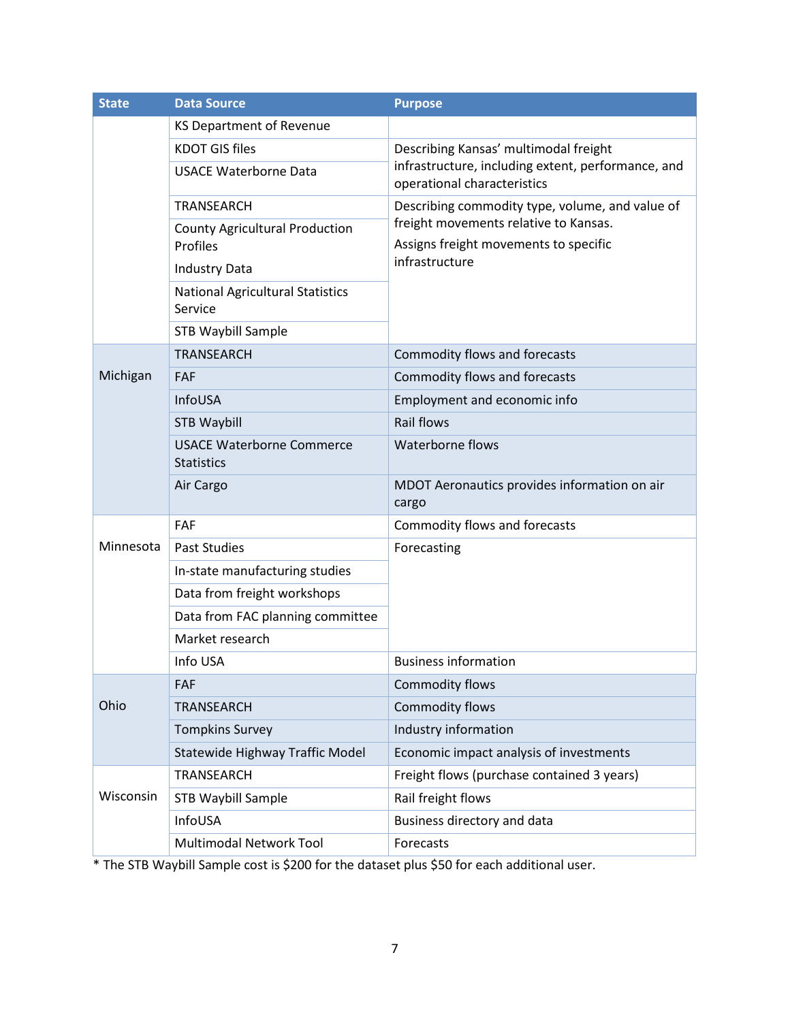| <b>State</b> | <b>Data Source</b>                                    | <b>Purpose</b>                                                                    |  |  |  |  |
|--------------|-------------------------------------------------------|-----------------------------------------------------------------------------------|--|--|--|--|
|              | KS Department of Revenue                              |                                                                                   |  |  |  |  |
|              | <b>KDOT GIS files</b>                                 | Describing Kansas' multimodal freight                                             |  |  |  |  |
|              | <b>USACE Waterborne Data</b>                          | infrastructure, including extent, performance, and<br>operational characteristics |  |  |  |  |
|              | <b>TRANSEARCH</b>                                     | Describing commodity type, volume, and value of                                   |  |  |  |  |
|              | <b>County Agricultural Production</b><br>Profiles     | freight movements relative to Kansas.<br>Assigns freight movements to specific    |  |  |  |  |
|              | <b>Industry Data</b>                                  | infrastructure                                                                    |  |  |  |  |
|              | <b>National Agricultural Statistics</b><br>Service    |                                                                                   |  |  |  |  |
|              | STB Waybill Sample                                    |                                                                                   |  |  |  |  |
|              | <b>TRANSEARCH</b>                                     | Commodity flows and forecasts                                                     |  |  |  |  |
| Michigan     | <b>FAF</b>                                            | Commodity flows and forecasts                                                     |  |  |  |  |
|              | InfoUSA                                               | Employment and economic info                                                      |  |  |  |  |
|              | <b>STB Waybill</b>                                    | <b>Rail flows</b>                                                                 |  |  |  |  |
|              | <b>USACE Waterborne Commerce</b><br><b>Statistics</b> | Waterborne flows                                                                  |  |  |  |  |
|              | Air Cargo                                             | MDOT Aeronautics provides information on air<br>cargo                             |  |  |  |  |
|              | FAF                                                   | Commodity flows and forecasts                                                     |  |  |  |  |
| Minnesota    | <b>Past Studies</b>                                   | Forecasting                                                                       |  |  |  |  |
|              | In-state manufacturing studies                        |                                                                                   |  |  |  |  |
|              | Data from freight workshops                           |                                                                                   |  |  |  |  |
|              | Data from FAC planning committee                      |                                                                                   |  |  |  |  |
|              | Market research                                       |                                                                                   |  |  |  |  |
|              | Info USA                                              | <b>Business information</b>                                                       |  |  |  |  |
|              | FAF                                                   | Commodity flows                                                                   |  |  |  |  |
| Ohio         | <b>TRANSEARCH</b>                                     | <b>Commodity flows</b>                                                            |  |  |  |  |
|              | <b>Tompkins Survey</b>                                | Industry information                                                              |  |  |  |  |
|              | Statewide Highway Traffic Model                       | Economic impact analysis of investments                                           |  |  |  |  |
|              | TRANSEARCH                                            | Freight flows (purchase contained 3 years)                                        |  |  |  |  |
| Wisconsin    | STB Waybill Sample                                    | Rail freight flows                                                                |  |  |  |  |
|              | InfoUSA                                               | Business directory and data                                                       |  |  |  |  |
|              | Multimodal Network Tool                               | Forecasts                                                                         |  |  |  |  |

\* The STB Waybill Sample cost is \$200 for the dataset plus \$50 for each additional user.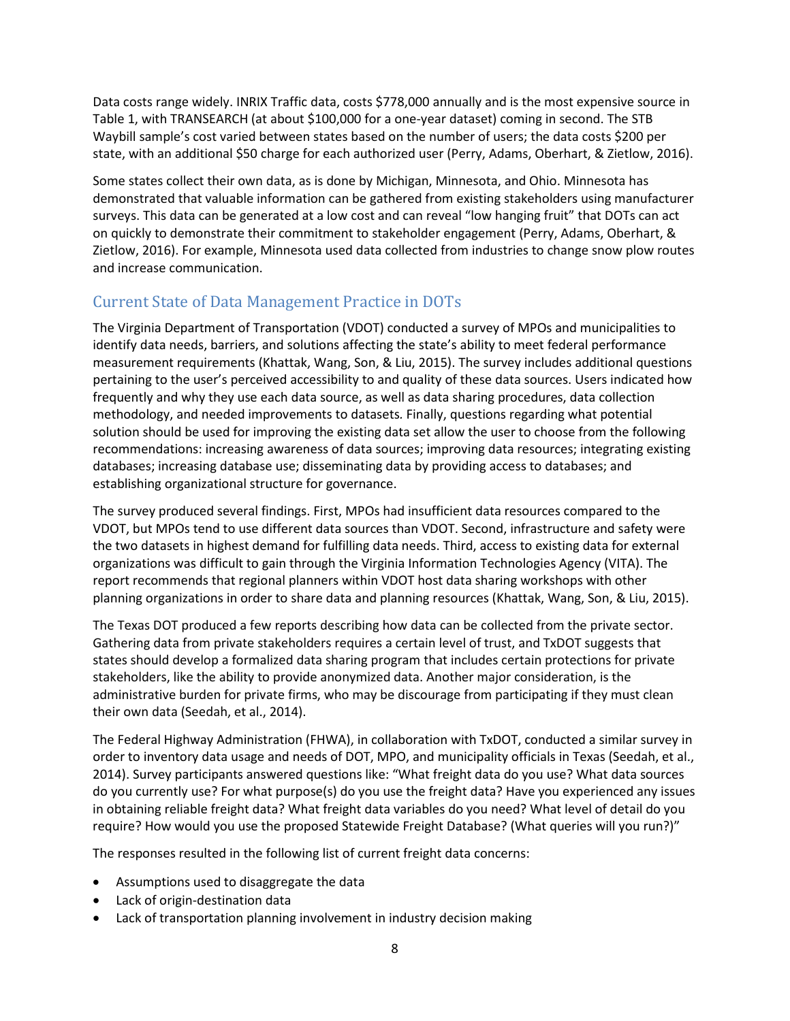Data costs range widely. INRIX Traffic data, costs \$778,000 annually and is the most expensive source in [Table 1,](#page-10-1) with TRANSEARCH (at about \$100,000 for a one-year dataset) coming in second. The STB Waybill sample's cost varied between states based on the number of users; the data costs \$200 per state, with an additional \$50 charge for each authorized user (Perry, Adams, Oberhart, & Zietlow, 2016).

Some states collect their own data, as is done by Michigan, Minnesota, and Ohio. Minnesota has demonstrated that valuable information can be gathered from existing stakeholders using manufacturer surveys. This data can be generated at a low cost and can reveal "low hanging fruit" that DOTs can act on quickly to demonstrate their commitment to stakeholder engagement (Perry, Adams, Oberhart, & Zietlow, 2016). For example, Minnesota used data collected from industries to change snow plow routes and increase communication.

# <span id="page-13-0"></span>Current State of Data Management Practice in DOTs

The Virginia Department of Transportation (VDOT) conducted a survey of MPOs and municipalities to identify data needs, barriers, and solutions affecting the state's ability to meet federal performance measurement requirements (Khattak, Wang, Son, & Liu, 2015). The survey includes additional questions pertaining to the user's perceived accessibility to and quality of these data sources. Users indicated how frequently and why they use each data source, as well as data sharing procedures, data collection methodology, and needed improvements to datasets*.* Finally, questions regarding what potential solution should be used for improving the existing data set allow the user to choose from the following recommendations: increasing awareness of data sources; improving data resources; integrating existing databases; increasing database use; disseminating data by providing access to databases; and establishing organizational structure for governance.

The survey produced several findings. First, MPOs had insufficient data resources compared to the VDOT, but MPOs tend to use different data sources than VDOT. Second, infrastructure and safety were the two datasets in highest demand for fulfilling data needs. Third, access to existing data for external organizations was difficult to gain through the Virginia Information Technologies Agency (VITA). The report recommends that regional planners within VDOT host data sharing workshops with other planning organizations in order to share data and planning resources (Khattak, Wang, Son, & Liu, 2015).

The Texas DOT produced a few reports describing how data can be collected from the private sector. Gathering data from private stakeholders requires a certain level of trust, and TxDOT suggests that states should develop a formalized data sharing program that includes certain protections for private stakeholders, like the ability to provide anonymized data. Another major consideration, is the administrative burden for private firms, who may be discourage from participating if they must clean their own data (Seedah, et al., 2014).

The Federal Highway Administration (FHWA), in collaboration with TxDOT, conducted a similar survey in order to inventory data usage and needs of DOT, MPO, and municipality officials in Texas (Seedah, et al., 2014). Survey participants answered questions like: "What freight data do you use? What data sources do you currently use? For what purpose(s) do you use the freight data? Have you experienced any issues in obtaining reliable freight data? What freight data variables do you need? What level of detail do you require? How would you use the proposed Statewide Freight Database? (What queries will you run?)"

The responses resulted in the following list of current freight data concerns:

- Assumptions used to disaggregate the data
- Lack of origin-destination data
- Lack of transportation planning involvement in industry decision making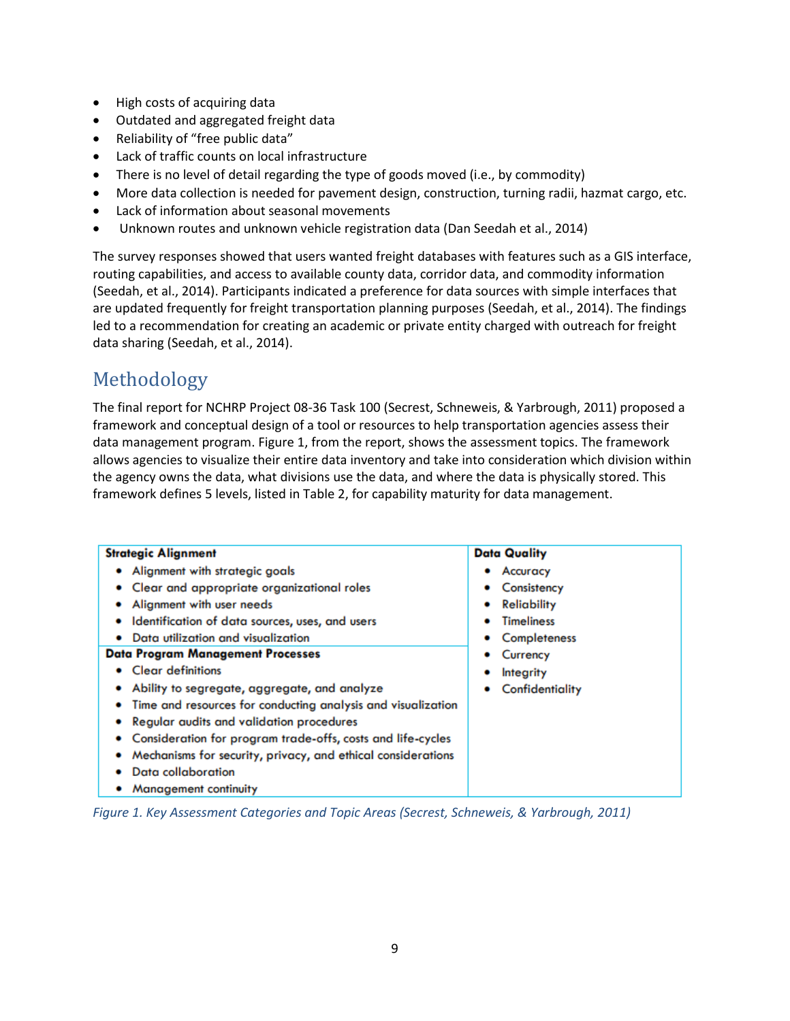- High costs of acquiring data
- Outdated and aggregated freight data
- Reliability of "free public data"
- Lack of traffic counts on local infrastructure
- There is no level of detail regarding the type of goods moved (i.e., by commodity)
- More data collection is needed for pavement design, construction, turning radii, hazmat cargo, etc.
- Lack of information about seasonal movements
- Unknown routes and unknown vehicle registration data (Dan Seedah et al., 2014)

The survey responses showed that users wanted freight databases with features such as a GIS interface, routing capabilities, and access to available county data, corridor data, and commodity information (Seedah, et al., 2014). Participants indicated a preference for data sources with simple interfaces that are updated frequently for freight transportation planning purposes (Seedah, et al., 2014). The findings led to a recommendation for creating an academic or private entity charged with outreach for freight data sharing (Seedah, et al., 2014).

# <span id="page-14-0"></span>Methodology

The final report for NCHRP Project 08-36 Task 100 (Secrest, Schneweis, & Yarbrough, 2011) proposed a framework and conceptual design of a tool or resources to help transportation agencies assess their data management program. [Figure 1,](#page-14-1) from the report, shows the assessment topics. The framework allows agencies to visualize their entire data inventory and take into consideration which division within the agency owns the data, what divisions use the data, and where the data is physically stored. This framework defines 5 levels, listed in [Table 2,](#page-14-1) for capability maturity for data management.

| <b>Strategic Alignment</b>                                       | <b>Data Quality</b> |
|------------------------------------------------------------------|---------------------|
| Alignment with strategic goals                                   | Accuracy            |
| Clear and appropriate organizational roles                       | Consistency         |
| Alignment with user needs                                        | <b>Reliability</b>  |
| Identification of data sources, uses, and users                  | <b>Timeliness</b>   |
| Data utilization and visualization                               | Completeness        |
| <b>Data Program Management Processes</b>                         | Currency<br>٠       |
| <b>Clear definitions</b>                                         | Integrity           |
| Ability to segregate, aggregate, and analyze                     | Confidentiality     |
| Time and resources for conducting analysis and visualization     |                     |
| Regular audits and validation procedures                         |                     |
| Consideration for program trade-offs, costs and life-cycles<br>٠ |                     |
| Mechanisms for security, privacy, and ethical considerations     |                     |
| Data collaboration                                               |                     |
| Management continuity                                            |                     |

<span id="page-14-1"></span>*Figure 1. Key Assessment Categories and Topic Areas (Secrest, Schneweis, & Yarbrough, 2011)*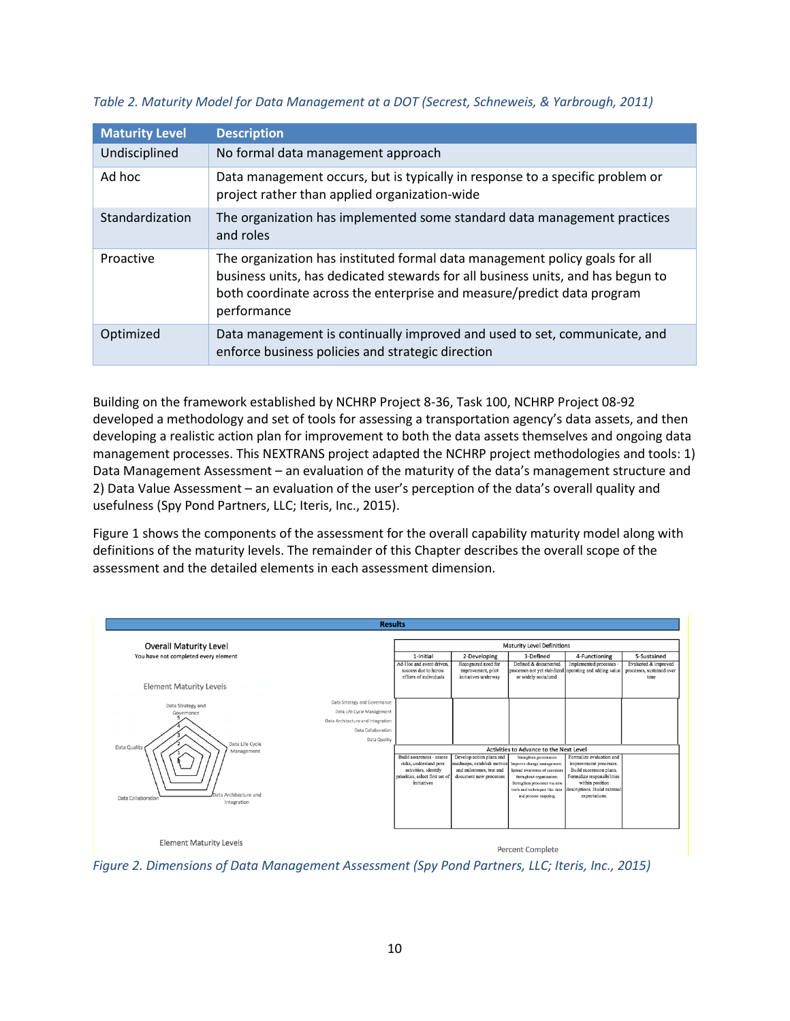| <b>Maturity Level</b> | <b>Description</b>                                                                                                                                                                                                                                      |
|-----------------------|---------------------------------------------------------------------------------------------------------------------------------------------------------------------------------------------------------------------------------------------------------|
| Undisciplined         | No formal data management approach                                                                                                                                                                                                                      |
| Ad hoc                | Data management occurs, but is typically in response to a specific problem or<br>project rather than applied organization-wide                                                                                                                          |
| Standardization       | The organization has implemented some standard data management practices<br>and roles                                                                                                                                                                   |
| Proactive             | The organization has instituted formal data management policy goals for all<br>business units, has dedicated stewards for all business units, and has begun to<br>both coordinate across the enterprise and measure/predict data program<br>performance |
| Optimized             | Data management is continually improved and used to set, communicate, and<br>enforce business policies and strategic direction                                                                                                                          |

<span id="page-15-1"></span>*Table 2. Maturity Model for Data Management at a DOT (Secrest, Schneweis, & Yarbrough, 2011)*

Building on the framework established by NCHRP Project 8-36, Task 100, NCHRP Project 08-92 developed a methodology and set of tools for assessing a transportation agency's data assets, and then developing a realistic action plan for improvement to both the data assets themselves and ongoing data management processes. This NEXTRANS project adapted the NCHRP project methodologies and tools: 1) Data Management Assessment – an evaluation of the maturity of the data's management structure and 2) Data Value Assessment – an evaluation of the user's perception of the data's overall quality and usefulness (Spy Pond Partners, LLC; Iteris, Inc., 2015).

[Figure 1](#page-14-1) shows the components of the assessment for the overall capability maturity model along with definitions of the maturity levels. The remainder of this Chapter describes the overall scope of the assessment and the detailed elements in each assessment dimension.



<span id="page-15-0"></span>*Figure 2. Dimensions of Data Management Assessment (Spy Pond Partners, LLC; Iteris, Inc., 2015)*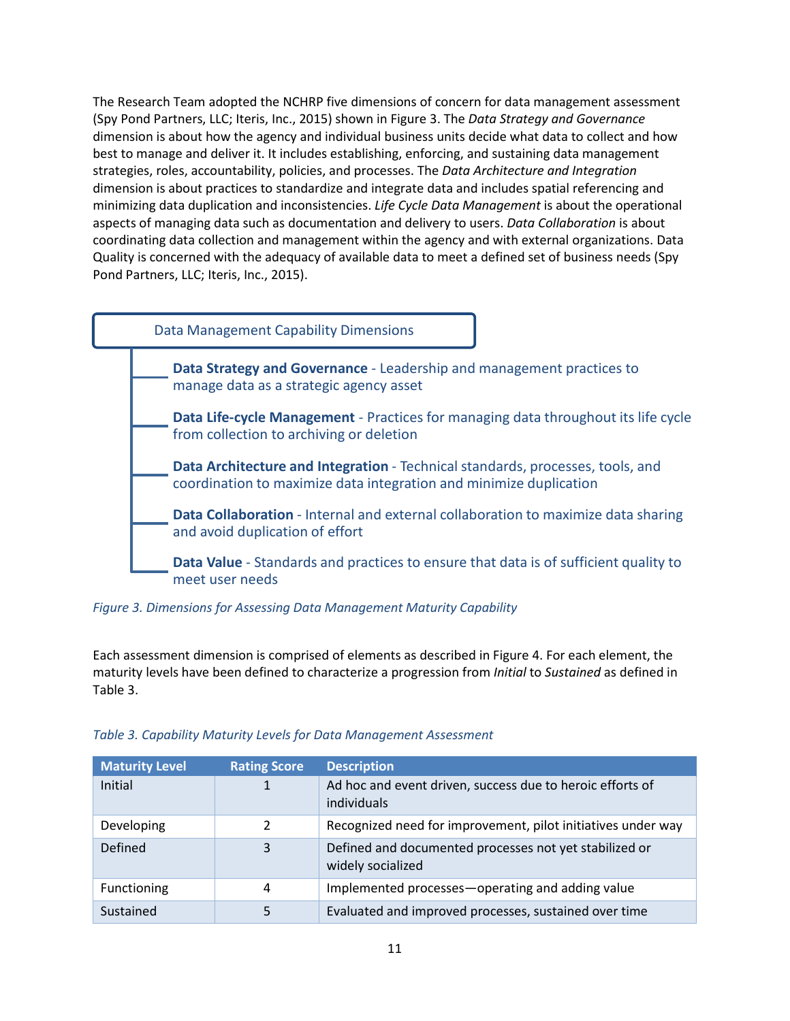The Research Team adopted the NCHRP five dimensions of concern for data management assessment (Spy Pond Partners, LLC; Iteris, Inc., 2015) shown in Figure 3. The *Data Strategy and Governance* dimension is about how the agency and individual business units decide what data to collect and how best to manage and deliver it. It includes establishing, enforcing, and sustaining data management strategies, roles, accountability, policies, and processes. The *Data Architecture and Integration* dimension is about practices to standardize and integrate data and includes spatial referencing and minimizing data duplication and inconsistencies. *Life Cycle Data Management* is about the operational aspects of managing data such as documentation and delivery to users. *Data Collaboration* is about coordinating data collection and management within the agency and with external organizations. Data Quality is concerned with the adequacy of available data to meet a defined set of business needs (Spy Pond Partners, LLC; Iteris, Inc., 2015).



#### *Figure 3. Dimensions for Assessing Data Management Maturity Capability*

Each assessment dimension is comprised of elements as described in [Figure 4.](#page-18-0) For each element, the maturity levels have been defined to characterize a progression from *Initial* to *Sustained* as defined in [Table 3.](#page-16-0)

| <b>Maturity Level</b> | <b>Rating Score</b> | <b>Description</b>                                                          |
|-----------------------|---------------------|-----------------------------------------------------------------------------|
| Initial               |                     | Ad hoc and event driven, success due to heroic efforts of<br>individuals    |
| Developing            | Ͻ.                  | Recognized need for improvement, pilot initiatives under way                |
| Defined               | 3                   | Defined and documented processes not yet stabilized or<br>widely socialized |
| Functioning           | 4                   | Implemented processes-operating and adding value                            |
| Sustained             |                     | Evaluated and improved processes, sustained over time                       |

#### <span id="page-16-0"></span>*Table 3. Capability Maturity Levels for Data Management Assessment*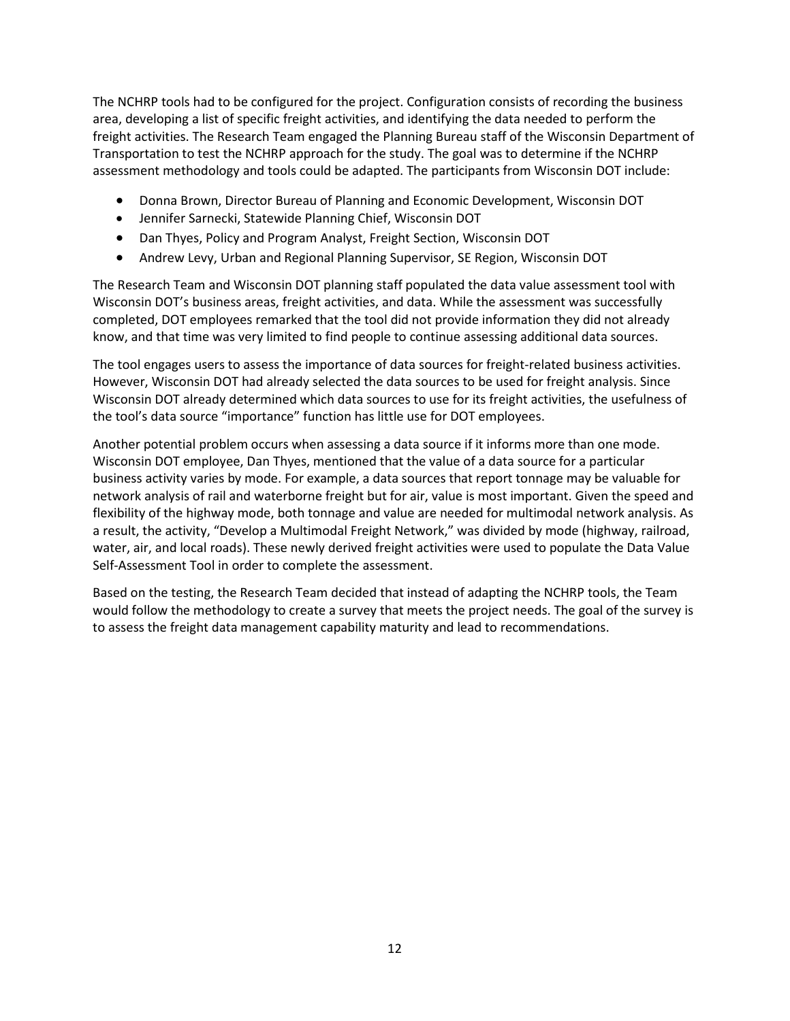The NCHRP tools had to be configured for the project. Configuration consists of recording the business area, developing a list of specific freight activities, and identifying the data needed to perform the freight activities. The Research Team engaged the Planning Bureau staff of the Wisconsin Department of Transportation to test the NCHRP approach for the study. The goal was to determine if the NCHRP assessment methodology and tools could be adapted. The participants from Wisconsin DOT include:

- Donna Brown, Director Bureau of Planning and Economic Development, Wisconsin DOT
- Jennifer Sarnecki, Statewide Planning Chief, Wisconsin DOT
- Dan Thyes, Policy and Program Analyst, Freight Section, Wisconsin DOT
- Andrew Levy, Urban and Regional Planning Supervisor, SE Region, Wisconsin DOT

The Research Team and Wisconsin DOT planning staff populated the data value assessment tool with Wisconsin DOT's business areas, freight activities, and data. While the assessment was successfully completed, DOT employees remarked that the tool did not provide information they did not already know, and that time was very limited to find people to continue assessing additional data sources.

The tool engages users to assess the importance of data sources for freight-related business activities. However, Wisconsin DOT had already selected the data sources to be used for freight analysis. Since Wisconsin DOT already determined which data sources to use for its freight activities, the usefulness of the tool's data source "importance" function has little use for DOT employees.

Another potential problem occurs when assessing a data source if it informs more than one mode. Wisconsin DOT employee, Dan Thyes, mentioned that the value of a data source for a particular business activity varies by mode. For example, a data sources that report tonnage may be valuable for network analysis of rail and waterborne freight but for air, value is most important. Given the speed and flexibility of the highway mode, both tonnage and value are needed for multimodal network analysis. As a result, the activity, "Develop a Multimodal Freight Network," was divided by mode (highway, railroad, water, air, and local roads). These newly derived freight activities were used to populate the Data Value Self-Assessment Tool in order to complete the assessment.

Based on the testing, the Research Team decided that instead of adapting the NCHRP tools, the Team would follow the methodology to create a survey that meets the project needs. The goal of the survey is to assess the freight data management capability maturity and lead to recommendations.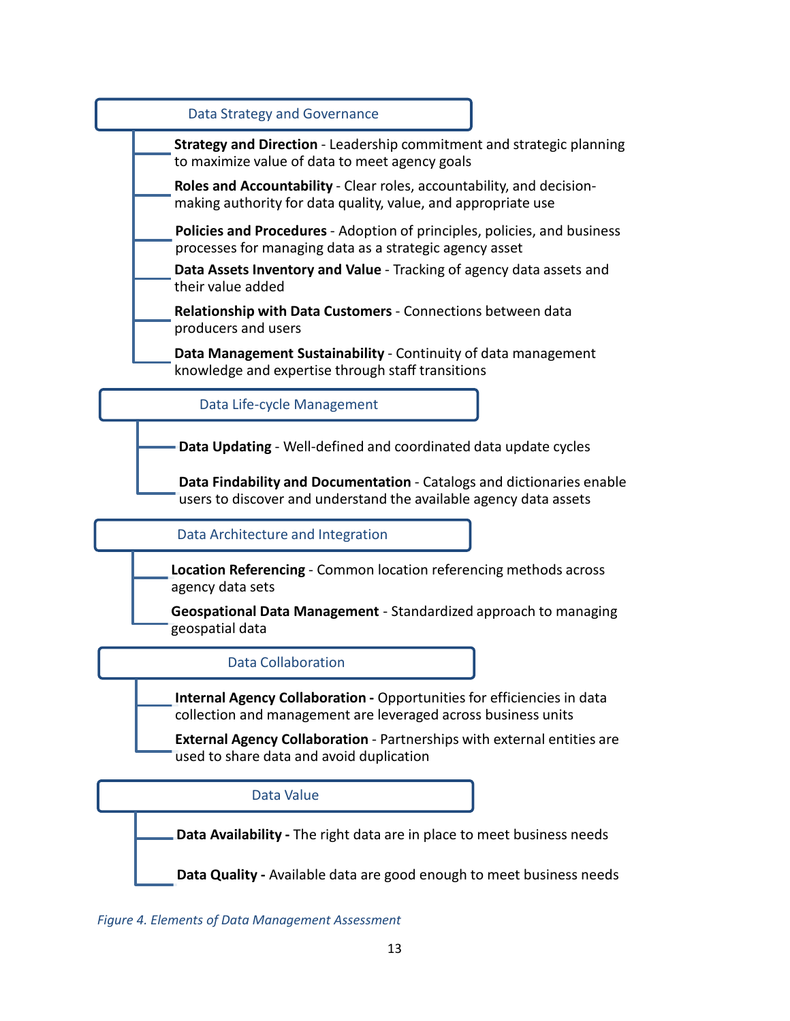

<span id="page-18-0"></span>*Figure 4. Elements of Data Management Assessment*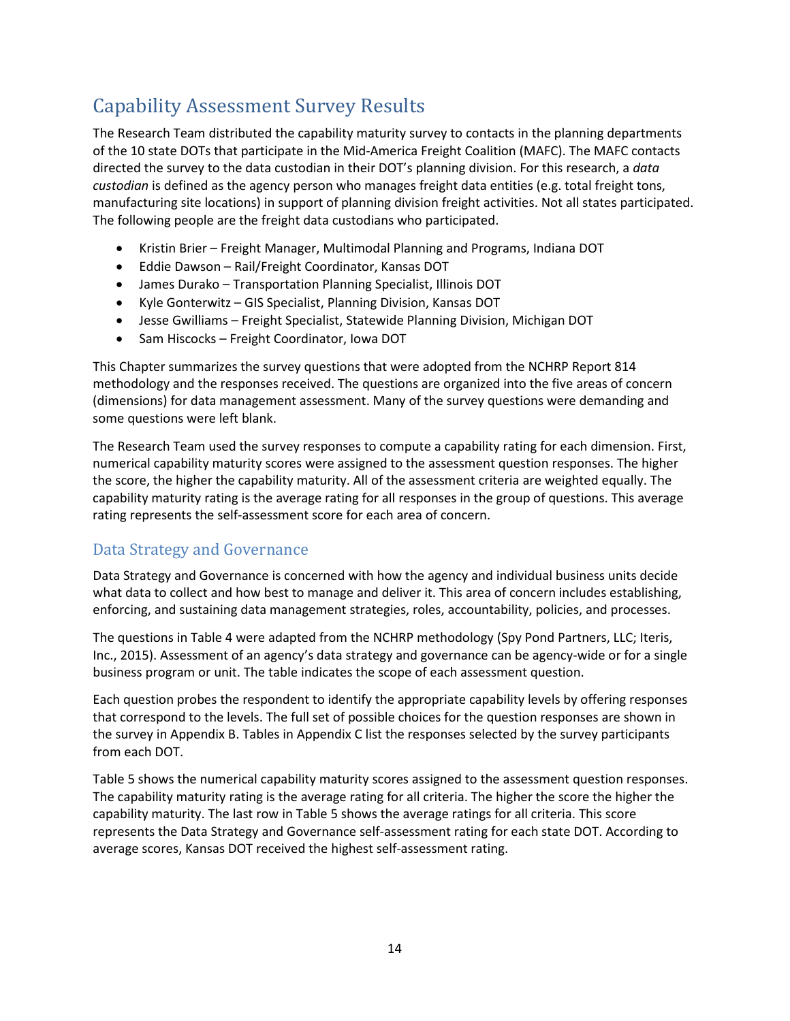# <span id="page-19-0"></span>Capability Assessment Survey Results

The Research Team distributed the capability maturity survey to contacts in the planning departments of the 10 state DOTs that participate in the Mid-America Freight Coalition (MAFC). The MAFC contacts directed the survey to the data custodian in their DOT's planning division. For this research, a *data custodian* is defined as the agency person who manages freight data entities (e.g. total freight tons, manufacturing site locations) in support of planning division freight activities. Not all states participated. The following people are the freight data custodians who participated.

- Kristin Brier Freight Manager, Multimodal Planning and Programs, Indiana DOT
- Eddie Dawson Rail/Freight Coordinator, Kansas DOT
- James Durako Transportation Planning Specialist, Illinois DOT
- Kyle Gonterwitz GIS Specialist, Planning Division, Kansas DOT
- Jesse Gwilliams Freight Specialist, Statewide Planning Division, Michigan DOT
- Sam Hiscocks Freight Coordinator, Iowa DOT

This Chapter summarizes the survey questions that were adopted from the NCHRP Report 814 methodology and the responses received. The questions are organized into the five areas of concern (dimensions) for data management assessment. Many of the survey questions were demanding and some questions were left blank.

The Research Team used the survey responses to compute a capability rating for each dimension. First, numerical capability maturity scores were assigned to the assessment question responses. The higher the score, the higher the capability maturity. All of the assessment criteria are weighted equally. The capability maturity rating is the average rating for all responses in the group of questions. This average rating represents the self-assessment score for each area of concern.

## <span id="page-19-1"></span>Data Strategy and Governance

Data Strategy and Governance is concerned with how the agency and individual business units decide what data to collect and how best to manage and deliver it. This area of concern includes establishing, enforcing, and sustaining data management strategies, roles, accountability, policies, and processes.

The questions in [Table 4](#page-20-0) were adapted from the NCHRP methodology (Spy Pond Partners, LLC; Iteris, Inc., 2015). Assessment of an agency's data strategy and governance can be agency-wide or for a single business program or unit. The table indicates the scope of each assessment question.

Each question probes the respondent to identify the appropriate capability levels by offering responses that correspond to the levels. The full set of possible choices for the question responses are shown in the survey in Appendix B. Tables in Appendix C list the responses selected by the survey participants from each DOT.

[Table 5](#page-20-1) shows the numerical capability maturity scores assigned to the assessment question responses. The capability maturity rating is the average rating for all criteria. The higher the score the higher the capability maturity. The last row i[n Table 5](#page-20-1) shows the average ratings for all criteria. This score represents the Data Strategy and Governance self-assessment rating for each state DOT. According to average scores, Kansas DOT received the highest self-assessment rating.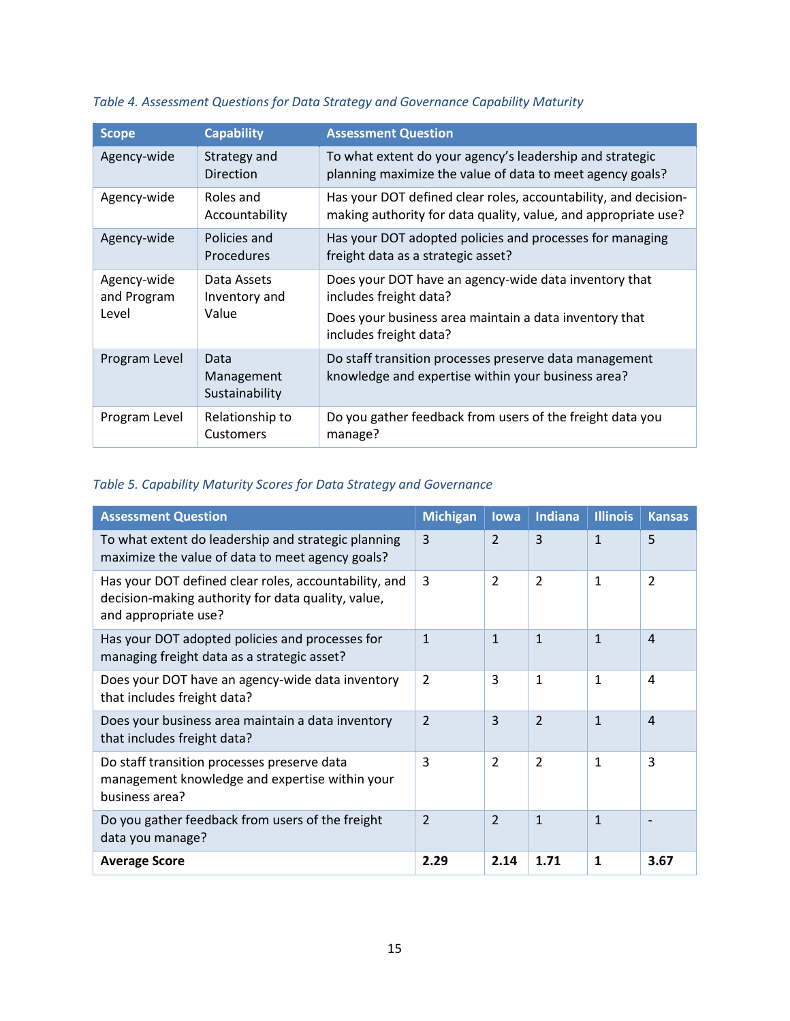| <b>Scope</b>                        | <b>Capability</b>                     | <b>Assessment Question</b>                                                                                                                                          |
|-------------------------------------|---------------------------------------|---------------------------------------------------------------------------------------------------------------------------------------------------------------------|
| Agency-wide                         | Strategy and<br><b>Direction</b>      | To what extent do your agency's leadership and strategic<br>planning maximize the value of data to meet agency goals?                                               |
| Agency-wide                         | Roles and<br>Accountability           | Has your DOT defined clear roles, accountability, and decision-<br>making authority for data quality, value, and appropriate use?                                   |
| Agency-wide                         | Policies and<br>Procedures            | Has your DOT adopted policies and processes for managing<br>freight data as a strategic asset?                                                                      |
| Agency-wide<br>and Program<br>Level | Data Assets<br>Inventory and<br>Value | Does your DOT have an agency-wide data inventory that<br>includes freight data?<br>Does your business area maintain a data inventory that<br>includes freight data? |
| Program Level                       | Data<br>Management<br>Sustainability  | Do staff transition processes preserve data management<br>knowledge and expertise within your business area?                                                        |
| Program Level                       | Relationship to<br>Customers          | Do you gather feedback from users of the freight data you<br>manage?                                                                                                |

# <span id="page-20-0"></span>*Table 4. Assessment Questions for Data Strategy and Governance Capability Maturity*

# <span id="page-20-1"></span>*Table 5. Capability Maturity Scores for Data Strategy and Governance*

| <b>Assessment Question</b>                                                                                                          | <b>Michigan</b> | lowa           | <b>Indiana</b> | <b>Illinois</b> | <b>Kansas</b>  |
|-------------------------------------------------------------------------------------------------------------------------------------|-----------------|----------------|----------------|-----------------|----------------|
| To what extent do leadership and strategic planning<br>maximize the value of data to meet agency goals?                             | 3               | $\overline{2}$ | $\overline{3}$ | $\mathbf{1}$    | 5              |
| Has your DOT defined clear roles, accountability, and<br>decision-making authority for data quality, value,<br>and appropriate use? | 3               | $\overline{2}$ | $\overline{2}$ | 1               | $\overline{2}$ |
| Has your DOT adopted policies and processes for<br>managing freight data as a strategic asset?                                      | $\mathbf{1}$    | $\mathbf{1}$   | $\mathbf{1}$   | $\mathbf{1}$    | $\overline{4}$ |
| Does your DOT have an agency-wide data inventory<br>that includes freight data?                                                     | $\overline{2}$  | 3              | 1              | 1               | 4              |
| Does your business area maintain a data inventory<br>that includes freight data?                                                    | $\overline{2}$  | 3              | $\overline{2}$ | $\mathbf{1}$    | $\overline{4}$ |
| Do staff transition processes preserve data<br>management knowledge and expertise within your<br>business area?                     | 3               | $\mathcal{P}$  | $\mathcal{P}$  | $\mathbf{1}$    | 3              |
| Do you gather feedback from users of the freight<br>data you manage?                                                                | $\overline{2}$  | $\overline{2}$ | $\mathbf{1}$   | $\mathbf{1}$    |                |
| <b>Average Score</b>                                                                                                                | 2.29            | 2.14           | 1.71           | 1               | 3.67           |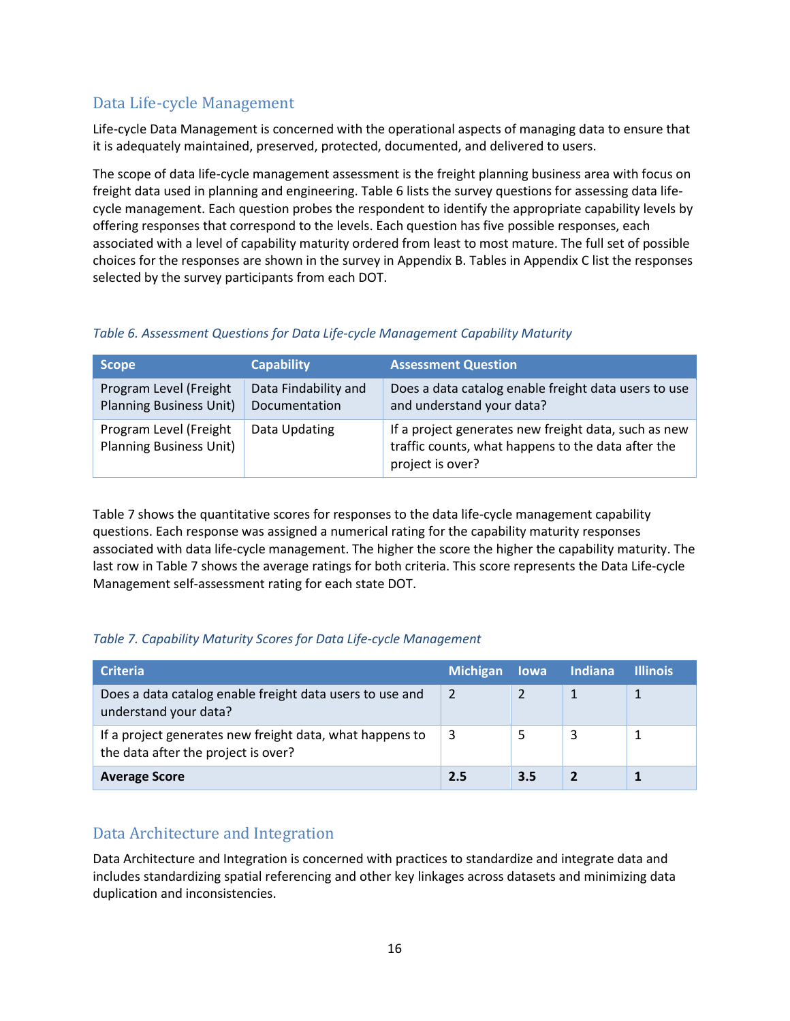# <span id="page-21-0"></span>Data Life-cycle Management

Life-cycle Data Management is concerned with the operational aspects of managing data to ensure that it is adequately maintained, preserved, protected, documented, and delivered to users.

The scope of data life-cycle management assessment is the freight planning business area with focus on freight data used in planning and engineering. [Table 6](#page-21-2) lists the survey questions for assessing data lifecycle management. Each question probes the respondent to identify the appropriate capability levels by offering responses that correspond to the levels. Each question has five possible responses, each associated with a level of capability maturity ordered from least to most mature. The full set of possible choices for the responses are shown in the survey in Appendix B. Tables in Appendix C list the responses selected by the survey participants from each DOT.

### <span id="page-21-2"></span>*Table 6. Assessment Questions for Data Life-cycle Management Capability Maturity*

| <b>Scope</b>                                             | <b>Capability</b>                     | <b>Assessment Question</b>                                                                                                     |
|----------------------------------------------------------|---------------------------------------|--------------------------------------------------------------------------------------------------------------------------------|
| Program Level (Freight<br><b>Planning Business Unit)</b> | Data Findability and<br>Documentation | Does a data catalog enable freight data users to use<br>and understand your data?                                              |
| Program Level (Freight<br><b>Planning Business Unit)</b> | Data Updating                         | If a project generates new freight data, such as new<br>traffic counts, what happens to the data after the<br>project is over? |

[Table 7](#page-21-3) shows the quantitative scores for responses to the data life-cycle management capability questions. Each response was assigned a numerical rating for the capability maturity responses associated with data life-cycle management. The higher the score the higher the capability maturity. The last row in [Table 7](#page-21-3) shows the average ratings for both criteria. This score represents the Data Life-cycle Management self-assessment rating for each state DOT.

### <span id="page-21-3"></span>*Table 7. Capability Maturity Scores for Data Life-cycle Management*

| <b>Criteria</b>                                                                                 | <b>Michigan</b> |     | lowa Indiana | <b>Illinois</b> |
|-------------------------------------------------------------------------------------------------|-----------------|-----|--------------|-----------------|
| Does a data catalog enable freight data users to use and<br>understand your data?               | $\overline{2}$  |     |              |                 |
| If a project generates new freight data, what happens to<br>the data after the project is over? | 3               |     | 3            |                 |
| <b>Average Score</b>                                                                            | 2.5             | 3.5 |              |                 |

## <span id="page-21-1"></span>Data Architecture and Integration

Data Architecture and Integration is concerned with practices to standardize and integrate data and includes standardizing spatial referencing and other key linkages across datasets and minimizing data duplication and inconsistencies.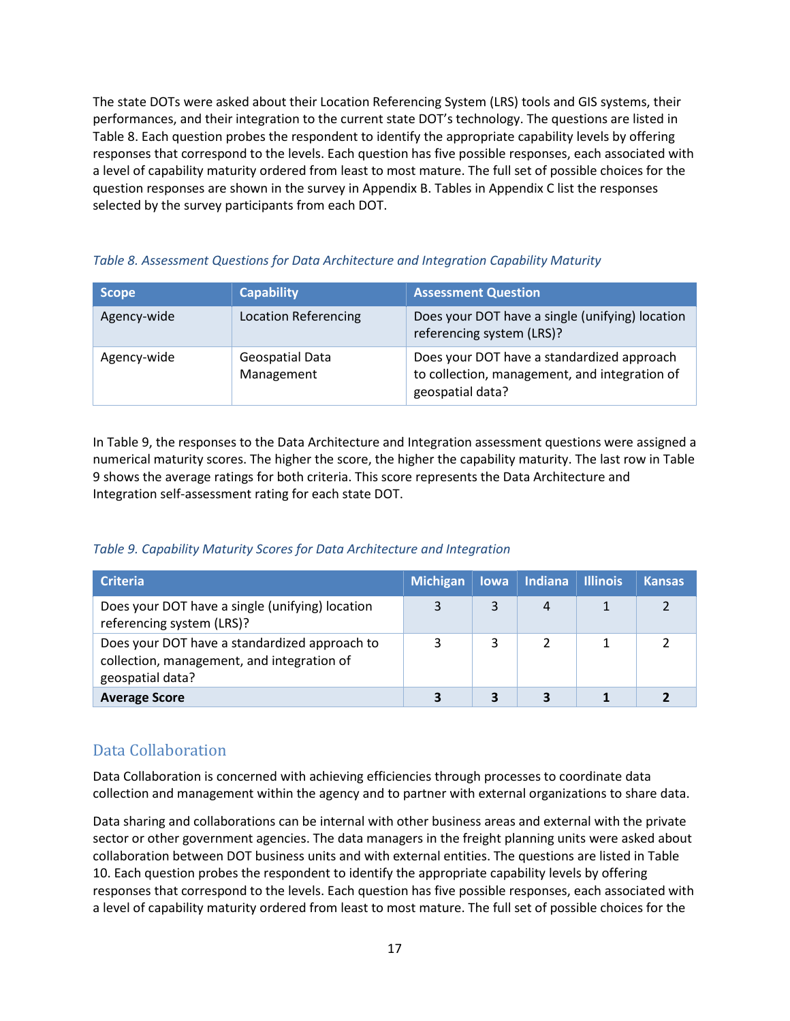The state DOTs were asked about their Location Referencing System (LRS) tools and GIS systems, their performances, and their integration to the current state DOT's technology. The questions are listed in [Table 8.](#page-22-1) Each question probes the respondent to identify the appropriate capability levels by offering responses that correspond to the levels. Each question has five possible responses, each associated with a level of capability maturity ordered from least to most mature. The full set of possible choices for the question responses are shown in the survey in Appendix B. Tables in Appendix C list the responses selected by the survey participants from each DOT.

| <b>Scope</b> | <b>Capability</b>             | <b>Assessment Question</b>                                                                                      |
|--------------|-------------------------------|-----------------------------------------------------------------------------------------------------------------|
| Agency-wide  | <b>Location Referencing</b>   | Does your DOT have a single (unifying) location<br>referencing system (LRS)?                                    |
| Agency-wide  | Geospatial Data<br>Management | Does your DOT have a standardized approach<br>to collection, management, and integration of<br>geospatial data? |

#### <span id="page-22-1"></span>*Table 8. Assessment Questions for Data Architecture and Integration Capability Maturity*

In [Table 9,](#page-22-2) the responses to the Data Architecture and Integration assessment questions were assigned a numerical maturity scores. The higher the score, the higher the capability maturity. The last row in [Table](#page-22-2)  [9](#page-22-2) shows the average ratings for both criteria. This score represents the Data Architecture and Integration self-assessment rating for each state DOT.

#### <span id="page-22-2"></span>*Table 9. Capability Maturity Scores for Data Architecture and Integration*

| <b>Criteria</b>                                                                                                 | <b>Michigan</b> | <b>lowa</b> | <b>Indiana</b> | <b>Illinois</b> | <b>Kansas</b> |
|-----------------------------------------------------------------------------------------------------------------|-----------------|-------------|----------------|-----------------|---------------|
| Does your DOT have a single (unifying) location<br>referencing system (LRS)?                                    |                 | 3           |                |                 |               |
| Does your DOT have a standardized approach to<br>collection, management, and integration of<br>geospatial data? |                 |             |                |                 |               |
| <b>Average Score</b>                                                                                            |                 |             |                |                 |               |

## <span id="page-22-0"></span>Data Collaboration

Data Collaboration is concerned with achieving efficiencies through processes to coordinate data collection and management within the agency and to partner with external organizations to share data.

Data sharing and collaborations can be internal with other business areas and external with the private sector or other government agencies. The data managers in the freight planning units were asked about collaboration between DOT business units and with external entities. The questions are listed in [Table](#page-23-1)  [10.](#page-23-1) Each question probes the respondent to identify the appropriate capability levels by offering responses that correspond to the levels. Each question has five possible responses, each associated with a level of capability maturity ordered from least to most mature. The full set of possible choices for the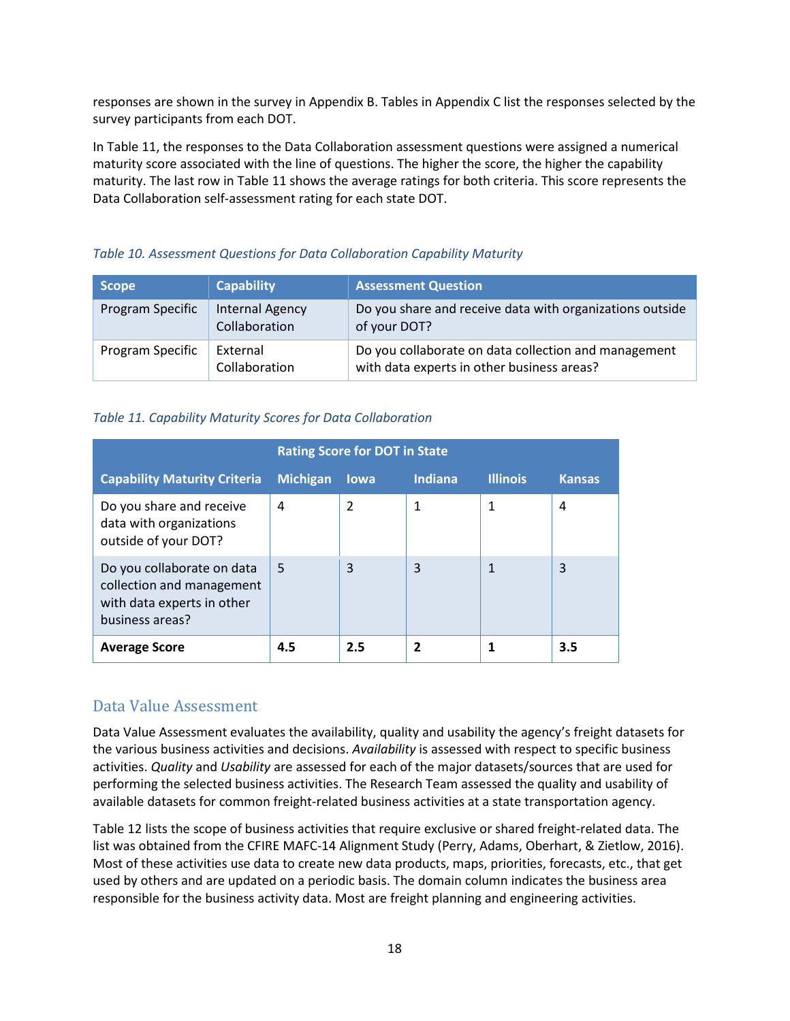responses are shown in the survey in Appendix B. Tables in Appendix C list the responses selected by the survey participants from each DOT.

In [Table 11,](#page-23-2) the responses to the Data Collaboration assessment questions were assigned a numerical maturity score associated with the line of questions. The higher the score, the higher the capability maturity. The last row in [Table 11](#page-23-2) shows the average ratings for both criteria. This score represents the Data Collaboration self-assessment rating for each state DOT.

#### <span id="page-23-1"></span>*Table 10. Assessment Questions for Data Collaboration Capability Maturity*

| <b>Scope</b>     | <b>Capability</b>                       | <b>Assessment Question</b>                                                                         |
|------------------|-----------------------------------------|----------------------------------------------------------------------------------------------------|
| Program Specific | <b>Internal Agency</b><br>Collaboration | Do you share and receive data with organizations outside<br>of your DOT?                           |
| Program Specific | External<br>Collaboration               | Do you collaborate on data collection and management<br>with data experts in other business areas? |

#### <span id="page-23-2"></span>*Table 11. Capability Maturity Scores for Data Collaboration*

| <b>Rating Score for DOT in State</b>                                                                     |                 |                |                |                 |               |
|----------------------------------------------------------------------------------------------------------|-----------------|----------------|----------------|-----------------|---------------|
| <b>Capability Maturity Criteria</b>                                                                      | <b>Michigan</b> | lowa           | <b>Indiana</b> | <b>Illinois</b> | <b>Kansas</b> |
| Do you share and receive<br>data with organizations<br>outside of your DOT?                              | 4               | $\mathfrak{p}$ | 1              | 1               | 4             |
| Do you collaborate on data<br>collection and management<br>with data experts in other<br>business areas? | 5               | 3              | 3              |                 | 3             |
| <b>Average Score</b>                                                                                     | 4.5             | 2.5            | 2              |                 | 3.5           |

## <span id="page-23-0"></span>Data Value Assessment

Data Value Assessment evaluates the availability, quality and usability the agency's freight datasets for the various business activities and decisions. *Availability* is assessed with respect to specific business activities. *Quality* and *Usability* are assessed for each of the major datasets/sources that are used for performing the selected business activities. The Research Team assessed the quality and usability of available datasets for common freight-related business activities at a state transportation agency.

[Table 12](#page-24-0) lists the scope of business activities that require exclusive or shared freight-related data. The list was obtained from the CFIRE MAFC-14 Alignment Study (Perry, Adams, Oberhart, & Zietlow, 2016). Most of these activities use data to create new data products, maps, priorities, forecasts, etc., that get used by others and are updated on a periodic basis. The domain column indicates the business area responsible for the business activity data. Most are freight planning and engineering activities.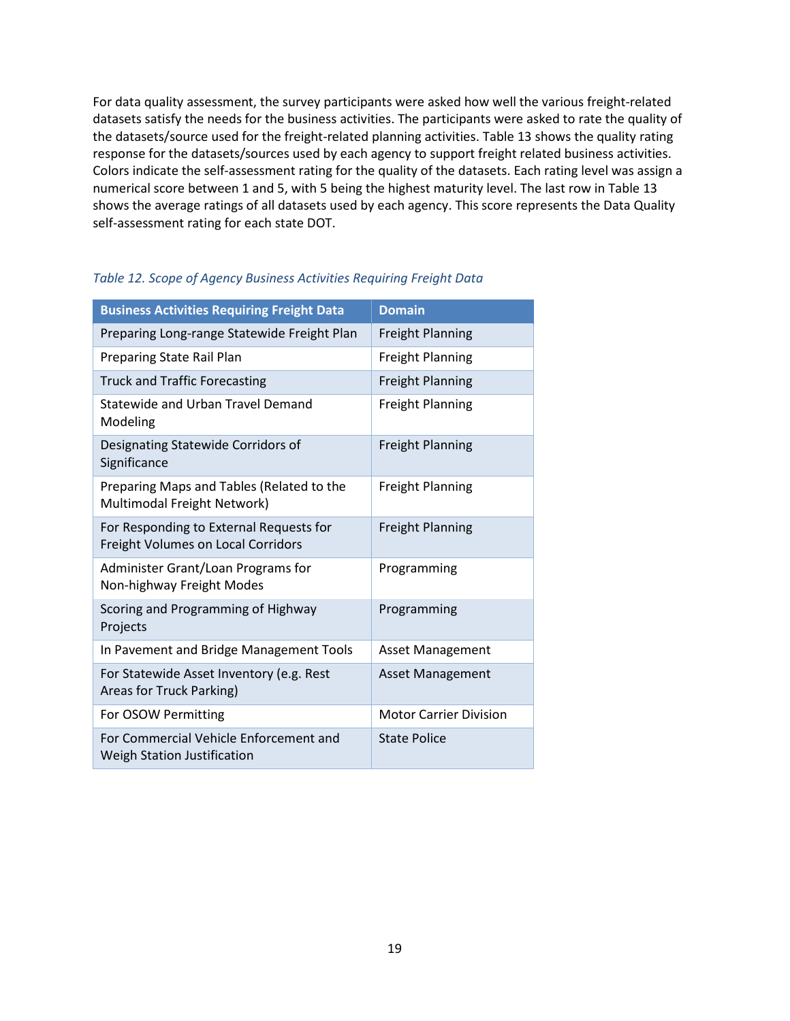For data quality assessment, the survey participants were asked how well the various freight-related datasets satisfy the needs for the business activities. The participants were asked to rate the quality of the datasets/source used for the freight-related planning activities. [Table 13](#page-24-1) shows the quality rating response for the datasets/sources used by each agency to support freight related business activities. Colors indicate the self-assessment rating for the quality of the datasets. Each rating level was assign a numerical score between 1 and 5, with 5 being the highest maturity level. The last row i[n Table 13](#page-24-1) shows the average ratings of all datasets used by each agency. This score represents the Data Quality self-assessment rating for each state DOT.

<span id="page-24-1"></span>

| <b>Business Activities Requiring Freight Data</b>                             | <b>Domain</b>                 |
|-------------------------------------------------------------------------------|-------------------------------|
| Preparing Long-range Statewide Freight Plan                                   | <b>Freight Planning</b>       |
| Preparing State Rail Plan                                                     | <b>Freight Planning</b>       |
| <b>Truck and Traffic Forecasting</b>                                          | <b>Freight Planning</b>       |
| Statewide and Urban Travel Demand<br>Modeling                                 | <b>Freight Planning</b>       |
| Designating Statewide Corridors of<br>Significance                            | <b>Freight Planning</b>       |
| Preparing Maps and Tables (Related to the<br>Multimodal Freight Network)      | <b>Freight Planning</b>       |
| For Responding to External Requests for<br>Freight Volumes on Local Corridors | <b>Freight Planning</b>       |
| Administer Grant/Loan Programs for<br>Non-highway Freight Modes               | Programming                   |
| Scoring and Programming of Highway<br>Projects                                | Programming                   |
| In Pavement and Bridge Management Tools                                       | <b>Asset Management</b>       |
| For Statewide Asset Inventory (e.g. Rest<br>Areas for Truck Parking)          | <b>Asset Management</b>       |
| For OSOW Permitting                                                           | <b>Motor Carrier Division</b> |
| For Commercial Vehicle Enforcement and<br>Weigh Station Justification         | <b>State Police</b>           |

#### <span id="page-24-0"></span>*Table 12. Scope of Agency Business Activities Requiring Freight Data*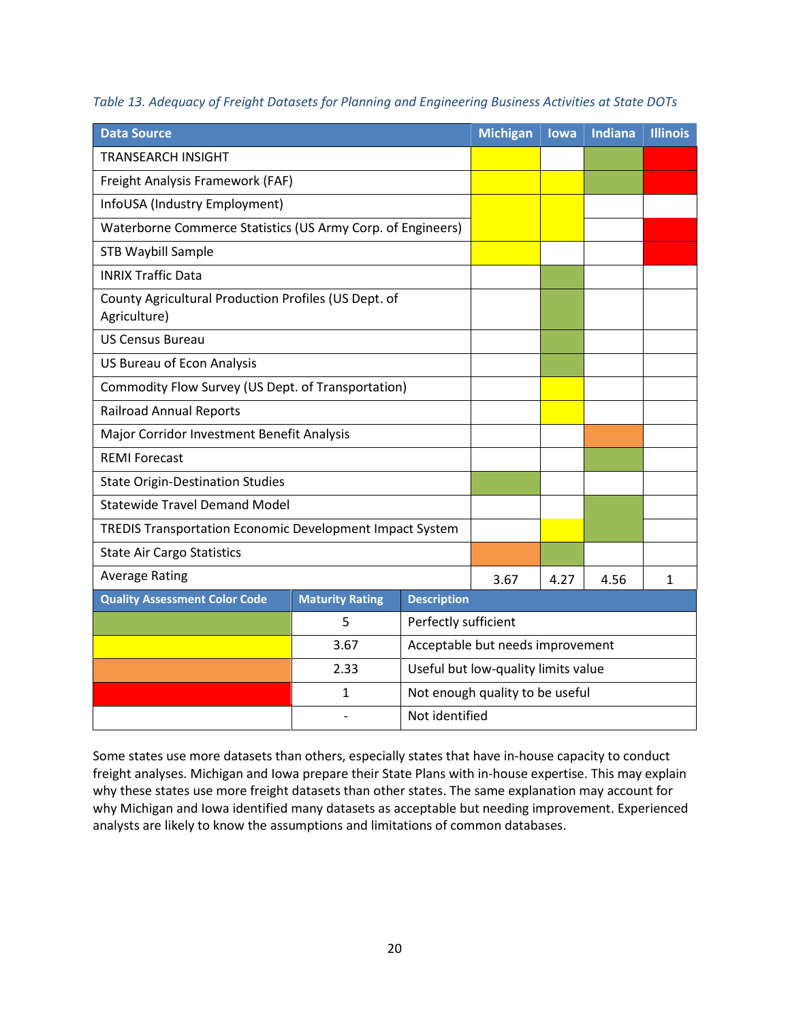| <b>Data Source</b>                                                   |                        |                                  | <b>Michigan</b>                     | lowa | <b>Indiana</b> | <b>Illinois</b> |
|----------------------------------------------------------------------|------------------------|----------------------------------|-------------------------------------|------|----------------|-----------------|
| <b>TRANSEARCH INSIGHT</b>                                            |                        |                                  |                                     |      |                |                 |
| Freight Analysis Framework (FAF)                                     |                        |                                  |                                     |      |                |                 |
| InfoUSA (Industry Employment)                                        |                        |                                  |                                     |      |                |                 |
| Waterborne Commerce Statistics (US Army Corp. of Engineers)          |                        |                                  |                                     |      |                |                 |
| <b>STB Waybill Sample</b>                                            |                        |                                  |                                     |      |                |                 |
| <b>INRIX Traffic Data</b>                                            |                        |                                  |                                     |      |                |                 |
| County Agricultural Production Profiles (US Dept. of<br>Agriculture) |                        |                                  |                                     |      |                |                 |
| <b>US Census Bureau</b>                                              |                        |                                  |                                     |      |                |                 |
| US Bureau of Econ Analysis                                           |                        |                                  |                                     |      |                |                 |
| Commodity Flow Survey (US Dept. of Transportation)                   |                        |                                  |                                     |      |                |                 |
| <b>Railroad Annual Reports</b>                                       |                        |                                  |                                     |      |                |                 |
| Major Corridor Investment Benefit Analysis                           |                        |                                  |                                     |      |                |                 |
| <b>REMI Forecast</b>                                                 |                        |                                  |                                     |      |                |                 |
| <b>State Origin-Destination Studies</b>                              |                        |                                  |                                     |      |                |                 |
| <b>Statewide Travel Demand Model</b>                                 |                        |                                  |                                     |      |                |                 |
| TREDIS Transportation Economic Development Impact System             |                        |                                  |                                     |      |                |                 |
| <b>State Air Cargo Statistics</b>                                    |                        |                                  |                                     |      |                |                 |
| <b>Average Rating</b>                                                |                        |                                  | 3.67                                | 4.27 | 4.56           | 1               |
| <b>Quality Assessment Color Code</b>                                 | <b>Maturity Rating</b> | <b>Description</b>               |                                     |      |                |                 |
|                                                                      | 5                      | Perfectly sufficient             |                                     |      |                |                 |
| 3.67                                                                 |                        | Acceptable but needs improvement |                                     |      |                |                 |
|                                                                      | 2.33                   |                                  | Useful but low-quality limits value |      |                |                 |
|                                                                      | 1                      |                                  | Not enough quality to be useful     |      |                |                 |
|                                                                      |                        | Not identified                   |                                     |      |                |                 |

<span id="page-25-0"></span>*Table 13. Adequacy of Freight Datasets for Planning and Engineering Business Activities at State DOTs*

Some states use more datasets than others, especially states that have in-house capacity to conduct freight analyses. Michigan and Iowa prepare their State Plans with in-house expertise. This may explain why these states use more freight datasets than other states. The same explanation may account for why Michigan and Iowa identified many datasets as acceptable but needing improvement. Experienced analysts are likely to know the assumptions and limitations of common databases.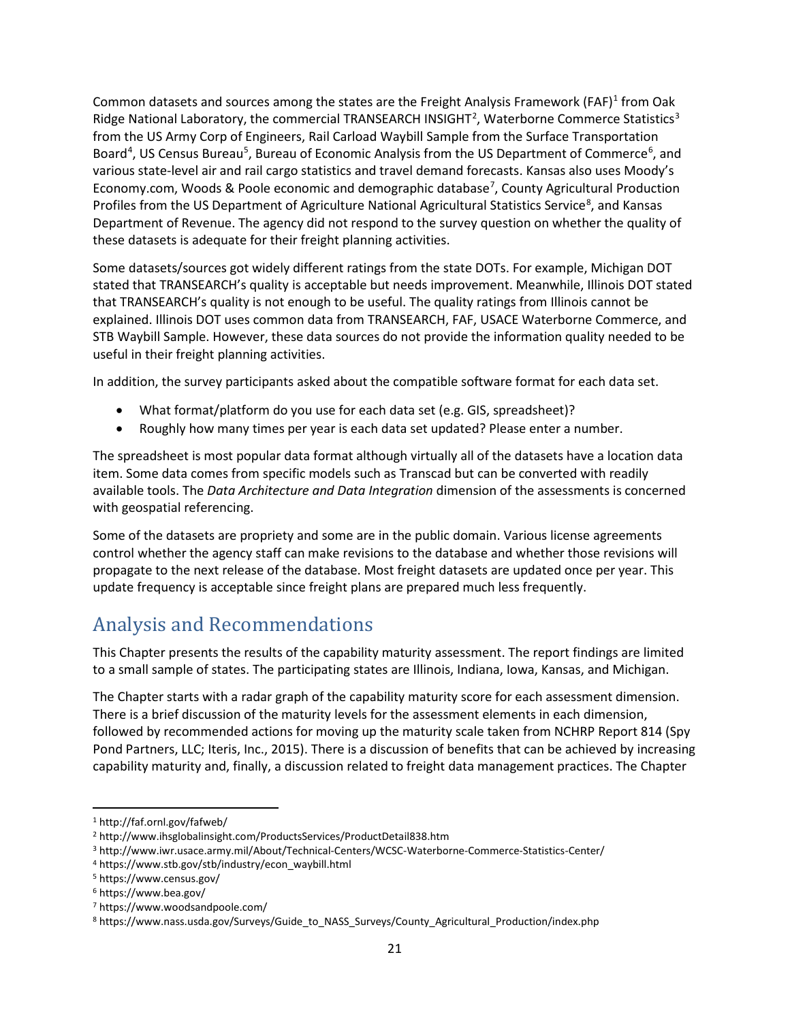Common datasets and sources among the states are the Freight Analysis Framework (FAF)<sup>[1](#page-26-1)</sup> from Oak Ridge National Laboratory, the commercial TRANSEARCH INSIGHT<sup>[2](#page-26-2)</sup>, Waterborne Commerce Statistics<sup>3</sup> from the US Army Corp of Engineers, Rail Carload Waybill Sample from the Surface Transportation Board<sup>[4](#page-26-4)</sup>, US Census Bureau<sup>[5](#page-26-5)</sup>, Bureau of Economic Analysis from the US Department of Commerce<sup>[6](#page-26-6)</sup>, and various state-level air and rail cargo statistics and travel demand forecasts. Kansas also uses Moody's Economy.com, Woods & Poole economic and demographic database<sup>[7](#page-26-7)</sup>, County Agricultural Production Profiles from the US Department of Agriculture National Agricultural Statistics Service<sup>[8](#page-26-8)</sup>, and Kansas Department of Revenue. The agency did not respond to the survey question on whether the quality of these datasets is adequate for their freight planning activities.

Some datasets/sources got widely different ratings from the state DOTs. For example, Michigan DOT stated that TRANSEARCH's quality is acceptable but needs improvement. Meanwhile, Illinois DOT stated that TRANSEARCH's quality is not enough to be useful. The quality ratings from Illinois cannot be explained. Illinois DOT uses common data from TRANSEARCH, FAF, USACE Waterborne Commerce, and STB Waybill Sample. However, these data sources do not provide the information quality needed to be useful in their freight planning activities.

In addition, the survey participants asked about the compatible software format for each data set.

- What format/platform do you use for each data set (e.g. GIS, spreadsheet)?
- Roughly how many times per year is each data set updated? Please enter a number.

The spreadsheet is most popular data format although virtually all of the datasets have a location data item. Some data comes from specific models such as Transcad but can be converted with readily available tools. The *Data Architecture and Data Integration* dimension of the assessments is concerned with geospatial referencing.

Some of the datasets are propriety and some are in the public domain. Various license agreements control whether the agency staff can make revisions to the database and whether those revisions will propagate to the next release of the database. Most freight datasets are updated once per year. This update frequency is acceptable since freight plans are prepared much less frequently.

# <span id="page-26-0"></span>Analysis and Recommendations

This Chapter presents the results of the capability maturity assessment. The report findings are limited to a small sample of states. The participating states are Illinois, Indiana, Iowa, Kansas, and Michigan.

The Chapter starts with a radar graph of the capability maturity score for each assessment dimension. There is a brief discussion of the maturity levels for the assessment elements in each dimension, followed by recommended actions for moving up the maturity scale taken from NCHRP Report 814 (Spy Pond Partners, LLC; Iteris, Inc., 2015). There is a discussion of benefits that can be achieved by increasing capability maturity and, finally, a discussion related to freight data management practices. The Chapter

<span id="page-26-1"></span> <sup>1</sup> http://faf.ornl.gov/fafweb/

<span id="page-26-2"></span><sup>2</sup> http://www.ihsglobalinsight.com/ProductsServices/ProductDetail838.htm

<span id="page-26-3"></span><sup>3</sup> http://www.iwr.usace.army.mil/About/Technical-Centers/WCSC-Waterborne-Commerce-Statistics-Center/

<span id="page-26-4"></span><sup>4</sup> https://www.stb.gov/stb/industry/econ\_waybill.html

<span id="page-26-5"></span><sup>5</sup> https://www.census.gov/

<span id="page-26-6"></span><sup>6</sup> https://www.bea.gov/

<span id="page-26-7"></span><sup>7</sup> https://www.woodsandpoole.com/

<span id="page-26-8"></span><sup>8</sup> https://www.nass.usda.gov/Surveys/Guide\_to\_NASS\_Surveys/County\_Agricultural\_Production/index.php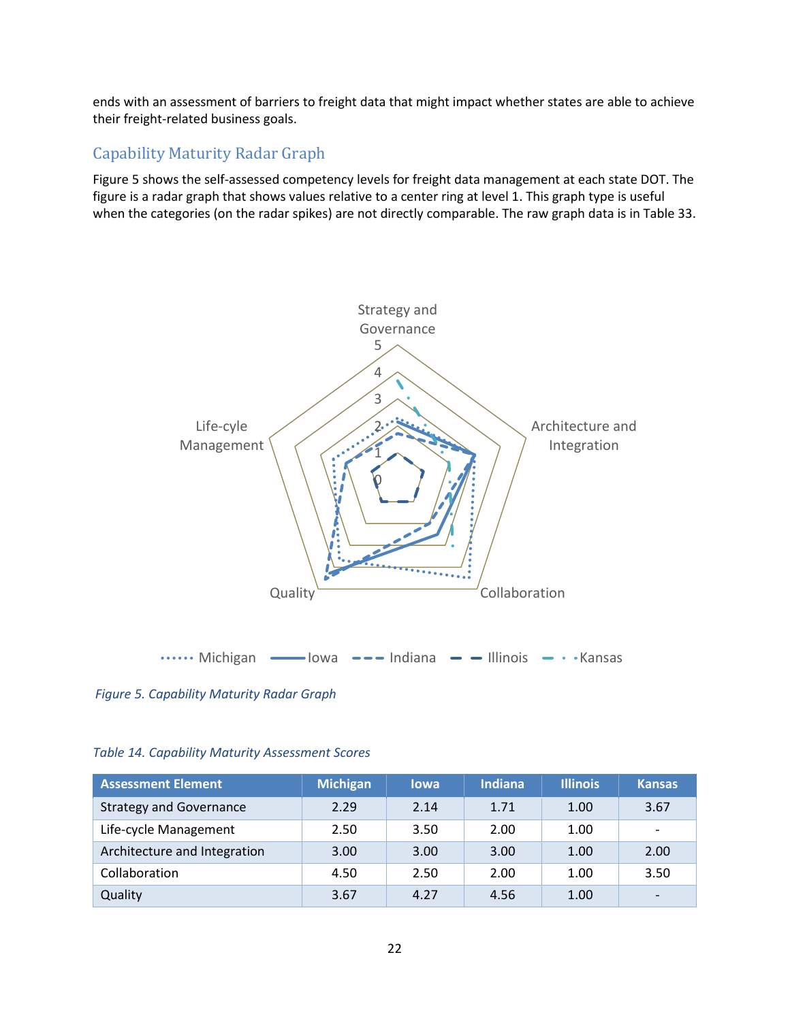ends with an assessment of barriers to freight data that might impact whether states are able to achieve their freight-related business goals.

## <span id="page-27-0"></span>Capability Maturity Radar Graph

Figure 5 shows the self-assessed competency levels for freight data management at each state DOT. The figure is a radar graph that shows values relative to a center ring at level 1. This graph type is useful when the categories (on the radar spikes) are not directly comparable. The raw graph data is i[n Table 33.](#page-27-2)



<span id="page-27-2"></span>*Figure 5. Capability Maturity Radar Graph*

#### <span id="page-27-1"></span>*Table 14. Capability Maturity Assessment Scores*

| <b>Assessment Element</b>      | <b>Michigan</b> | <b>lowa</b> | <b>Indiana</b> | <b>Illinois</b> | <b>Kansas</b>            |
|--------------------------------|-----------------|-------------|----------------|-----------------|--------------------------|
| <b>Strategy and Governance</b> | 2.29            | 2.14        | 1.71           | 1.00            | 3.67                     |
| Life-cycle Management          | 2.50            | 3.50        | 2.00           | 1.00            | $\overline{\phantom{a}}$ |
| Architecture and Integration   | 3.00            | 3.00        | 3.00           | 1.00            | 2.00                     |
| Collaboration                  | 4.50            | 2.50        | 2.00           | 1.00            | 3.50                     |
| Quality                        | 3.67            | 4.27        | 4.56           | 1.00            | $\overline{\phantom{0}}$ |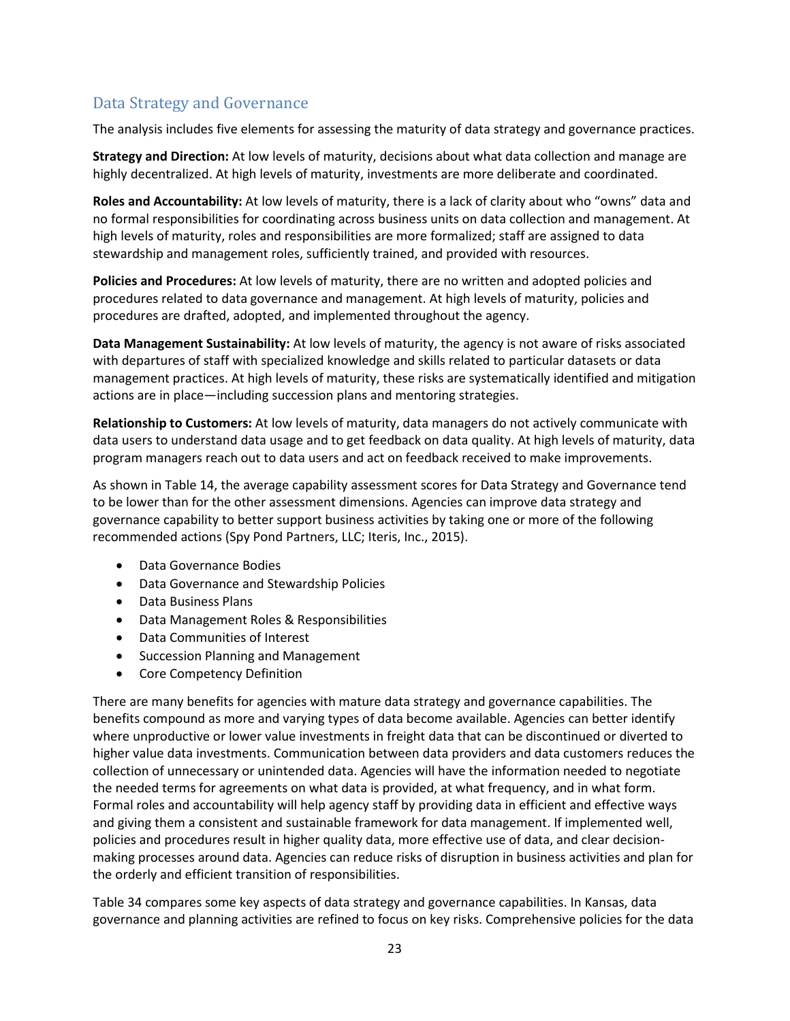# <span id="page-28-0"></span>Data Strategy and Governance

The analysis includes five elements for assessing the maturity of data strategy and governance practices.

**Strategy and Direction:** At low levels of maturity, decisions about what data collection and manage are highly decentralized. At high levels of maturity, investments are more deliberate and coordinated.

**Roles and Accountability:** At low levels of maturity, there is a lack of clarity about who "owns" data and no formal responsibilities for coordinating across business units on data collection and management. At high levels of maturity, roles and responsibilities are more formalized; staff are assigned to data stewardship and management roles, sufficiently trained, and provided with resources.

**Policies and Procedures:** At low levels of maturity, there are no written and adopted policies and procedures related to data governance and management. At high levels of maturity, policies and procedures are drafted, adopted, and implemented throughout the agency.

**Data Management Sustainability:** At low levels of maturity, the agency is not aware of risks associated with departures of staff with specialized knowledge and skills related to particular datasets or data management practices. At high levels of maturity, these risks are systematically identified and mitigation actions are in place—including succession plans and mentoring strategies.

**Relationship to Customers:** At low levels of maturity, data managers do not actively communicate with data users to understand data usage and to get feedback on data quality. At high levels of maturity, data program managers reach out to data users and act on feedback received to make improvements.

As shown in [Table 14,](#page-27-2) the average capability assessment scores for Data Strategy and Governance tend to be lower than for the other assessment dimensions. Agencies can improve data strategy and governance capability to better support business activities by taking one or more of the following recommended actions (Spy Pond Partners, LLC; Iteris, Inc., 2015).

- Data Governance Bodies
- Data Governance and Stewardship Policies
- Data Business Plans
- Data Management Roles & Responsibilities
- Data Communities of Interest
- Succession Planning and Management
- Core Competency Definition

There are many benefits for agencies with mature data strategy and governance capabilities. The benefits compound as more and varying types of data become available. Agencies can better identify where unproductive or lower value investments in freight data that can be discontinued or diverted to higher value data investments. Communication between data providers and data customers reduces the collection of unnecessary or unintended data. Agencies will have the information needed to negotiate the needed terms for agreements on what data is provided, at what frequency, and in what form. Formal roles and accountability will help agency staff by providing data in efficient and effective ways and giving them a consistent and sustainable framework for data management. If implemented well, policies and procedures result in higher quality data, more effective use of data, and clear decisionmaking processes around data. Agencies can reduce risks of disruption in business activities and plan for the orderly and efficient transition of responsibilities.

[Table 34](#page-30-0) compares some key aspects of data strategy and governance capabilities. In Kansas, data governance and planning activities are refined to focus on key risks. Comprehensive policies for the data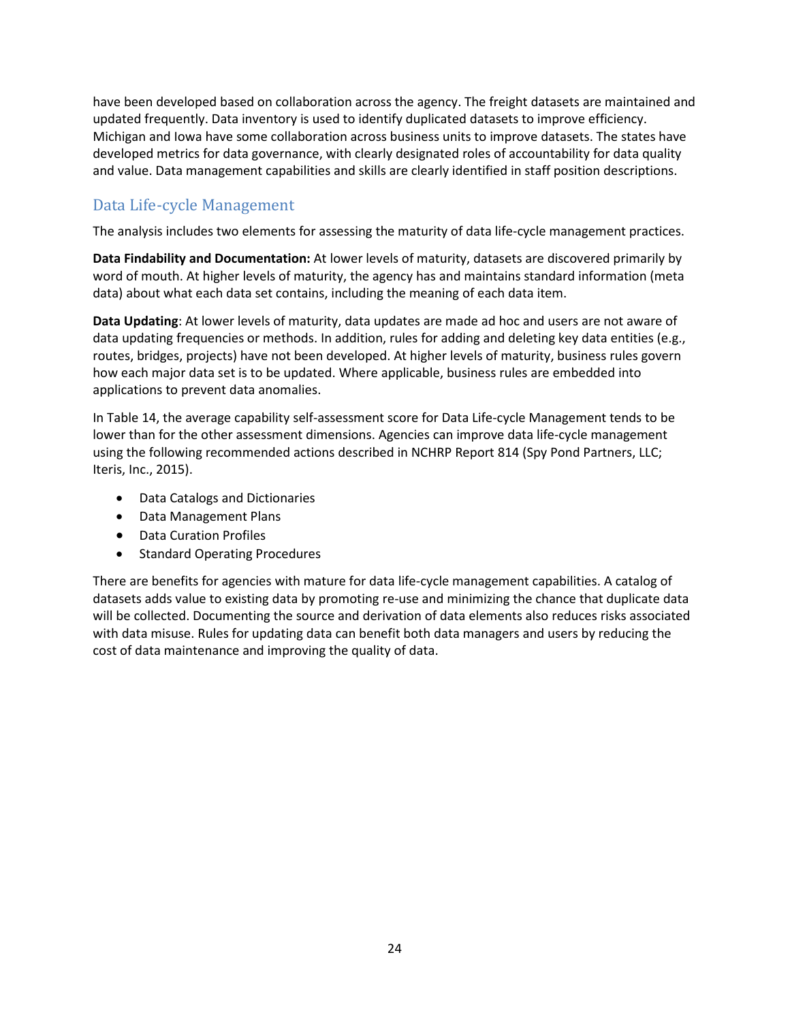have been developed based on collaboration across the agency. The freight datasets are maintained and updated frequently. Data inventory is used to identify duplicated datasets to improve efficiency. Michigan and Iowa have some collaboration across business units to improve datasets. The states have developed metrics for data governance, with clearly designated roles of accountability for data quality and value. Data management capabilities and skills are clearly identified in staff position descriptions.

# <span id="page-29-0"></span>Data Life-cycle Management

The analysis includes two elements for assessing the maturity of data life-cycle management practices.

**Data Findability and Documentation:** At lower levels of maturity, datasets are discovered primarily by word of mouth. At higher levels of maturity, the agency has and maintains standard information (meta data) about what each data set contains, including the meaning of each data item.

**Data Updating**: At lower levels of maturity, data updates are made ad hoc and users are not aware of data updating frequencies or methods. In addition, rules for adding and deleting key data entities (e.g., routes, bridges, projects) have not been developed. At higher levels of maturity, business rules govern how each major data set is to be updated. Where applicable, business rules are embedded into applications to prevent data anomalies.

In [Table 14,](#page-27-2) the average capability self-assessment score for Data Life-cycle Management tends to be lower than for the other assessment dimensions. Agencies can improve data life-cycle management using the following recommended actions described in NCHRP Report 814 (Spy Pond Partners, LLC; Iteris, Inc., 2015).

- Data Catalogs and Dictionaries
- Data Management Plans
- Data Curation Profiles
- Standard Operating Procedures

There are benefits for agencies with mature for data life-cycle management capabilities. A catalog of datasets adds value to existing data by promoting re-use and minimizing the chance that duplicate data will be collected. Documenting the source and derivation of data elements also reduces risks associated with data misuse. Rules for updating data can benefit both data managers and users by reducing the cost of data maintenance and improving the quality of data.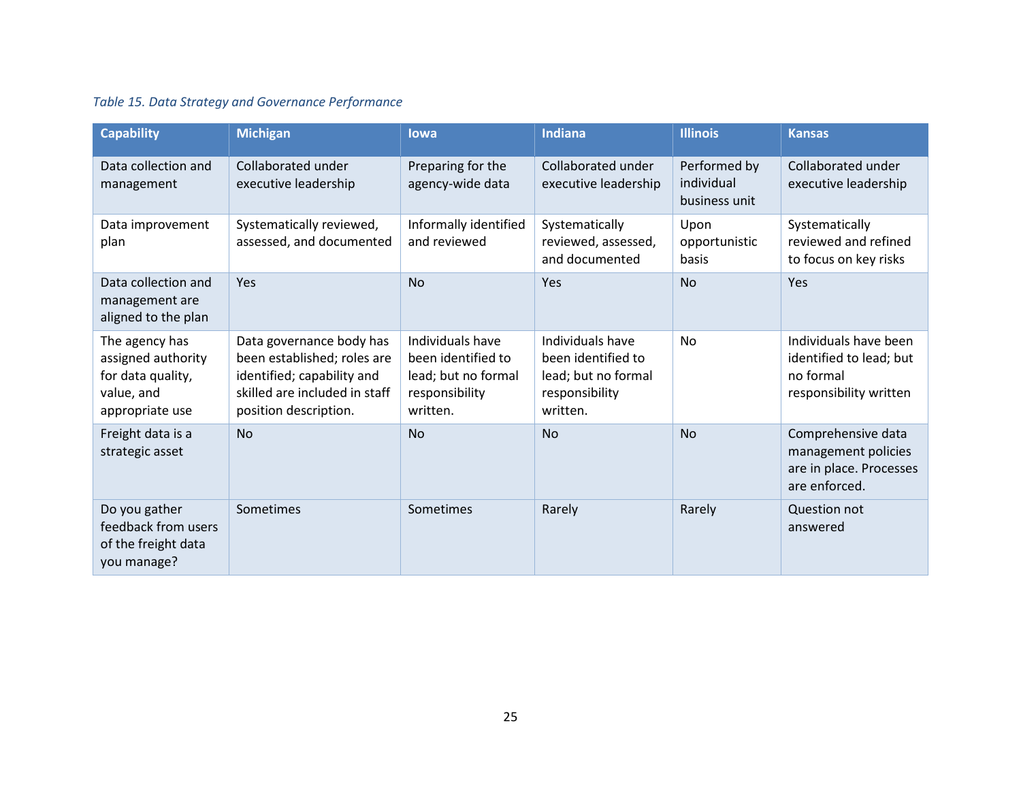# *Table 15. Data Strategy and Governance Performance*

<span id="page-30-0"></span>

| <b>Capability</b>                                                                          | <b>Michigan</b>                                                                                                                                 | lowa                                                                                        | <b>Indiana</b>                                                                              | <b>Illinois</b>                             | <b>Kansas</b>                                                                           |
|--------------------------------------------------------------------------------------------|-------------------------------------------------------------------------------------------------------------------------------------------------|---------------------------------------------------------------------------------------------|---------------------------------------------------------------------------------------------|---------------------------------------------|-----------------------------------------------------------------------------------------|
| Data collection and<br>management                                                          | Collaborated under<br>executive leadership                                                                                                      | Preparing for the<br>agency-wide data                                                       | Collaborated under<br>executive leadership                                                  | Performed by<br>individual<br>business unit | Collaborated under<br>executive leadership                                              |
| Data improvement<br>plan                                                                   | Systematically reviewed,<br>assessed, and documented                                                                                            | Informally identified<br>and reviewed                                                       | Systematically<br>reviewed, assessed,<br>and documented                                     | Upon<br>opportunistic<br>basis              | Systematically<br>reviewed and refined<br>to focus on key risks                         |
| Data collection and<br>management are<br>aligned to the plan                               | Yes                                                                                                                                             | <b>No</b>                                                                                   | Yes                                                                                         | <b>No</b>                                   | Yes                                                                                     |
| The agency has<br>assigned authority<br>for data quality,<br>value, and<br>appropriate use | Data governance body has<br>been established; roles are<br>identified; capability and<br>skilled are included in staff<br>position description. | Individuals have<br>been identified to<br>lead; but no formal<br>responsibility<br>written. | Individuals have<br>been identified to<br>lead; but no formal<br>responsibility<br>written. | <b>No</b>                                   | Individuals have been<br>identified to lead; but<br>no formal<br>responsibility written |
| Freight data is a<br>strategic asset                                                       | <b>No</b>                                                                                                                                       | <b>No</b>                                                                                   | <b>No</b>                                                                                   | <b>No</b>                                   | Comprehensive data<br>management policies<br>are in place. Processes<br>are enforced.   |
| Do you gather<br>feedback from users<br>of the freight data<br>you manage?                 | Sometimes                                                                                                                                       | Sometimes                                                                                   | Rarely                                                                                      | Rarely                                      | Question not<br>answered                                                                |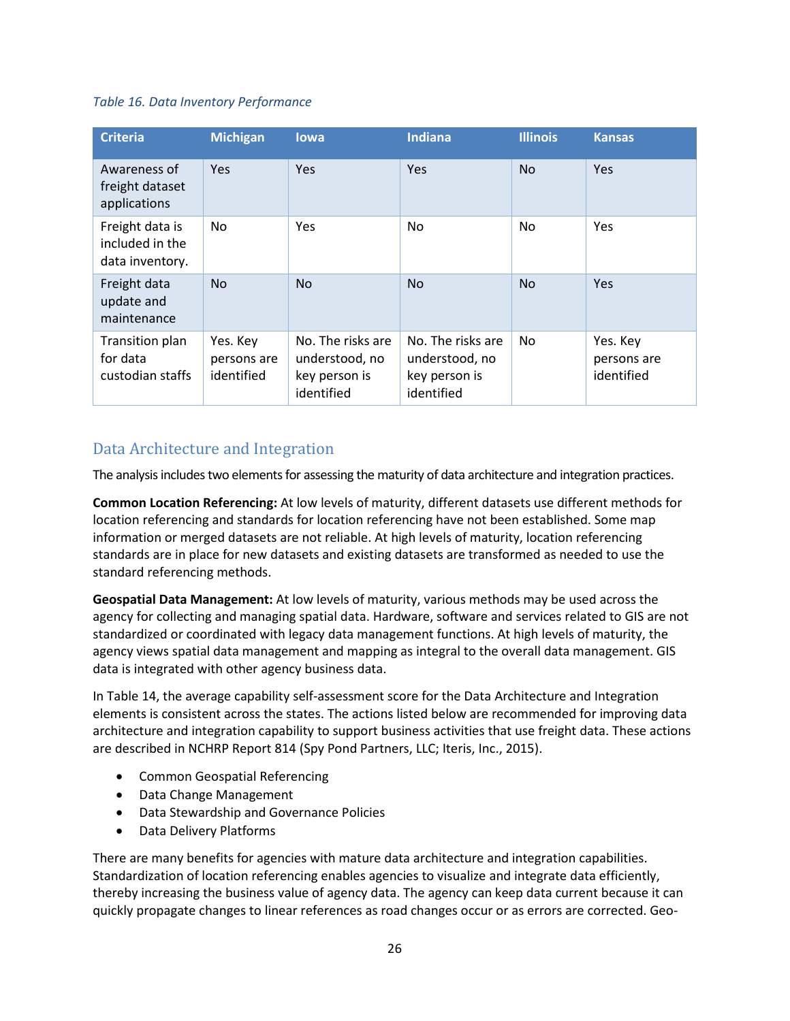#### <span id="page-31-1"></span>*Table 16. Data Inventory Performance*

| <b>Criteria</b>                                       | <b>Michigan</b>                       | <b>lowa</b>                                                        | <b>Indiana</b>                                                     | <b>Illinois</b> | <b>Kansas</b>                         |
|-------------------------------------------------------|---------------------------------------|--------------------------------------------------------------------|--------------------------------------------------------------------|-----------------|---------------------------------------|
| Awareness of<br>freight dataset<br>applications       | <b>Yes</b>                            | <b>Yes</b>                                                         | Yes                                                                | N <sub>o</sub>  | <b>Yes</b>                            |
| Freight data is<br>included in the<br>data inventory. | No.                                   | Yes                                                                | No                                                                 | No.             | Yes                                   |
| Freight data<br>update and<br>maintenance             | <b>No</b>                             | <b>No</b>                                                          | N <sub>o</sub>                                                     | N <sub>o</sub>  | <b>Yes</b>                            |
| Transition plan<br>for data<br>custodian staffs       | Yes. Key<br>persons are<br>identified | No. The risks are<br>understood, no<br>key person is<br>identified | No. The risks are<br>understood, no<br>key person is<br>identified | No.             | Yes. Key<br>persons are<br>identified |

# <span id="page-31-0"></span>Data Architecture and Integration

The analysis includes two elements for assessing the maturity of data architecture and integration practices.

**Common Location Referencing:** At low levels of maturity, different datasets use different methods for location referencing and standards for location referencing have not been established. Some map information or merged datasets are not reliable. At high levels of maturity, location referencing standards are in place for new datasets and existing datasets are transformed as needed to use the standard referencing methods.

**Geospatial Data Management:** At low levels of maturity, various methods may be used across the agency for collecting and managing spatial data. Hardware, software and services related to GIS are not standardized or coordinated with legacy data management functions. At high levels of maturity, the agency views spatial data management and mapping as integral to the overall data management. GIS data is integrated with other agency business data.

In [Table 14,](#page-27-2) the average capability self-assessment score for the Data Architecture and Integration elements is consistent across the states. The actions listed below are recommended for improving data architecture and integration capability to support business activities that use freight data. These actions are described in NCHRP Report 814 (Spy Pond Partners, LLC; Iteris, Inc., 2015).

- Common Geospatial Referencing
- Data Change Management
- Data Stewardship and Governance Policies
- Data Delivery Platforms

There are many benefits for agencies with mature data architecture and integration capabilities. Standardization of location referencing enables agencies to visualize and integrate data efficiently, thereby increasing the business value of agency data. The agency can keep data current because it can quickly propagate changes to linear references as road changes occur or as errors are corrected. Geo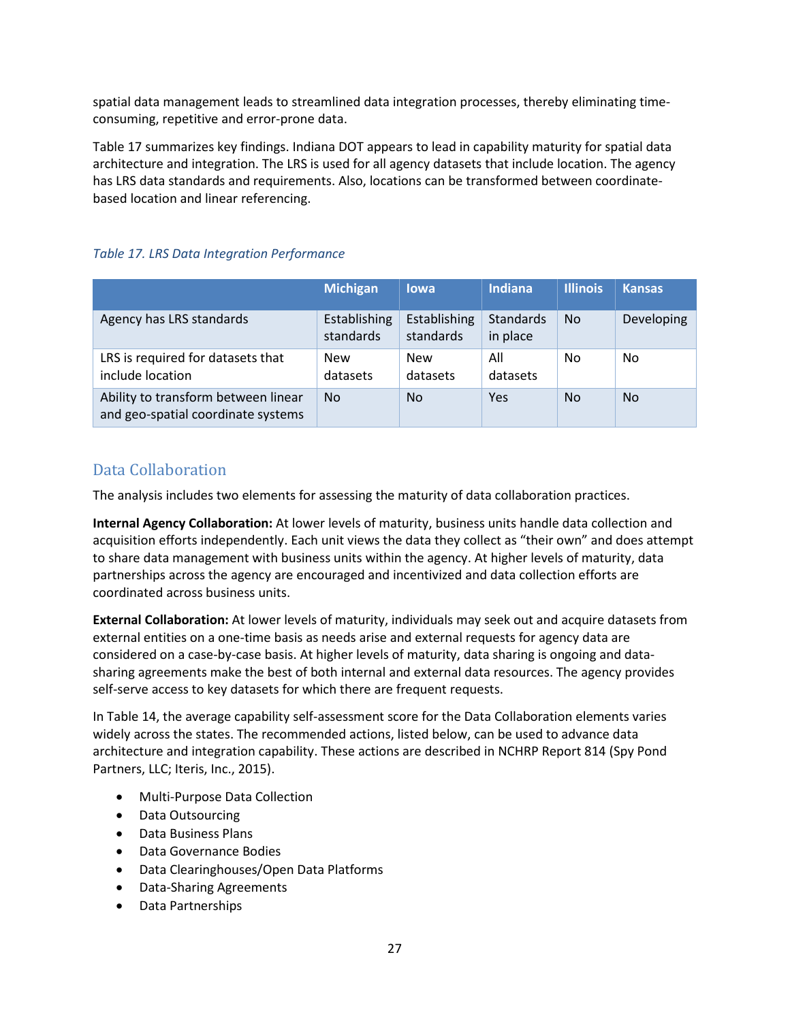spatial data management leads to streamlined data integration processes, thereby eliminating timeconsuming, repetitive and error-prone data.

[Table 17](#page-32-1) summarizes key findings. Indiana DOT appears to lead in capability maturity for spatial data architecture and integration. The LRS is used for all agency datasets that include location. The agency has LRS data standards and requirements. Also, locations can be transformed between coordinatebased location and linear referencing.

#### <span id="page-32-1"></span>*Table 17. LRS Data Integration Performance*

|                                                                           | <b>Michigan</b>           | lowa                      | <b>Indiana</b>        | <b>Illinois</b> | <b>Kansas</b>  |
|---------------------------------------------------------------------------|---------------------------|---------------------------|-----------------------|-----------------|----------------|
| Agency has LRS standards                                                  | Establishing<br>standards | Establishing<br>standards | Standards<br>in place | No.             | Developing     |
| LRS is required for datasets that<br>include location                     | <b>New</b><br>datasets    | <b>New</b><br>datasets    | All<br>datasets       | No              | No             |
| Ability to transform between linear<br>and geo-spatial coordinate systems | <b>No</b>                 | No                        | Yes                   | No.             | N <sub>0</sub> |

## <span id="page-32-0"></span>Data Collaboration

The analysis includes two elements for assessing the maturity of data collaboration practices.

**Internal Agency Collaboration:** At lower levels of maturity, business units handle data collection and acquisition efforts independently. Each unit views the data they collect as "their own" and does attempt to share data management with business units within the agency. At higher levels of maturity, data partnerships across the agency are encouraged and incentivized and data collection efforts are coordinated across business units.

**External Collaboration:** At lower levels of maturity, individuals may seek out and acquire datasets from external entities on a one-time basis as needs arise and external requests for agency data are considered on a case-by-case basis. At higher levels of maturity, data sharing is ongoing and datasharing agreements make the best of both internal and external data resources. The agency provides self-serve access to key datasets for which there are frequent requests.

In [Table 14,](#page-27-2) the average capability self-assessment score for the Data Collaboration elements varies widely across the states. The recommended actions, listed below, can be used to advance data architecture and integration capability. These actions are described in NCHRP Report 814 (Spy Pond Partners, LLC; Iteris, Inc., 2015).

- Multi-Purpose Data Collection
- Data Outsourcing
- Data Business Plans
- Data Governance Bodies
- Data Clearinghouses/Open Data Platforms
- Data-Sharing Agreements
- Data Partnerships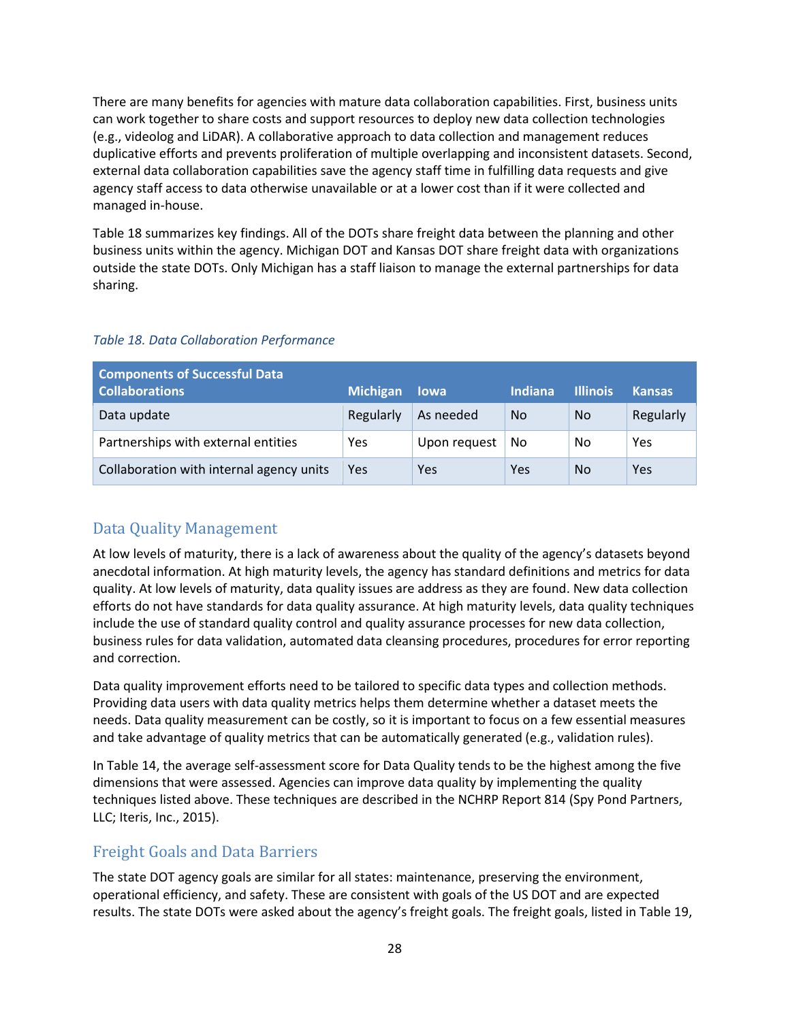There are many benefits for agencies with mature data collaboration capabilities. First, business units can work together to share costs and support resources to deploy new data collection technologies (e.g., videolog and LiDAR). A collaborative approach to data collection and management reduces duplicative efforts and prevents proliferation of multiple overlapping and inconsistent datasets. Second, external data collaboration capabilities save the agency staff time in fulfilling data requests and give agency staff access to data otherwise unavailable or at a lower cost than if it were collected and managed in-house.

[Table 18](#page-33-2) summarizes key findings. All of the DOTs share freight data between the planning and other business units within the agency. Michigan DOT and Kansas DOT share freight data with organizations outside the state DOTs. Only Michigan has a staff liaison to manage the external partnerships for data sharing.

| <b>Components of Successful Data</b><br><b>Collaborations</b> | <b>Michigan</b> | <b>lowa</b>  | Indiana        | <b>Illinois</b> | <b>Kansas</b> |
|---------------------------------------------------------------|-----------------|--------------|----------------|-----------------|---------------|
| Data update                                                   | Regularly       | As needed    | N <sub>0</sub> | No.             | Regularly     |
| Partnerships with external entities                           | Yes             | Upon request | No             | No              | Yes           |
| Collaboration with internal agency units                      | Yes             | Yes          | Yes            | No              | Yes           |

#### <span id="page-33-2"></span>*Table 18. Data Collaboration Performance*

## <span id="page-33-0"></span>Data Quality Management

At low levels of maturity, there is a lack of awareness about the quality of the agency's datasets beyond anecdotal information. At high maturity levels, the agency has standard definitions and metrics for data quality. At low levels of maturity, data quality issues are address as they are found. New data collection efforts do not have standards for data quality assurance. At high maturity levels, data quality techniques include the use of standard quality control and quality assurance processes for new data collection, business rules for data validation, automated data cleansing procedures, procedures for error reporting and correction.

Data quality improvement efforts need to be tailored to specific data types and collection methods. Providing data users with data quality metrics helps them determine whether a dataset meets the needs. Data quality measurement can be costly, so it is important to focus on a few essential measures and take advantage of quality metrics that can be automatically generated (e.g., validation rules).

In [Table 14,](#page-27-2) the average self-assessment score for Data Quality tends to be the highest among the five dimensions that were assessed. Agencies can improve data quality by implementing the quality techniques listed above. These techniques are described in the NCHRP Report 814 (Spy Pond Partners, LLC; Iteris, Inc., 2015).

## <span id="page-33-1"></span>Freight Goals and Data Barriers

The state DOT agency goals are similar for all states: maintenance, preserving the environment, operational efficiency, and safety. These are consistent with goals of the US DOT and are expected results. The state DOTs were asked about the agency's freight goals. The freight goals, listed in [Table 19,](#page-34-0)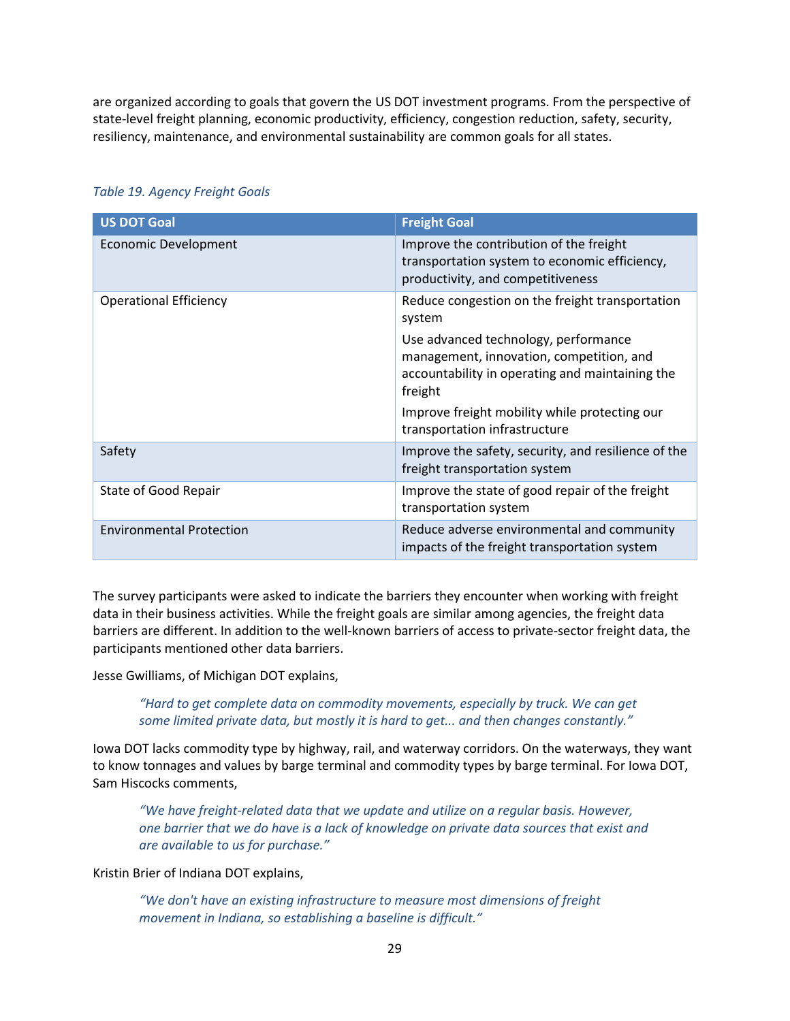are organized according to goals that govern the US DOT investment programs. From the perspective of state-level freight planning, economic productivity, efficiency, congestion reduction, safety, security, resiliency, maintenance, and environmental sustainability are common goals for all states.

| <b>US DOT Goal</b>              | <b>Freight Goal</b>                                                                                                                                                                             |
|---------------------------------|-------------------------------------------------------------------------------------------------------------------------------------------------------------------------------------------------|
| <b>Economic Development</b>     | Improve the contribution of the freight<br>transportation system to economic efficiency,<br>productivity, and competitiveness                                                                   |
| <b>Operational Efficiency</b>   | Reduce congestion on the freight transportation<br>system                                                                                                                                       |
|                                 | Use advanced technology, performance<br>management, innovation, competition, and<br>accountability in operating and maintaining the<br>freight<br>Improve freight mobility while protecting our |
|                                 | transportation infrastructure                                                                                                                                                                   |
| Safety                          | Improve the safety, security, and resilience of the<br>freight transportation system                                                                                                            |
| State of Good Repair            | Improve the state of good repair of the freight<br>transportation system                                                                                                                        |
| <b>Environmental Protection</b> | Reduce adverse environmental and community<br>impacts of the freight transportation system                                                                                                      |

#### <span id="page-34-0"></span>*Table 19. Agency Freight Goals*

The survey participants were asked to indicate the barriers they encounter when working with freight data in their business activities. While the freight goals are similar among agencies, the freight data barriers are different. In addition to the well-known barriers of access to private-sector freight data, the participants mentioned other data barriers.

Jesse Gwilliams, of Michigan DOT explains,

*"Hard to get complete data on commodity movements, especially by truck. We can get some limited private data, but mostly it is hard to get... and then changes constantly."* 

Iowa DOT lacks commodity type by highway, rail, and waterway corridors. On the waterways, they want to know tonnages and values by barge terminal and commodity types by barge terminal. For Iowa DOT, Sam Hiscocks comments,

*"We have freight-related data that we update and utilize on a regular basis. However, one barrier that we do have is a lack of knowledge on private data sources that exist and are available to us for purchase."* 

Kristin Brier of Indiana DOT explains,

*"We don't have an existing infrastructure to measure most dimensions of freight movement in Indiana, so establishing a baseline is difficult."*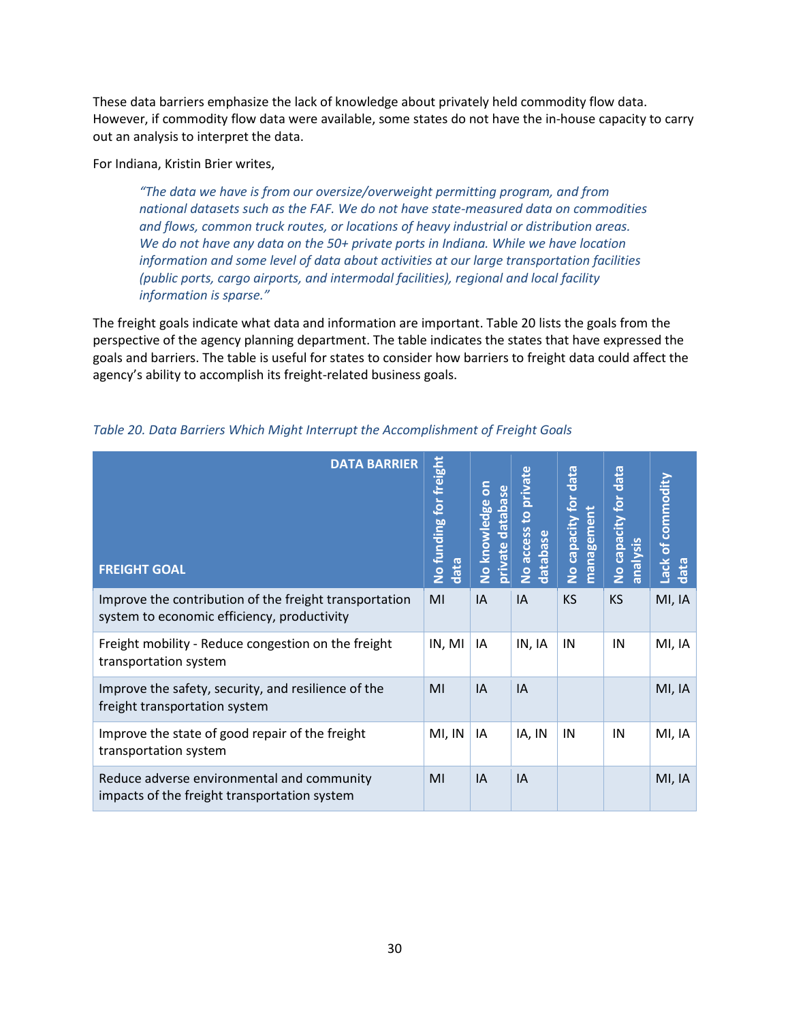These data barriers emphasize the lack of knowledge about privately held commodity flow data. However, if commodity flow data were available, some states do not have the in-house capacity to carry out an analysis to interpret the data.

For Indiana, Kristin Brier writes,

*"The data we have is from our oversize/overweight permitting program, and from national datasets such as the FAF. We do not have state-measured data on commodities and flows, common truck routes, or locations of heavy industrial or distribution areas. We do not have any data on the 50+ private ports in Indiana. While we have location information and some level of data about activities at our large transportation facilities (public ports, cargo airports, and intermodal facilities), regional and local facility information is sparse."* 

The freight goals indicate what data and information are important. [Table 20](#page-35-0) lists the goals from the perspective of the agency planning department. The table indicates the states that have expressed the goals and barriers. The table is useful for states to consider how barriers to freight data could affect the agency's ability to accomplish its freight-related business goals.

| <b>DATA BARRIER</b><br><b>FREIGHT GOAL</b>                                                            | for freight<br>No funding<br>data | δ<br>database<br>No knowledge<br>private | to private<br>No access<br>database | data<br>No capacity for<br>management | data<br>No capacity for<br>analysis | Lack of commodity<br>data |
|-------------------------------------------------------------------------------------------------------|-----------------------------------|------------------------------------------|-------------------------------------|---------------------------------------|-------------------------------------|---------------------------|
| Improve the contribution of the freight transportation<br>system to economic efficiency, productivity | MI                                | IA                                       | IA                                  | <b>KS</b>                             | <b>KS</b>                           | MI, IA                    |
| Freight mobility - Reduce congestion on the freight<br>transportation system                          | IN, MI                            | IA                                       | IN, IA                              | IN                                    | IN                                  | MI, IA                    |
| Improve the safety, security, and resilience of the<br>freight transportation system                  | MI                                | IA                                       | IA                                  |                                       |                                     | MI, IA                    |
| Improve the state of good repair of the freight<br>transportation system                              | MI, IN                            | IA                                       | IA, IN                              | IN                                    | IN                                  | MI, IA                    |
| Reduce adverse environmental and community<br>impacts of the freight transportation system            | MI                                | IA                                       | IA                                  |                                       |                                     | MI, IA                    |

<span id="page-35-0"></span>*Table 20. Data Barriers Which Might Interrupt the Accomplishment of Freight Goals*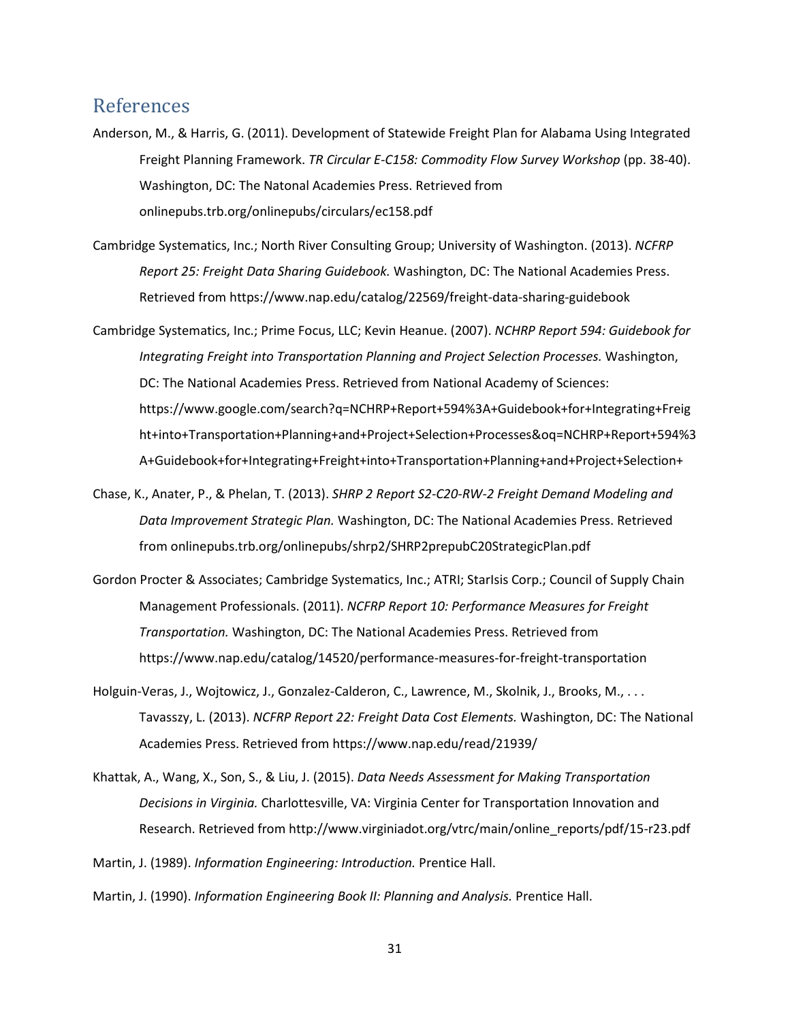## <span id="page-36-0"></span>References

- Anderson, M., & Harris, G. (2011). Development of Statewide Freight Plan for Alabama Using Integrated Freight Planning Framework. *TR Circular E-C158: Commodity Flow Survey Workshop* (pp. 38-40). Washington, DC: The Natonal Academies Press. Retrieved from onlinepubs.trb.org/onlinepubs/circulars/ec158.pdf
- Cambridge Systematics, Inc.; North River Consulting Group; University of Washington. (2013). *NCFRP Report 25: Freight Data Sharing Guidebook.* Washington, DC: The National Academies Press. Retrieved from https://www.nap.edu/catalog/22569/freight-data-sharing-guidebook
- Cambridge Systematics, Inc.; Prime Focus, LLC; Kevin Heanue. (2007). *NCHRP Report 594: Guidebook for Integrating Freight into Transportation Planning and Project Selection Processes.* Washington, DC: The National Academies Press. Retrieved from National Academy of Sciences: https://www.google.com/search?q=NCHRP+Report+594%3A+Guidebook+for+Integrating+Freig ht+into+Transportation+Planning+and+Project+Selection+Processes&oq=NCHRP+Report+594%3 A+Guidebook+for+Integrating+Freight+into+Transportation+Planning+and+Project+Selection+
- Chase, K., Anater, P., & Phelan, T. (2013). *SHRP 2 Report S2-C20-RW-2 Freight Demand Modeling and Data Improvement Strategic Plan.* Washington, DC: The National Academies Press. Retrieved from onlinepubs.trb.org/onlinepubs/shrp2/SHRP2prepubC20StrategicPlan.pdf
- Gordon Procter & Associates; Cambridge Systematics, Inc.; ATRI; StarIsis Corp.; Council of Supply Chain Management Professionals. (2011). *NCFRP Report 10: Performance Measures for Freight Transportation.* Washington, DC: The National Academies Press. Retrieved from https://www.nap.edu/catalog/14520/performance-measures-for-freight-transportation
- Holguin-Veras, J., Wojtowicz, J., Gonzalez-Calderon, C., Lawrence, M., Skolnik, J., Brooks, M., . . . Tavasszy, L. (2013). *NCFRP Report 22: Freight Data Cost Elements.* Washington, DC: The National Academies Press. Retrieved from https://www.nap.edu/read/21939/
- Khattak, A., Wang, X., Son, S., & Liu, J. (2015). *Data Needs Assessment for Making Transportation Decisions in Virginia.* Charlottesville, VA: Virginia Center for Transportation Innovation and Research. Retrieved from http://www.virginiadot.org/vtrc/main/online\_reports/pdf/15-r23.pdf

Martin, J. (1989). *Information Engineering: Introduction.* Prentice Hall.

Martin, J. (1990). *Information Engineering Book II: Planning and Analysis.* Prentice Hall.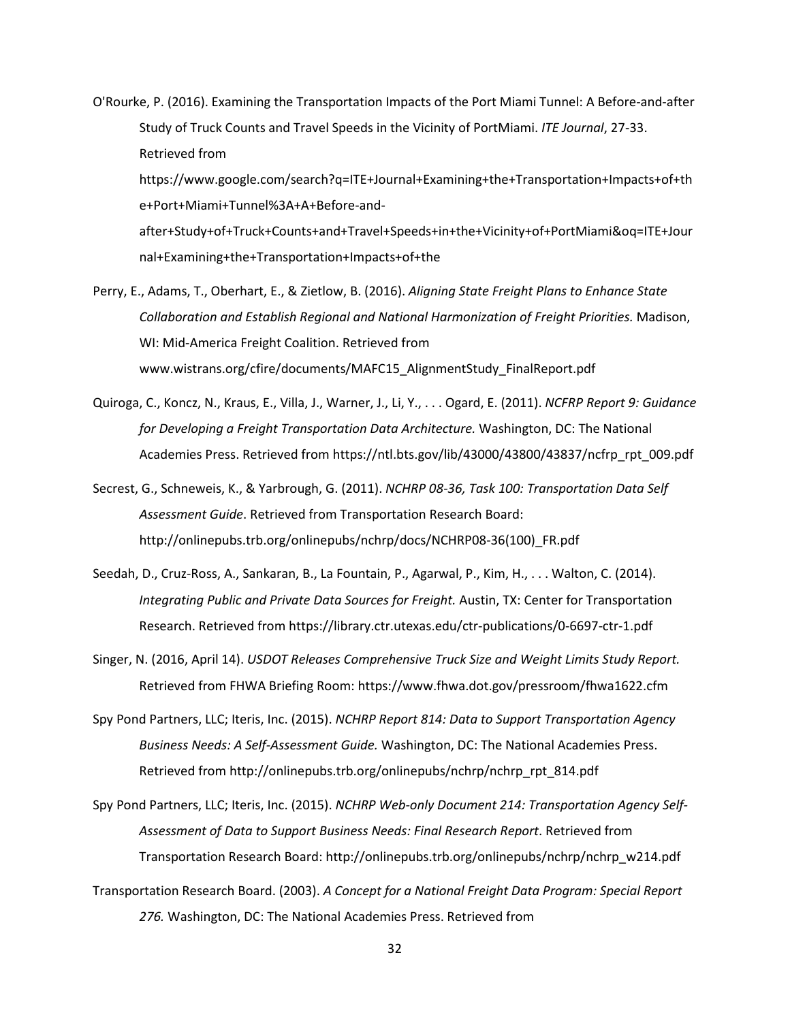- O'Rourke, P. (2016). Examining the Transportation Impacts of the Port Miami Tunnel: A Before-and-after Study of Truck Counts and Travel Speeds in the Vicinity of PortMiami. *ITE Journal*, 27-33. Retrieved from https://www.google.com/search?q=ITE+Journal+Examining+the+Transportation+Impacts+of+th e+Port+Miami+Tunnel%3A+A+Before-andafter+Study+of+Truck+Counts+and+Travel+Speeds+in+the+Vicinity+of+PortMiami&oq=ITE+Jour nal+Examining+the+Transportation+Impacts+of+the
- Perry, E., Adams, T., Oberhart, E., & Zietlow, B. (2016). *Aligning State Freight Plans to Enhance State Collaboration and Establish Regional and National Harmonization of Freight Priorities.* Madison, WI: Mid-America Freight Coalition. Retrieved from www.wistrans.org/cfire/documents/MAFC15\_AlignmentStudy\_FinalReport.pdf
- Quiroga, C., Koncz, N., Kraus, E., Villa, J., Warner, J., Li, Y., . . . Ogard, E. (2011). *NCFRP Report 9: Guidance for Developing a Freight Transportation Data Architecture.* Washington, DC: The National Academies Press. Retrieved from https://ntl.bts.gov/lib/43000/43800/43837/ncfrp\_rpt\_009.pdf
- Secrest, G., Schneweis, K., & Yarbrough, G. (2011). *NCHRP 08-36, Task 100: Transportation Data Self Assessment Guide*. Retrieved from Transportation Research Board: http://onlinepubs.trb.org/onlinepubs/nchrp/docs/NCHRP08-36(100)\_FR.pdf
- Seedah, D., Cruz-Ross, A., Sankaran, B., La Fountain, P., Agarwal, P., Kim, H., . . . Walton, C. (2014). *Integrating Public and Private Data Sources for Freight.* Austin, TX: Center for Transportation Research. Retrieved from https://library.ctr.utexas.edu/ctr-publications/0-6697-ctr-1.pdf
- Singer, N. (2016, April 14). *USDOT Releases Comprehensive Truck Size and Weight Limits Study Report.* Retrieved from FHWA Briefing Room: https://www.fhwa.dot.gov/pressroom/fhwa1622.cfm
- Spy Pond Partners, LLC; Iteris, Inc. (2015). *NCHRP Report 814: Data to Support Transportation Agency Business Needs: A Self-Assessment Guide.* Washington, DC: The National Academies Press. Retrieved from http://onlinepubs.trb.org/onlinepubs/nchrp/nchrp\_rpt\_814.pdf
- Spy Pond Partners, LLC; Iteris, Inc. (2015). *NCHRP Web-only Document 214: Transportation Agency Self-Assessment of Data to Support Business Needs: Final Research Report*. Retrieved from Transportation Research Board: http://onlinepubs.trb.org/onlinepubs/nchrp/nchrp\_w214.pdf
- Transportation Research Board. (2003). *A Concept for a National Freight Data Program: Special Report 276.* Washington, DC: The National Academies Press. Retrieved from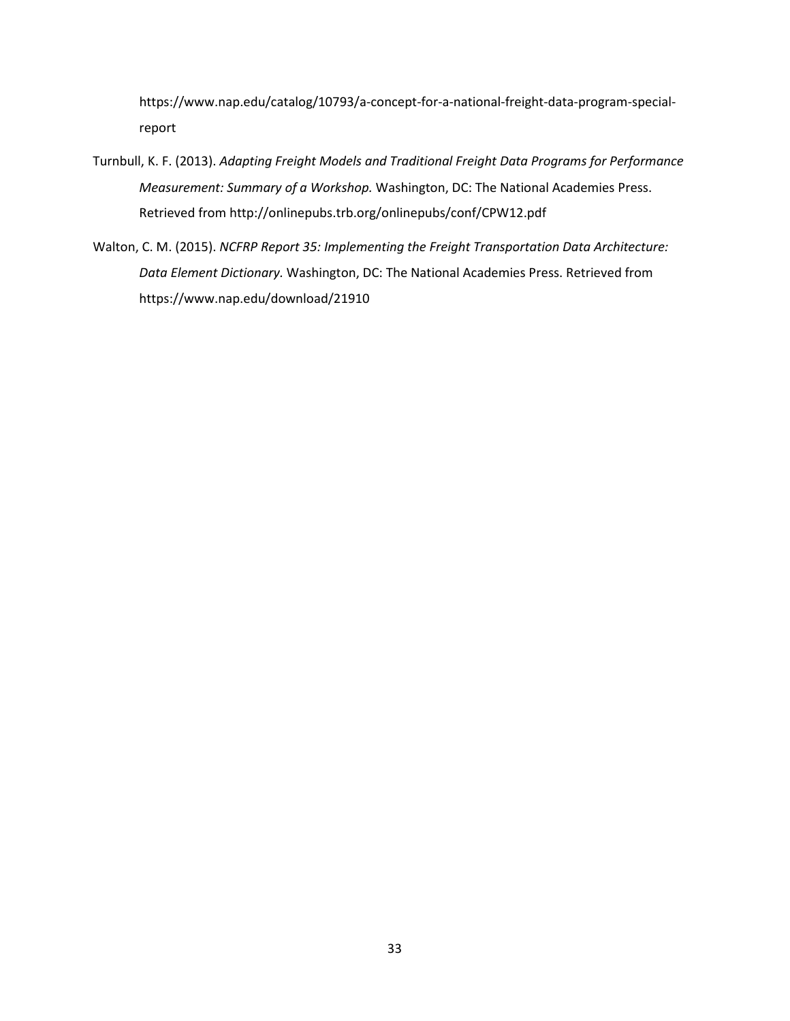https://www.nap.edu/catalog/10793/a-concept-for-a-national-freight-data-program-specialreport

- Turnbull, K. F. (2013). *Adapting Freight Models and Traditional Freight Data Programs for Performance Measurement: Summary of a Workshop.* Washington, DC: The National Academies Press. Retrieved from http://onlinepubs.trb.org/onlinepubs/conf/CPW12.pdf
- Walton, C. M. (2015). *NCFRP Report 35: Implementing the Freight Transportation Data Architecture: Data Element Dictionary.* Washington, DC: The National Academies Press. Retrieved from https://www.nap.edu/download/21910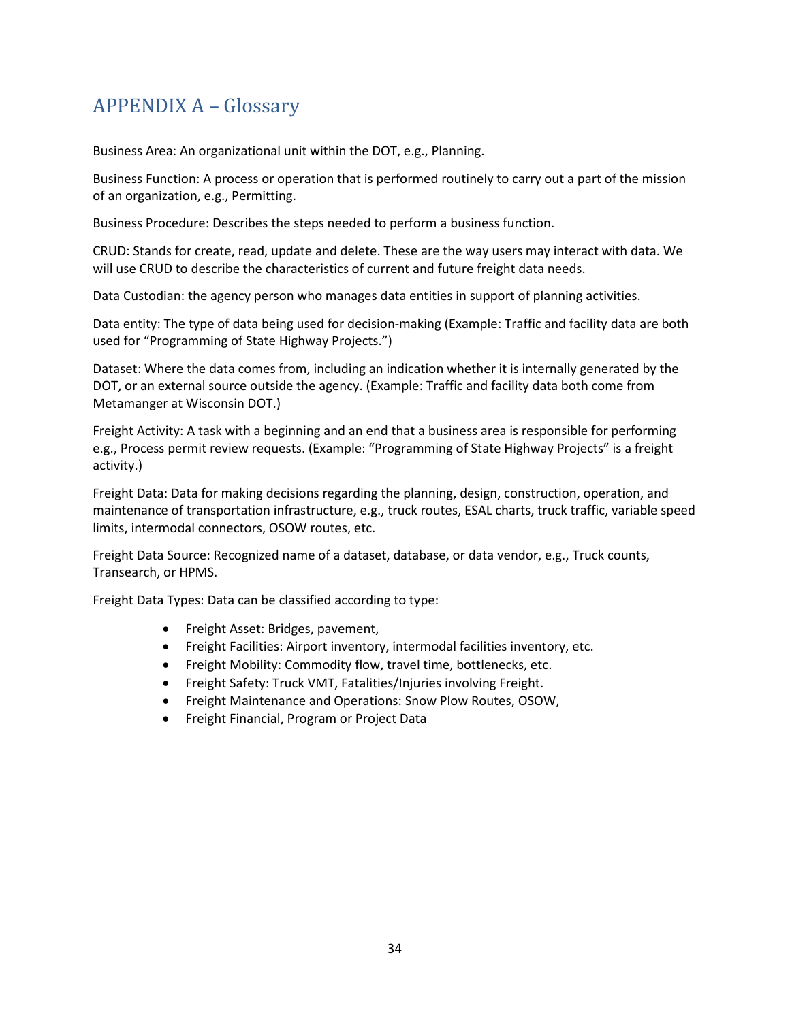# <span id="page-39-0"></span>APPENDIX A – Glossary

Business Area: An organizational unit within the DOT, e.g., Planning.

Business Function: A process or operation that is performed routinely to carry out a part of the mission of an organization, e.g., Permitting.

Business Procedure: Describes the steps needed to perform a business function.

CRUD: Stands for create, read, update and delete. These are the way users may interact with data. We will use CRUD to describe the characteristics of current and future freight data needs.

Data Custodian: the agency person who manages data entities in support of planning activities.

Data entity: The type of data being used for decision-making (Example: Traffic and facility data are both used for "Programming of State Highway Projects.")

Dataset: Where the data comes from, including an indication whether it is internally generated by the DOT, or an external source outside the agency. (Example: Traffic and facility data both come from Metamanger at Wisconsin DOT.)

Freight Activity: A task with a beginning and an end that a business area is responsible for performing e.g., Process permit review requests. (Example: "Programming of State Highway Projects" is a freight activity.)

Freight Data: Data for making decisions regarding the planning, design, construction, operation, and maintenance of transportation infrastructure, e.g., truck routes, ESAL charts, truck traffic, variable speed limits, intermodal connectors, OSOW routes, etc.

Freight Data Source: Recognized name of a dataset, database, or data vendor, e.g., Truck counts, Transearch, or HPMS.

Freight Data Types: Data can be classified according to type:

- Freight Asset: Bridges, pavement,
- Freight Facilities: Airport inventory, intermodal facilities inventory, etc.
- Freight Mobility: Commodity flow, travel time, bottlenecks, etc.
- Freight Safety: Truck VMT, Fatalities/Injuries involving Freight.
- Freight Maintenance and Operations: Snow Plow Routes, OSOW,
- Freight Financial, Program or Project Data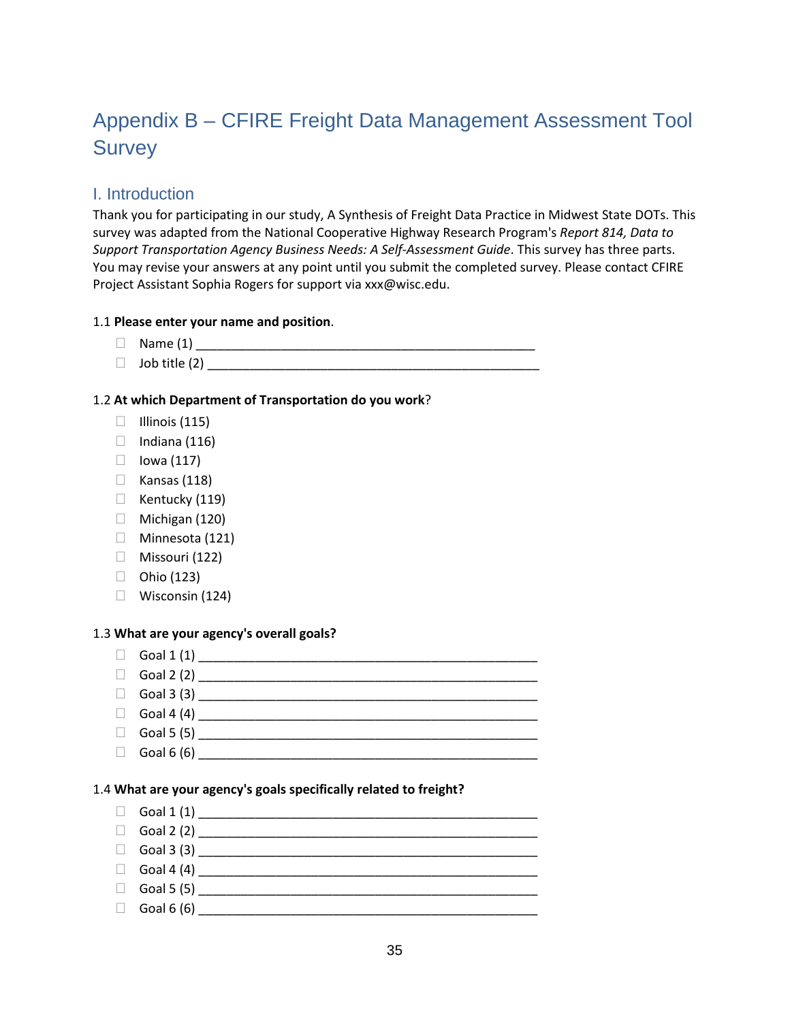# Appendix B – CFIRE Freight Data Management Assessment Tool **Survey**

# I. Introduction

Thank you for participating in our study, A Synthesis of Freight Data Practice in Midwest State DOTs. This survey was adapted from the National Cooperative Highway Research Program's *Report 814, Data to Support Transportation Agency Business Needs: A Self-Assessment Guide*. This survey has three parts. You may revise your answers at any point until you submit the completed survey. Please contact CFIRE Project Assistant Sophia Rogers for support via xxx@wisc.edu.

### 1.1 **Please enter your name and position**.

- Name (1) \_\_\_\_\_\_\_\_\_\_\_\_\_\_\_\_\_\_\_\_\_\_\_\_\_\_\_\_\_\_\_\_\_\_\_\_\_\_\_\_\_\_\_\_\_\_\_\_
- Job title (2) \_\_\_\_\_\_\_\_\_\_\_\_\_\_\_\_\_\_\_\_\_\_\_\_\_\_\_\_\_\_\_\_\_\_\_\_\_\_\_\_\_\_\_\_\_\_\_

#### 1.2 **At which Department of Transportation do you work**?

- $\Box$  Illinois (115)
- $\Box$  Indiana (116)
- $\Box$  lowa (117)
- $\Box$  Kansas (118)
- $\Box$  Kentucky (119)
- $\Box$  Michigan (120)
- □ Minnesota (121)
- Missouri (122)
- $\Box$  Ohio (123)
- Wisconsin (124)

#### 1.3 **What are your agency's overall goals?**

- Goal 1 (1) \_\_\_\_\_\_\_\_\_\_\_\_\_\_\_\_\_\_\_\_\_\_\_\_\_\_\_\_\_\_\_\_\_\_\_\_\_\_\_\_\_\_\_\_\_\_\_\_
- 
- Goal 2 (2) \_\_\_\_\_\_\_\_\_\_\_\_\_\_\_\_\_\_\_\_\_\_\_\_\_\_\_\_\_\_\_\_\_\_\_\_\_\_\_\_\_\_\_\_\_\_\_\_ Goal 3 (3) \_\_\_\_\_\_\_\_\_\_\_\_\_\_\_\_\_\_\_\_\_\_\_\_\_\_\_\_\_\_\_\_\_\_\_\_\_\_\_\_\_\_\_\_\_\_\_\_
- 
- Goal 4 (4) \_\_\_\_\_\_\_\_\_\_\_\_\_\_\_\_\_\_\_\_\_\_\_\_\_\_\_\_\_\_\_\_\_\_\_\_\_\_\_\_\_\_\_\_\_\_\_\_
- Goal 5 (5) \_\_\_\_\_\_\_\_\_\_\_\_\_\_\_\_\_\_\_\_\_\_\_\_\_\_\_\_\_\_\_\_\_\_\_\_\_\_\_\_\_\_\_\_\_\_\_\_
- Goal 6 (6) \_\_\_\_\_\_\_\_\_\_\_\_\_\_\_\_\_\_\_\_\_\_\_\_\_\_\_\_\_\_\_\_\_\_\_\_\_\_\_\_\_\_\_\_\_\_\_\_

#### 1.4 **What are your agency's goals specifically related to freight?**

- $\Box$  Goal 1 (1)
- $\Box$  Goal 2 (2)
- Goal 3 (3) \_\_\_\_\_\_\_\_\_\_\_\_\_\_\_\_\_\_\_\_\_\_\_\_\_\_\_\_\_\_\_\_\_\_\_\_\_\_\_\_\_\_\_\_\_\_\_\_
- Goal 4 (4) \_\_\_\_\_\_\_\_\_\_\_\_\_\_\_\_\_\_\_\_\_\_\_\_\_\_\_\_\_\_\_\_\_\_\_\_\_\_\_\_\_\_\_\_\_\_\_\_
- Goal 5 (5) \_\_\_\_\_\_\_\_\_\_\_\_\_\_\_\_\_\_\_\_\_\_\_\_\_\_\_\_\_\_\_\_\_\_\_\_\_\_\_\_\_\_\_\_\_\_\_\_
- $\Box$  Goal 6 (6)  $\Box$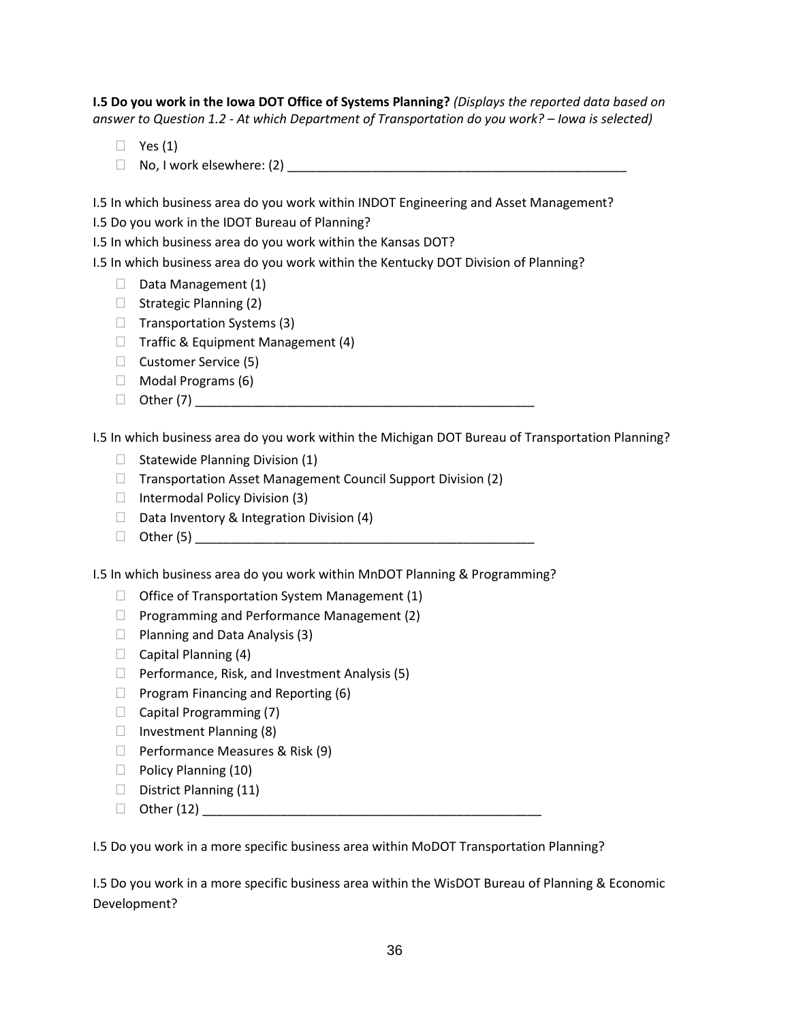**I.5 Do you work in the Iowa DOT Office of Systems Planning?** *(Displays the reported data based on answer to Question 1.2 - At which Department of Transportation do you work? – Iowa is selected)*

- $\Box$  Yes (1)
- $\Box$  No, I work elsewhere: (2)  $\Box$

I.5 In which business area do you work within INDOT Engineering and Asset Management?

I.5 Do you work in the IDOT Bureau of Planning?

I.5 In which business area do you work within the Kansas DOT?

I.5 In which business area do you work within the Kentucky DOT Division of Planning?

- $\Box$  Data Management (1)
- $\Box$  Strategic Planning (2)
- $\Box$  Transportation Systems (3)
- $\Box$  Traffic & Equipment Management (4)
- Customer Service (5)
- $\Box$  Modal Programs (6)
- Other (7) \_\_\_\_\_\_\_\_\_\_\_\_\_\_\_\_\_\_\_\_\_\_\_\_\_\_\_\_\_\_\_\_\_\_\_\_\_\_\_\_\_\_\_\_\_\_\_\_

I.5 In which business area do you work within the Michigan DOT Bureau of Transportation Planning?

- $\Box$  Statewide Planning Division (1)
- $\Box$  Transportation Asset Management Council Support Division (2)
- $\Box$  Intermodal Policy Division (3)
- $\Box$  Data Inventory & Integration Division (4)
- $\Box$  Other (5)

I.5 In which business area do you work within MnDOT Planning & Programming?

- $\Box$  Office of Transportation System Management (1)
- $\Box$  Programming and Performance Management (2)
- $\Box$  Planning and Data Analysis (3)
- $\Box$  Capital Planning (4)
- $\Box$  Performance, Risk, and Investment Analysis (5)
- $\Box$  Program Financing and Reporting (6)
- Capital Programming (7)
- $\Box$  Investment Planning (8)
- $\Box$  Performance Measures & Risk (9)
- $\Box$  Policy Planning (10)
- $\Box$  District Planning (11)
- $\Box$  Other (12)

I.5 Do you work in a more specific business area within MoDOT Transportation Planning?

I.5 Do you work in a more specific business area within the WisDOT Bureau of Planning & Economic Development?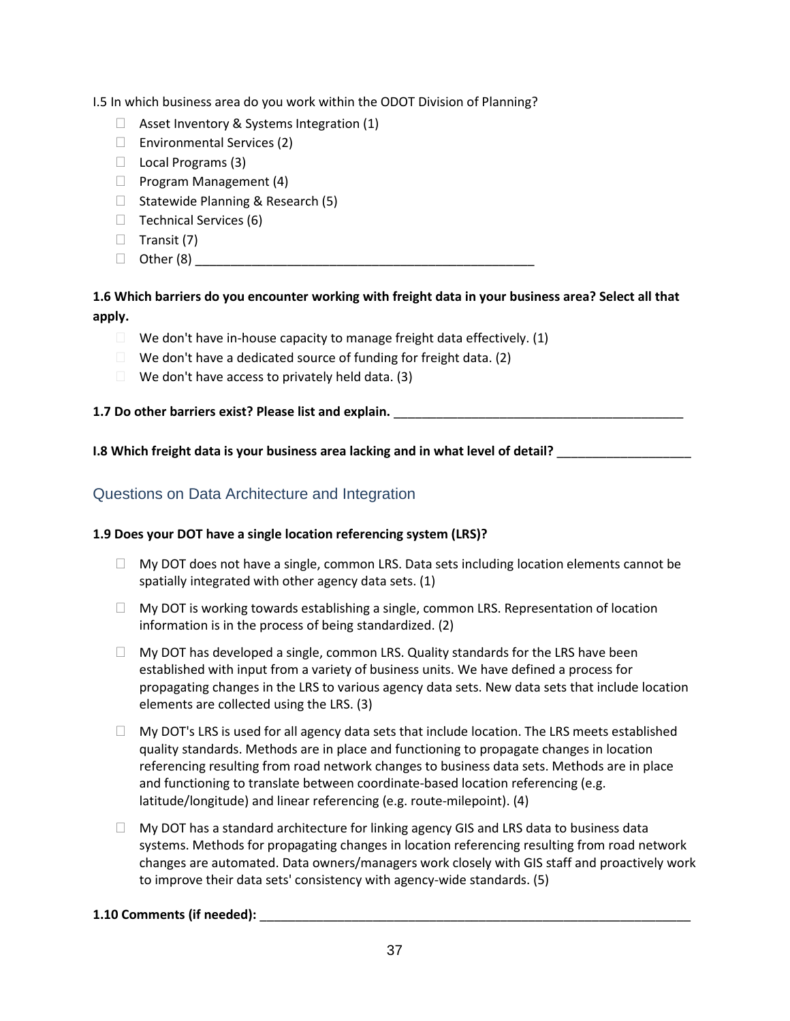I.5 In which business area do you work within the ODOT Division of Planning?

- $\Box$  Asset Inventory & Systems Integration (1)
- $\Box$  Environmental Services (2)
- $\Box$  Local Programs (3)
- $\Box$  Program Management (4)
- $\Box$  Statewide Planning & Research (5)
- $\Box$  Technical Services (6)
- $\Box$  Transit (7)
- Other (8) \_\_\_\_\_\_\_\_\_\_\_\_\_\_\_\_\_\_\_\_\_\_\_\_\_\_\_\_\_\_\_\_\_\_\_\_\_\_\_\_\_\_\_\_\_\_\_\_

## **1.6 Which barriers do you encounter working with freight data in your business area? Select all that apply.**

- $\Box$  We don't have in-house capacity to manage freight data effectively. (1)
- $\Box$  We don't have a dedicated source of funding for freight data. (2)
- $\Box$  We don't have access to privately held data. (3)

## **1.7 Do other barriers exist? Please list and explain. Letter and the state of the state of the state of the state of the state of the state of the state of the state of the state of the state of the state of the state o**

**I.8 Which freight data is your business area lacking and in what level of detail?** \_\_\_\_\_\_\_\_\_\_\_\_\_\_\_\_\_\_\_

## Questions on Data Architecture and Integration

### **1.9 Does your DOT have a single location referencing system (LRS)?**

- $\Box$  My DOT does not have a single, common LRS. Data sets including location elements cannot be spatially integrated with other agency data sets. (1)
- $\Box$  My DOT is working towards establishing a single, common LRS. Representation of location information is in the process of being standardized. (2)
- $\Box$  My DOT has developed a single, common LRS. Quality standards for the LRS have been established with input from a variety of business units. We have defined a process for propagating changes in the LRS to various agency data sets. New data sets that include location elements are collected using the LRS. (3)
- $\Box$  My DOT's LRS is used for all agency data sets that include location. The LRS meets established quality standards. Methods are in place and functioning to propagate changes in location referencing resulting from road network changes to business data sets. Methods are in place and functioning to translate between coordinate-based location referencing (e.g. latitude/longitude) and linear referencing (e.g. route-milepoint). (4)
- $\Box$  My DOT has a standard architecture for linking agency GIS and LRS data to business data systems. Methods for propagating changes in location referencing resulting from road network changes are automated. Data owners/managers work closely with GIS staff and proactively work to improve their data sets' consistency with agency-wide standards. (5)

## **1.10 Comments (if needed):** \_\_\_\_\_\_\_\_\_\_\_\_\_\_\_\_\_\_\_\_\_\_\_\_\_\_\_\_\_\_\_\_\_\_\_\_\_\_\_\_\_\_\_\_\_\_\_\_\_\_\_\_\_\_\_\_\_\_\_\_\_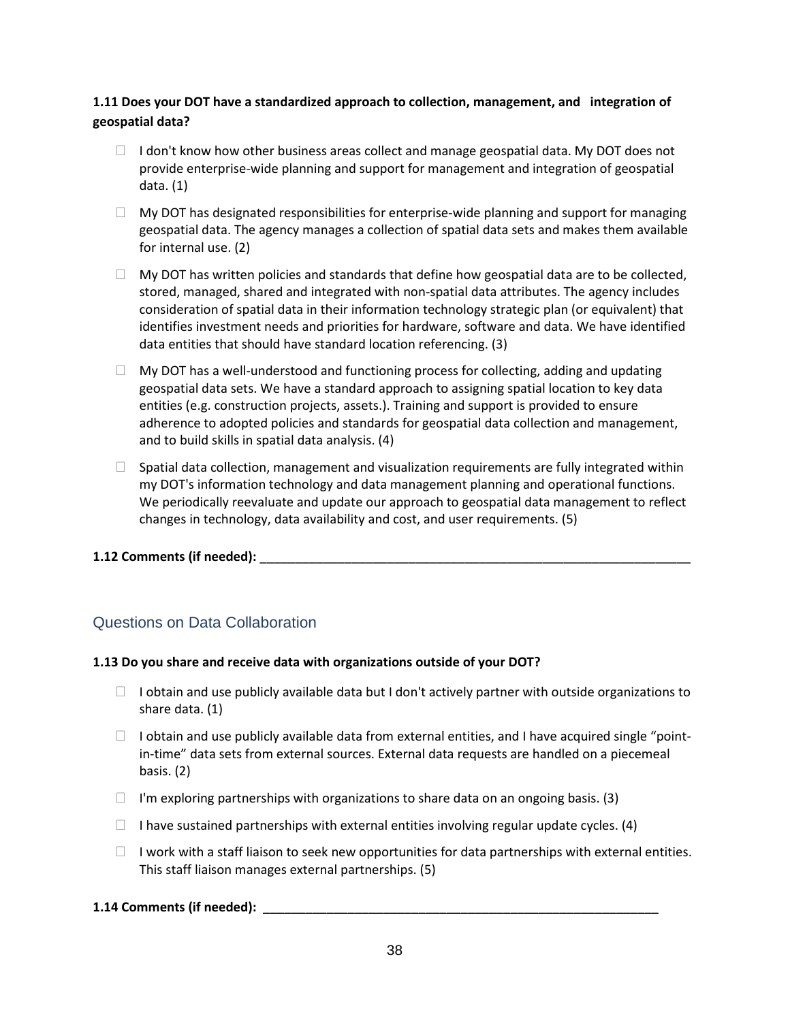## **1.11 Does your DOT have a standardized approach to collection, management, and integration of geospatial data?**

- $\Box$  I don't know how other business areas collect and manage geospatial data. My DOT does not provide enterprise-wide planning and support for management and integration of geospatial data. (1)
- $\Box$  My DOT has designated responsibilities for enterprise-wide planning and support for managing geospatial data. The agency manages a collection of spatial data sets and makes them available for internal use. (2)
- $\Box$  My DOT has written policies and standards that define how geospatial data are to be collected, stored, managed, shared and integrated with non-spatial data attributes. The agency includes consideration of spatial data in their information technology strategic plan (or equivalent) that identifies investment needs and priorities for hardware, software and data. We have identified data entities that should have standard location referencing. (3)
- $\Box$  My DOT has a well-understood and functioning process for collecting, adding and updating geospatial data sets. We have a standard approach to assigning spatial location to key data entities (e.g. construction projects, assets.). Training and support is provided to ensure adherence to adopted policies and standards for geospatial data collection and management, and to build skills in spatial data analysis. (4)
- $\Box$  Spatial data collection, management and visualization requirements are fully integrated within my DOT's information technology and data management planning and operational functions. We periodically reevaluate and update our approach to geospatial data management to reflect changes in technology, data availability and cost, and user requirements. (5)

### **1.12 Comments (if needed): Letters and Security 2.12 Comments (if needed):**

## Questions on Data Collaboration

#### **1.13 Do you share and receive data with organizations outside of your DOT?**

- $\Box$  I obtain and use publicly available data but I don't actively partner with outside organizations to share data. (1)
- $\Box$  I obtain and use publicly available data from external entities, and I have acquired single "pointin-time" data sets from external sources. External data requests are handled on a piecemeal basis. (2)
- $\Box$  I'm exploring partnerships with organizations to share data on an ongoing basis. (3)
- $\Box$  I have sustained partnerships with external entities involving regular update cycles. (4)
- $\Box$  I work with a staff liaison to seek new opportunities for data partnerships with external entities. This staff liaison manages external partnerships. (5)

### **1.14 Comments (if needed): \_\_\_\_\_\_\_\_\_\_\_\_\_\_\_\_\_\_\_\_\_\_\_\_\_\_\_\_\_\_\_\_\_\_\_\_\_\_\_\_\_\_\_\_\_\_\_\_\_\_\_\_\_\_\_\_**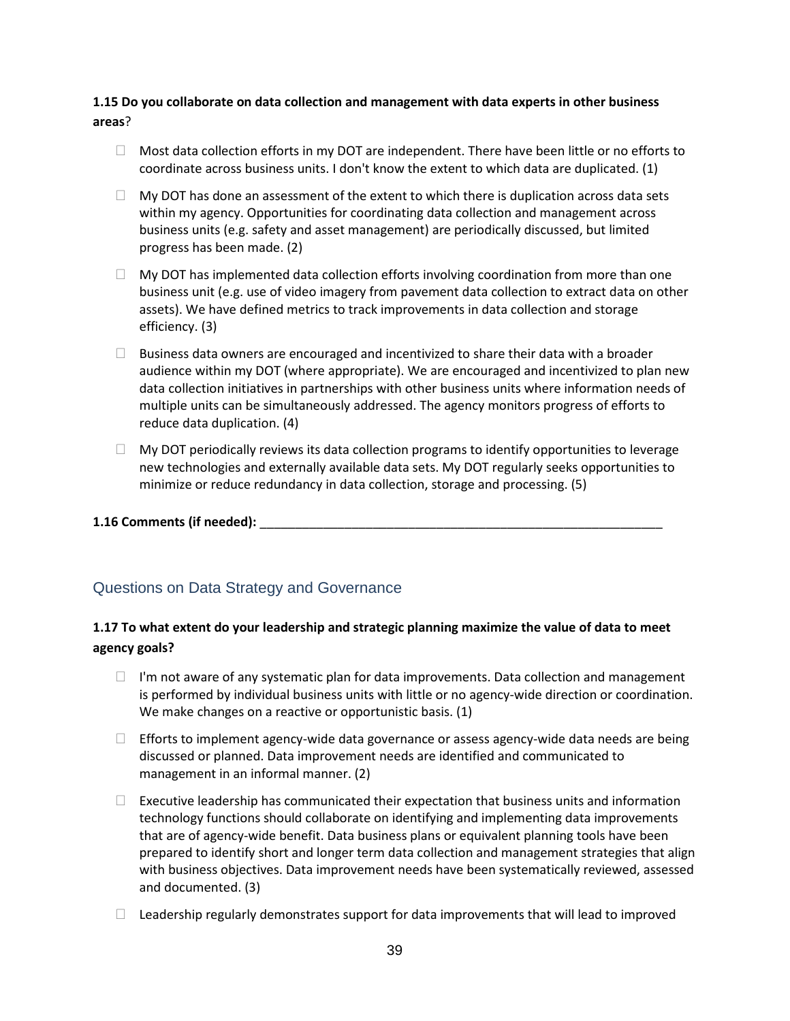### **1.15 Do you collaborate on data collection and management with data experts in other business areas**?

- $\Box$  Most data collection efforts in my DOT are independent. There have been little or no efforts to coordinate across business units. I don't know the extent to which data are duplicated. (1)
- $\Box$  My DOT has done an assessment of the extent to which there is duplication across data sets within my agency. Opportunities for coordinating data collection and management across business units (e.g. safety and asset management) are periodically discussed, but limited progress has been made. (2)
- $\Box$  My DOT has implemented data collection efforts involving coordination from more than one business unit (e.g. use of video imagery from pavement data collection to extract data on other assets). We have defined metrics to track improvements in data collection and storage efficiency. (3)
- $\Box$  Business data owners are encouraged and incentivized to share their data with a broader audience within my DOT (where appropriate). We are encouraged and incentivized to plan new data collection initiatives in partnerships with other business units where information needs of multiple units can be simultaneously addressed. The agency monitors progress of efforts to reduce data duplication. (4)
- $\Box$  My DOT periodically reviews its data collection programs to identify opportunities to leverage new technologies and externally available data sets. My DOT regularly seeks opportunities to minimize or reduce redundancy in data collection, storage and processing. (5)

### **1.16 Comments (if needed): Letters and Security 2.16 Comments (if needed):**

## Questions on Data Strategy and Governance

## **1.17 To what extent do your leadership and strategic planning maximize the value of data to meet agency goals?**

- $\Box$  I'm not aware of any systematic plan for data improvements. Data collection and management is performed by individual business units with little or no agency-wide direction or coordination. We make changes on a reactive or opportunistic basis. (1)
- $\Box$  Efforts to implement agency-wide data governance or assess agency-wide data needs are being discussed or planned. Data improvement needs are identified and communicated to management in an informal manner. (2)
- $\Box$  Executive leadership has communicated their expectation that business units and information technology functions should collaborate on identifying and implementing data improvements that are of agency-wide benefit. Data business plans or equivalent planning tools have been prepared to identify short and longer term data collection and management strategies that align with business objectives. Data improvement needs have been systematically reviewed, assessed and documented. (3)
- $\Box$  Leadership regularly demonstrates support for data improvements that will lead to improved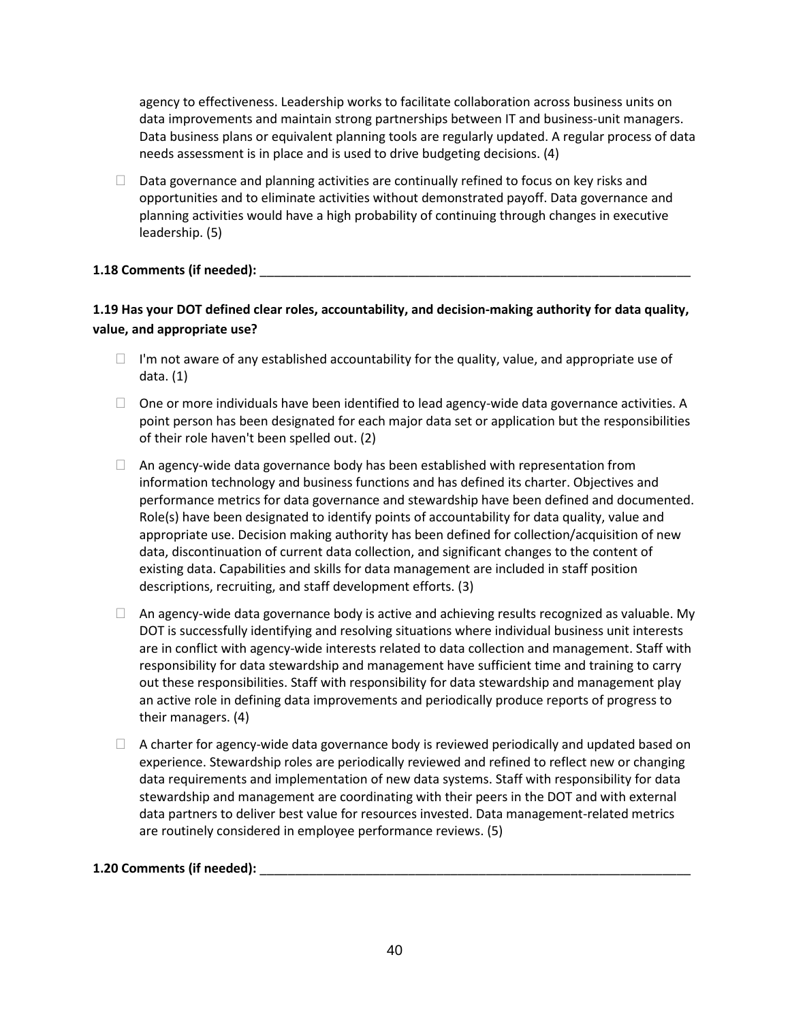agency to effectiveness. Leadership works to facilitate collaboration across business units on data improvements and maintain strong partnerships between IT and business-unit managers. Data business plans or equivalent planning tools are regularly updated. A regular process of data needs assessment is in place and is used to drive budgeting decisions. (4)

 $\Box$  Data governance and planning activities are continually refined to focus on key risks and opportunities and to eliminate activities without demonstrated payoff. Data governance and planning activities would have a high probability of continuing through changes in executive leadership. (5)

### **1.18 Comments (if needed):** \_\_\_\_\_\_\_\_\_\_\_\_\_\_\_\_\_\_\_\_\_\_\_\_\_\_\_\_\_\_\_\_\_\_\_\_\_\_\_\_\_\_\_\_\_\_\_\_\_\_\_\_\_\_\_\_\_\_\_\_\_

## **1.19 Has your DOT defined clear roles, accountability, and decision-making authority for data quality, value, and appropriate use?**

- $\Box$  I'm not aware of any established accountability for the quality, value, and appropriate use of data. (1)
- $\Box$  One or more individuals have been identified to lead agency-wide data governance activities. A point person has been designated for each major data set or application but the responsibilities of their role haven't been spelled out. (2)
- $\Box$  An agency-wide data governance body has been established with representation from information technology and business functions and has defined its charter. Objectives and performance metrics for data governance and stewardship have been defined and documented. Role(s) have been designated to identify points of accountability for data quality, value and appropriate use. Decision making authority has been defined for collection/acquisition of new data, discontinuation of current data collection, and significant changes to the content of existing data. Capabilities and skills for data management are included in staff position descriptions, recruiting, and staff development efforts. (3)
- $\Box$  An agency-wide data governance body is active and achieving results recognized as valuable. My DOT is successfully identifying and resolving situations where individual business unit interests are in conflict with agency-wide interests related to data collection and management. Staff with responsibility for data stewardship and management have sufficient time and training to carry out these responsibilities. Staff with responsibility for data stewardship and management play an active role in defining data improvements and periodically produce reports of progress to their managers. (4)
- $\Box$  A charter for agency-wide data governance body is reviewed periodically and updated based on experience. Stewardship roles are periodically reviewed and refined to reflect new or changing data requirements and implementation of new data systems. Staff with responsibility for data stewardship and management are coordinating with their peers in the DOT and with external data partners to deliver best value for resources invested. Data management-related metrics are routinely considered in employee performance reviews. (5)

### **1.20 Comments (if needed):** \_\_\_\_\_\_\_\_\_\_\_\_\_\_\_\_\_\_\_\_\_\_\_\_\_\_\_\_\_\_\_\_\_\_\_\_\_\_\_\_\_\_\_\_\_\_\_\_\_\_\_\_\_\_\_\_\_\_\_\_\_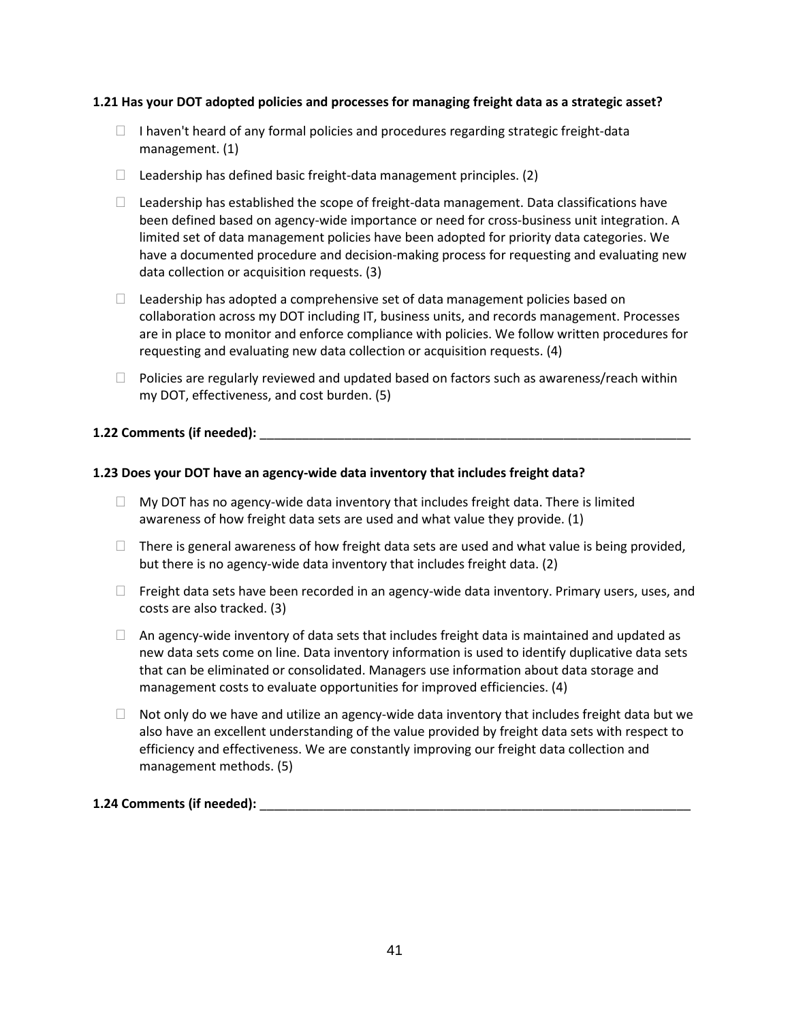#### **1.21 Has your DOT adopted policies and processes for managing freight data as a strategic asset?**

- $\Box$  I haven't heard of any formal policies and procedures regarding strategic freight-data management. (1)
- $\Box$  Leadership has defined basic freight-data management principles. (2)
- $\Box$  Leadership has established the scope of freight-data management. Data classifications have been defined based on agency-wide importance or need for cross-business unit integration. A limited set of data management policies have been adopted for priority data categories. We have a documented procedure and decision-making process for requesting and evaluating new data collection or acquisition requests. (3)
- $\Box$  Leadership has adopted a comprehensive set of data management policies based on collaboration across my DOT including IT, business units, and records management. Processes are in place to monitor and enforce compliance with policies. We follow written procedures for requesting and evaluating new data collection or acquisition requests. (4)
- $\Box$  Policies are regularly reviewed and updated based on factors such as awareness/reach within my DOT, effectiveness, and cost burden. (5)

#### **1.22 Comments (if needed):** \_\_\_\_\_\_\_\_\_\_\_\_\_\_\_\_\_\_\_\_\_\_\_\_\_\_\_\_\_\_\_\_\_\_\_\_\_\_\_\_\_\_\_\_\_\_\_\_\_\_\_\_\_\_\_\_\_\_\_\_\_

#### **1.23 Does your DOT have an agency-wide data inventory that includes freight data?**

- $\Box$  My DOT has no agency-wide data inventory that includes freight data. There is limited awareness of how freight data sets are used and what value they provide. (1)
- $\Box$  There is general awareness of how freight data sets are used and what value is being provided, but there is no agency-wide data inventory that includes freight data. (2)
- $\Box$  Freight data sets have been recorded in an agency-wide data inventory. Primary users, uses, and costs are also tracked. (3)
- $\Box$  An agency-wide inventory of data sets that includes freight data is maintained and updated as new data sets come on line. Data inventory information is used to identify duplicative data sets that can be eliminated or consolidated. Managers use information about data storage and management costs to evaluate opportunities for improved efficiencies. (4)
- $\Box$  Not only do we have and utilize an agency-wide data inventory that includes freight data but we also have an excellent understanding of the value provided by freight data sets with respect to efficiency and effectiveness. We are constantly improving our freight data collection and management methods. (5)

#### **1.24 Comments (if needed):** \_\_\_\_\_\_\_\_\_\_\_\_\_\_\_\_\_\_\_\_\_\_\_\_\_\_\_\_\_\_\_\_\_\_\_\_\_\_\_\_\_\_\_\_\_\_\_\_\_\_\_\_\_\_\_\_\_\_\_\_\_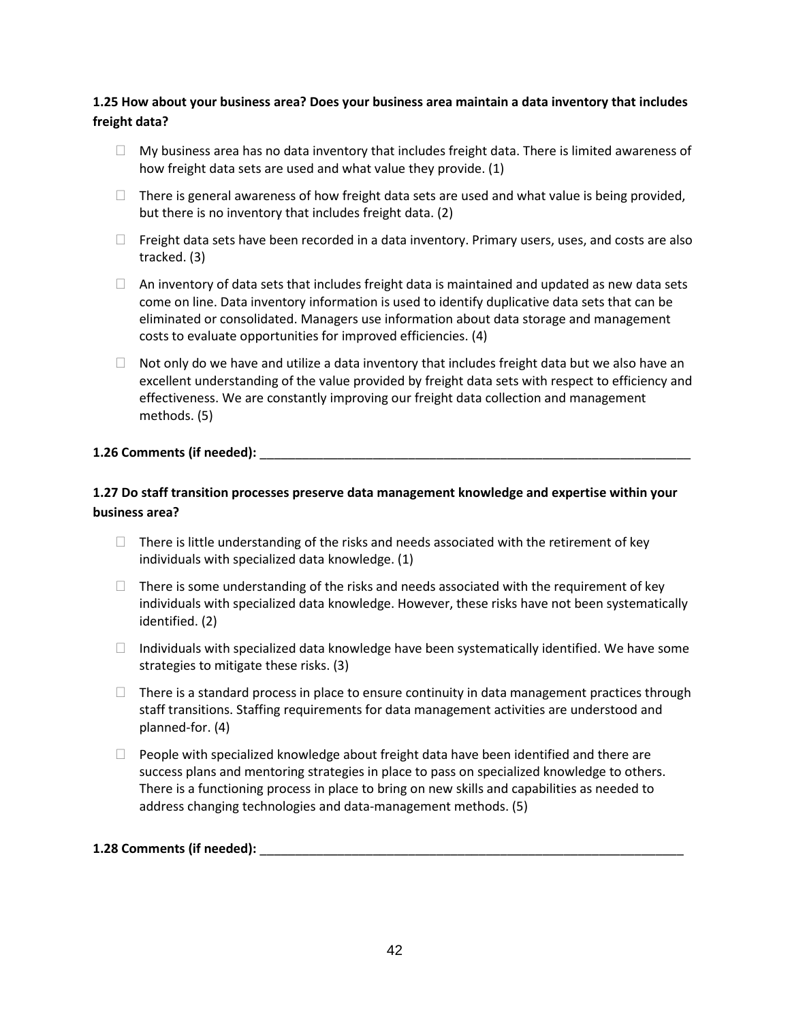## **1.25 How about your business area? Does your business area maintain a data inventory that includes freight data?**

- $\Box$  My business area has no data inventory that includes freight data. There is limited awareness of how freight data sets are used and what value they provide. (1)
- $\Box$  There is general awareness of how freight data sets are used and what value is being provided, but there is no inventory that includes freight data. (2)
- $\Box$  Freight data sets have been recorded in a data inventory. Primary users, uses, and costs are also tracked. (3)
- $\Box$  An inventory of data sets that includes freight data is maintained and updated as new data sets come on line. Data inventory information is used to identify duplicative data sets that can be eliminated or consolidated. Managers use information about data storage and management costs to evaluate opportunities for improved efficiencies. (4)
- $\Box$  Not only do we have and utilize a data inventory that includes freight data but we also have an excellent understanding of the value provided by freight data sets with respect to efficiency and effectiveness. We are constantly improving our freight data collection and management methods. (5)

#### **1.26 Comments (if needed):** \_\_\_\_\_\_\_\_\_\_\_\_\_\_\_\_\_\_\_\_\_\_\_\_\_\_\_\_\_\_\_\_\_\_\_\_\_\_\_\_\_\_\_\_\_\_\_\_\_\_\_\_\_\_\_\_\_\_\_\_\_

## **1.27 Do staff transition processes preserve data management knowledge and expertise within your business area?**

- $\Box$  There is little understanding of the risks and needs associated with the retirement of key individuals with specialized data knowledge. (1)
- $\Box$  There is some understanding of the risks and needs associated with the requirement of key individuals with specialized data knowledge. However, these risks have not been systematically identified. (2)
- $\Box$  Individuals with specialized data knowledge have been systematically identified. We have some strategies to mitigate these risks. (3)
- $\Box$  There is a standard process in place to ensure continuity in data management practices through staff transitions. Staffing requirements for data management activities are understood and planned-for. (4)
- $\Box$  People with specialized knowledge about freight data have been identified and there are success plans and mentoring strategies in place to pass on specialized knowledge to others. There is a functioning process in place to bring on new skills and capabilities as needed to address changing technologies and data-management methods. (5)

#### **1.28 Comments (if needed): with a set of the set of the set of the set of the set of the set of the set of the set of the set of the set of the set of the set of the set of the set of the set of the set of the set of th**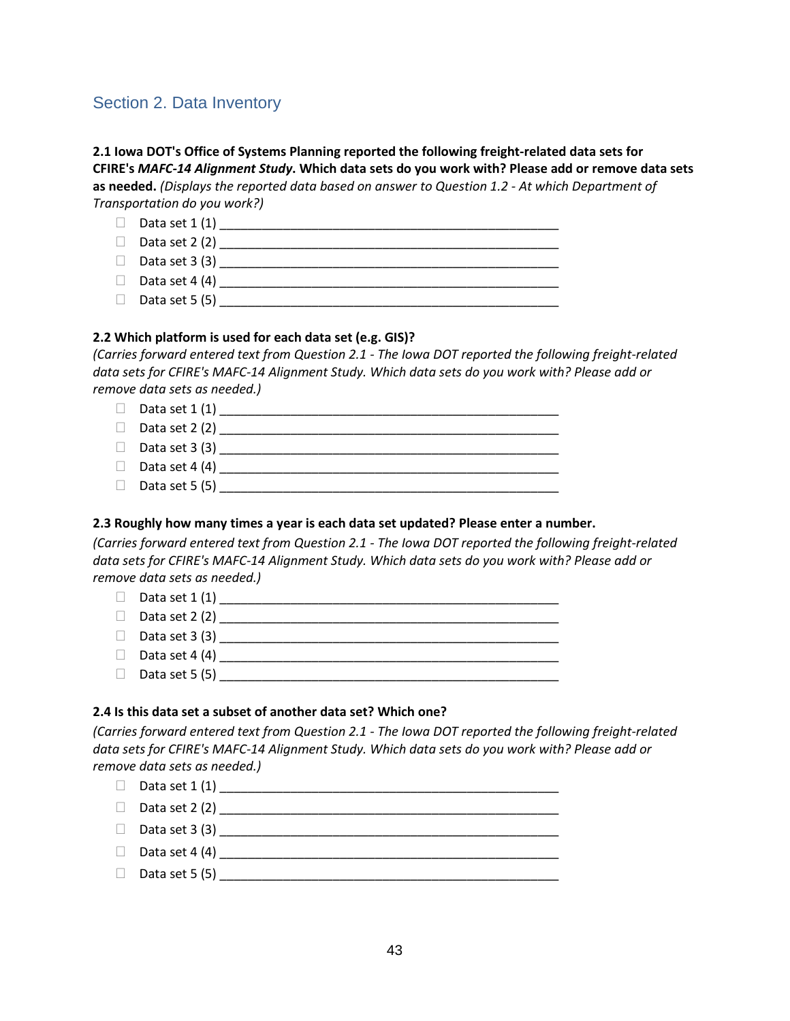# Section 2. Data Inventory

### **2.1 Iowa DOT's Office of Systems Planning reported the following freight-related data sets for CFIRE's** *MAFC-14 Alignment Study***. Which data sets do you work with? Please add or remove data sets as needed.** *(Displays the reported data based on answer to Question 1.2 - At which Department of Transportation do you work?)*

Data set  $1(1)$  Data set 2 (2) \_\_\_\_\_\_\_\_\_\_\_\_\_\_\_\_\_\_\_\_\_\_\_\_\_\_\_\_\_\_\_\_\_\_\_\_\_\_\_\_\_\_\_\_\_\_\_\_ Data set 3 (3) \_\_\_\_\_\_\_\_\_\_\_\_\_\_\_\_\_\_\_\_\_\_\_\_\_\_\_\_\_\_\_\_\_\_\_\_\_\_\_\_\_\_\_\_\_\_\_\_

- Data set 4 (4)  $\Box$
- Data set 5 (5) \_\_\_\_\_\_\_\_\_\_\_\_\_\_\_\_\_\_\_\_\_\_\_\_\_\_\_\_\_\_\_\_\_\_\_\_\_\_\_\_\_\_\_\_\_\_\_\_

#### **2.2 Which platform is used for each data set (e.g. GIS)?**

*(Carries forward entered text from Question 2.1 - The Iowa DOT reported the following freight-related data sets for CFIRE's MAFC-14 Alignment Study. Which data sets do you work with? Please add or remove data sets as needed.)*

 Data set 1 (1) \_\_\_\_\_\_\_\_\_\_\_\_\_\_\_\_\_\_\_\_\_\_\_\_\_\_\_\_\_\_\_\_\_\_\_\_\_\_\_\_\_\_\_\_\_\_\_\_ Data set 2 (2) \_\_\_\_\_\_\_\_\_\_\_\_\_\_\_\_\_\_\_\_\_\_\_\_\_\_\_\_\_\_\_\_\_\_\_\_\_\_\_\_\_\_\_\_\_\_\_\_ Data set 3 (3) \_\_\_\_\_\_\_\_\_\_\_\_\_\_\_\_\_\_\_\_\_\_\_\_\_\_\_\_\_\_\_\_\_\_\_\_\_\_\_\_\_\_\_\_\_\_\_\_ Data set 4 (4) \_\_\_\_\_\_\_\_\_\_\_\_\_\_\_\_\_\_\_\_\_\_\_\_\_\_\_\_\_\_\_\_\_\_\_\_\_\_\_\_\_\_\_\_\_\_\_\_ Data set 5 (5) \_\_\_\_\_\_\_\_\_\_\_\_\_\_\_\_\_\_\_\_\_\_\_\_\_\_\_\_\_\_\_\_\_\_\_\_\_\_\_\_\_\_\_\_\_\_\_\_

### **2.3 Roughly how many times a year is each data set updated? Please enter a number.**

*(Carries forward entered text from Question 2.1 - The Iowa DOT reported the following freight-related data sets for CFIRE's MAFC-14 Alignment Study. Which data sets do you work with? Please add or remove data sets as needed.)*

| $\Box$ Data set 1 (1) |  |
|-----------------------|--|
| $\Box$ Data set 2 (2) |  |
| $\Box$ Data set 3 (3) |  |
| $\Box$ Data set 4 (4) |  |
| $\Box$ Data set 5 (5) |  |
|                       |  |

### **2.4 Is this data set a subset of another data set? Which one?**

*(Carries forward entered text from Question 2.1 - The Iowa DOT reported the following freight-related data sets for CFIRE's MAFC-14 Alignment Study. Which data sets do you work with? Please add or remove data sets as needed.)*

 Data set 1 (1) \_\_\_\_\_\_\_\_\_\_\_\_\_\_\_\_\_\_\_\_\_\_\_\_\_\_\_\_\_\_\_\_\_\_\_\_\_\_\_\_\_\_\_\_\_\_\_\_ Data set 2 (2) \_\_\_\_\_\_\_\_\_\_\_\_\_\_\_\_\_\_\_\_\_\_\_\_\_\_\_\_\_\_\_\_\_\_\_\_\_\_\_\_\_\_\_\_\_\_\_\_ Data set 3 (3)  $\Box$ Data set  $4(4)$  $\Box$  Data set 5 (5)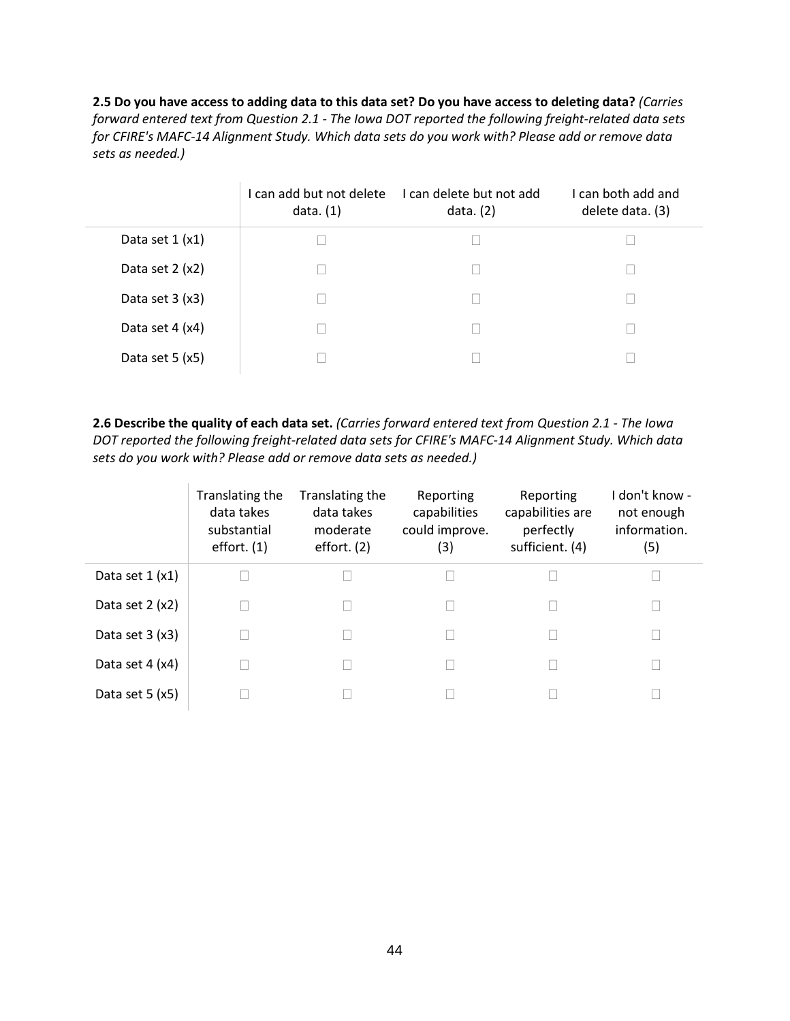**2.5 Do you have access to adding data to this data set? Do you have access to deleting data?** *(Carries forward entered text from Question 2.1 - The Iowa DOT reported the following freight-related data sets for CFIRE's MAFC-14 Alignment Study. Which data sets do you work with? Please add or remove data sets as needed.)*

|                  | I can add but not delete<br>data. $(1)$ | I can delete but not add<br>data. $(2)$ | I can both add and<br>delete data. (3) |
|------------------|-----------------------------------------|-----------------------------------------|----------------------------------------|
| Data set $1(x1)$ |                                         |                                         |                                        |
| Data set $2(x2)$ | ΓЧ                                      |                                         |                                        |
| Data set $3(x3)$ | L                                       |                                         |                                        |
| Data set 4 (x4)  | L                                       |                                         |                                        |
| Data set $5(x5)$ | L                                       |                                         |                                        |

**2.6 Describe the quality of each data set.** *(Carries forward entered text from Question 2.1 - The Iowa DOT reported the following freight-related data sets for CFIRE's MAFC-14 Alignment Study. Which data sets do you work with? Please add or remove data sets as needed.)*

|                  | Translating the<br>data takes<br>substantial<br>effort. $(1)$ | Translating the<br>data takes<br>moderate<br>effort. $(2)$ | Reporting<br>capabilities<br>could improve.<br>(3) | Reporting<br>capabilities are<br>perfectly<br>sufficient. (4) | don't know -<br>not enough<br>information.<br>(5) |
|------------------|---------------------------------------------------------------|------------------------------------------------------------|----------------------------------------------------|---------------------------------------------------------------|---------------------------------------------------|
| Data set $1(x1)$ |                                                               |                                                            |                                                    |                                                               |                                                   |
| Data set $2(x2)$ |                                                               |                                                            |                                                    |                                                               |                                                   |
| Data set $3(x3)$ |                                                               |                                                            |                                                    |                                                               |                                                   |
| Data set $4(x4)$ |                                                               |                                                            |                                                    |                                                               |                                                   |
| Data set $5(x5)$ |                                                               |                                                            |                                                    |                                                               |                                                   |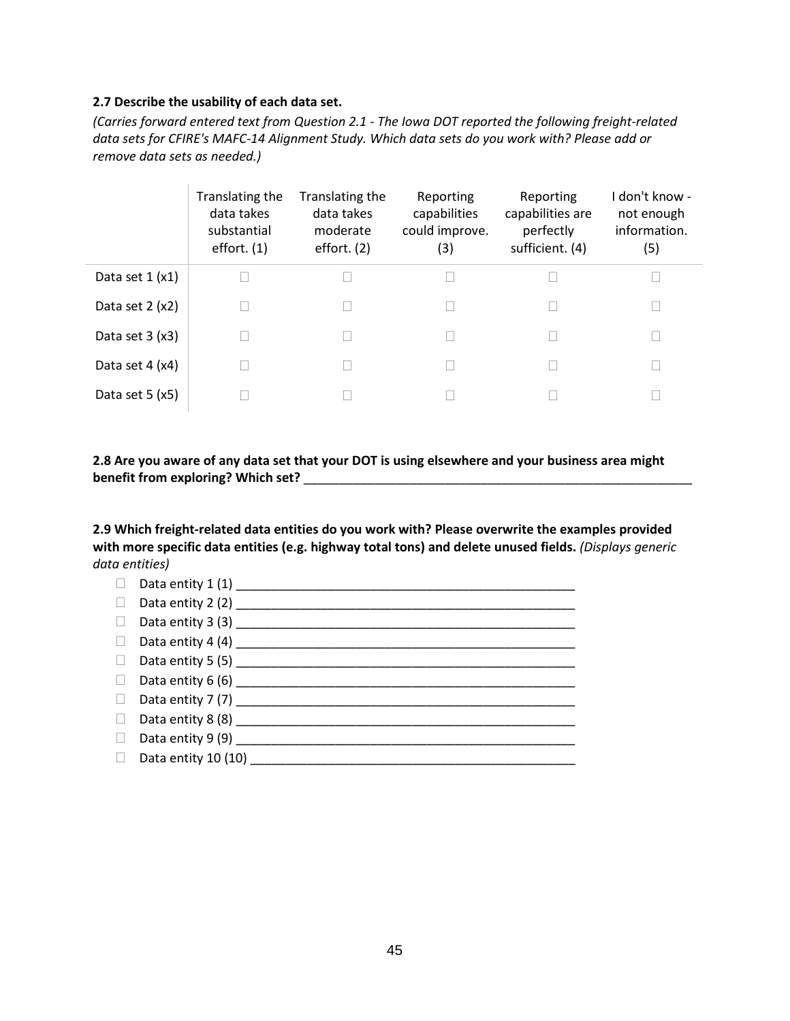#### **2.7 Describe the usability of each data set.**

*(Carries forward entered text from Question 2.1 - The Iowa DOT reported the following freight-related data sets for CFIRE's MAFC-14 Alignment Study. Which data sets do you work with? Please add or remove data sets as needed.)*

|                  | Translating the<br>data takes<br>substantial<br>effort. $(1)$ | Translating the<br>data takes<br>moderate<br>effort. $(2)$ | Reporting<br>capabilities<br>could improve.<br>(3) | Reporting<br>capabilities are<br>perfectly<br>sufficient. (4) | don't know -<br>not enough<br>information.<br>(5) |
|------------------|---------------------------------------------------------------|------------------------------------------------------------|----------------------------------------------------|---------------------------------------------------------------|---------------------------------------------------|
| Data set $1(x1)$ |                                                               |                                                            |                                                    |                                                               |                                                   |
| Data set $2(x2)$ |                                                               |                                                            |                                                    |                                                               |                                                   |
| Data set $3(x3)$ |                                                               | $\mathbf{L}$                                               |                                                    |                                                               |                                                   |
| Data set 4 (x4)  |                                                               |                                                            |                                                    |                                                               |                                                   |
| Data set $5(x5)$ |                                                               |                                                            |                                                    |                                                               |                                                   |

#### **2.8 Are you aware of any data set that your DOT is using elsewhere and your business area might benefit from exploring? Which set?** \_\_\_\_\_\_\_\_\_\_\_\_\_\_\_\_\_\_\_\_\_\_\_\_\_\_\_\_\_\_\_\_\_\_\_\_\_\_\_\_\_\_\_\_\_\_\_\_\_\_\_\_\_\_\_

**2.9 Which freight-related data entities do you work with? Please overwrite the examples provided with more specific data entities (e.g. highway total tons) and delete unused fields.** *(Displays generic data entities)*

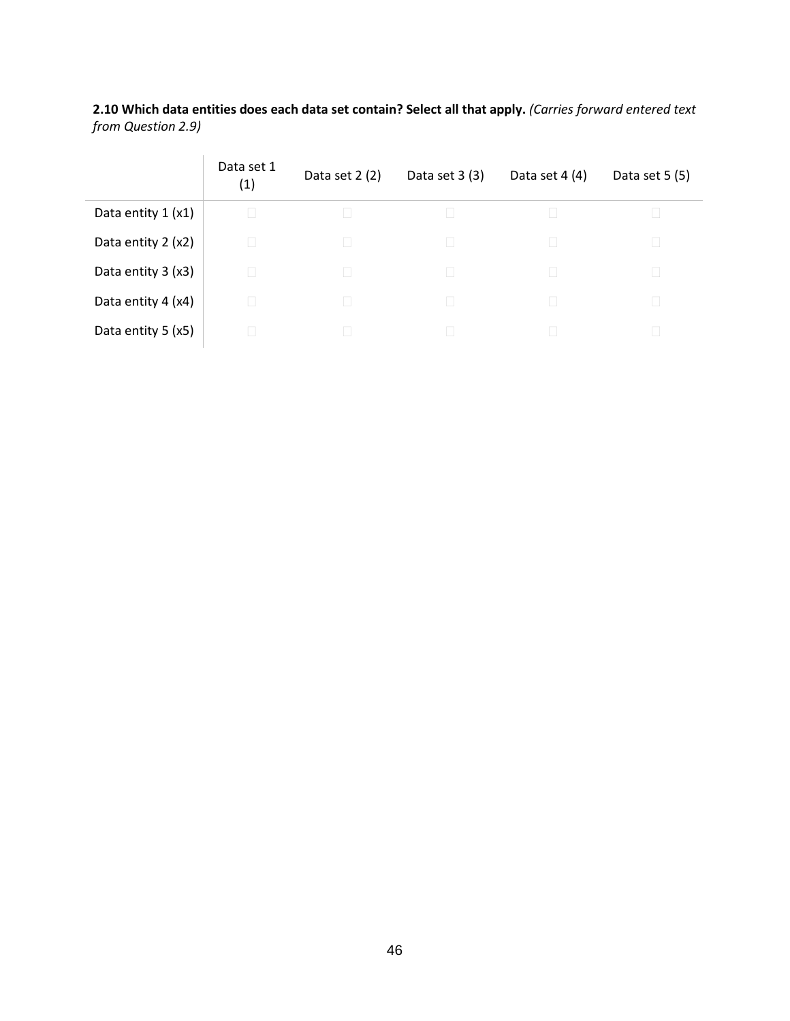**2.10 Which data entities does each data set contain? Select all that apply.** *(Carries forward entered text from Question 2.9)*

|                     | Data set 1<br>(1) | Data set $2(2)$ | Data set $3(3)$ | Data set $4(4)$ | Data set $5(5)$ |
|---------------------|-------------------|-----------------|-----------------|-----------------|-----------------|
| Data entity $1(x1)$ |                   |                 |                 |                 |                 |
| Data entity 2 (x2)  |                   | Ш               |                 |                 |                 |
| Data entity 3 (x3)  |                   |                 |                 |                 |                 |
| Data entity 4 (x4)  |                   |                 |                 |                 |                 |
| Data entity 5 (x5)  |                   |                 |                 |                 |                 |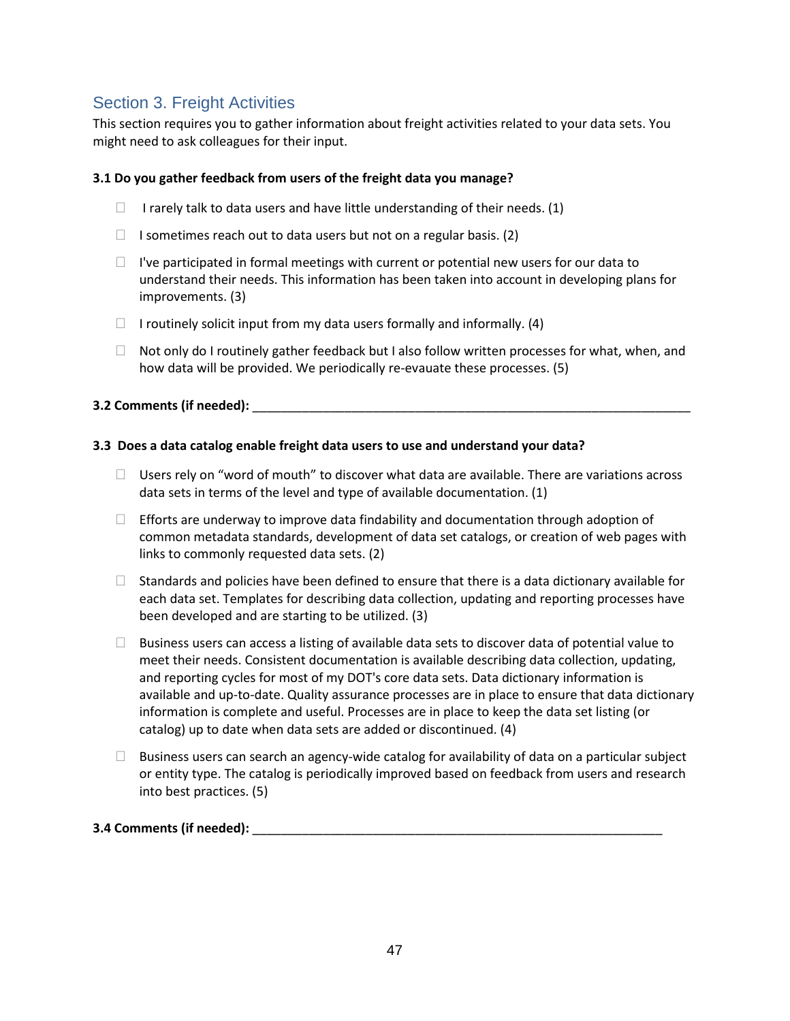# Section 3. Freight Activities

This section requires you to gather information about freight activities related to your data sets. You might need to ask colleagues for their input.

#### **3.1 Do you gather feedback from users of the freight data you manage?**

- I rarely talk to data users and have little understanding of their needs. (1)
- $\Box$  I sometimes reach out to data users but not on a regular basis. (2)
- $\Box$  I've participated in formal meetings with current or potential new users for our data to understand their needs. This information has been taken into account in developing plans for improvements. (3)
- $\Box$  I routinely solicit input from my data users formally and informally. (4)
- $\Box$  Not only do I routinely gather feedback but I also follow written processes for what, when, and how data will be provided. We periodically re-evauate these processes. (5)

#### **3.2 Comments (if needed):**

#### **3.3 Does a data catalog enable freight data users to use and understand your data?**

- $\Box$  Users rely on "word of mouth" to discover what data are available. There are variations across data sets in terms of the level and type of available documentation. (1)
- $\Box$  Efforts are underway to improve data findability and documentation through adoption of common metadata standards, development of data set catalogs, or creation of web pages with links to commonly requested data sets. (2)
- $\Box$  Standards and policies have been defined to ensure that there is a data dictionary available for each data set. Templates for describing data collection, updating and reporting processes have been developed and are starting to be utilized. (3)
- $\Box$  Business users can access a listing of available data sets to discover data of potential value to meet their needs. Consistent documentation is available describing data collection, updating, and reporting cycles for most of my DOT's core data sets. Data dictionary information is available and up-to-date. Quality assurance processes are in place to ensure that data dictionary information is complete and useful. Processes are in place to keep the data set listing (or catalog) up to date when data sets are added or discontinued. (4)
- $\Box$  Business users can search an agency-wide catalog for availability of data on a particular subject or entity type. The catalog is periodically improved based on feedback from users and research into best practices. (5)

### **3.4 Comments (if needed):** \_\_\_\_\_\_\_\_\_\_\_\_\_\_\_\_\_\_\_\_\_\_\_\_\_\_\_\_\_\_\_\_\_\_\_\_\_\_\_\_\_\_\_\_\_\_\_\_\_\_\_\_\_\_\_\_\_\_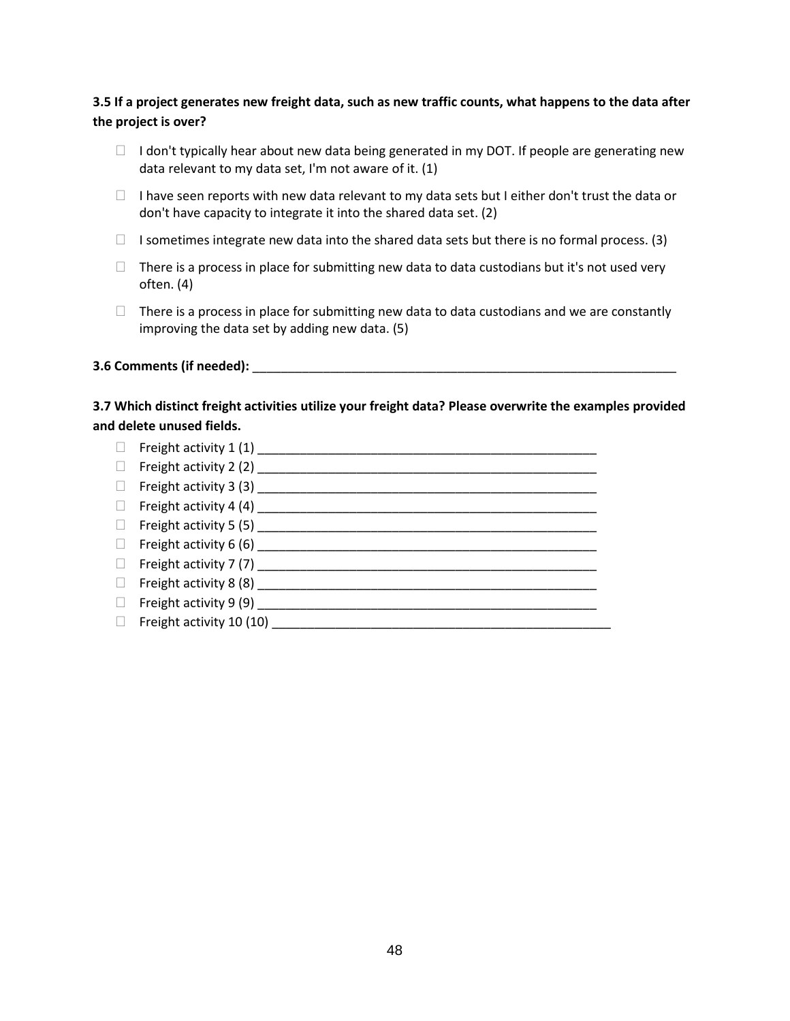## **3.5 If a project generates new freight data, such as new traffic counts, what happens to the data after the project is over?**

- $\Box$  I don't typically hear about new data being generated in my DOT. If people are generating new data relevant to my data set, I'm not aware of it. (1)
- $\Box$  I have seen reports with new data relevant to my data sets but I either don't trust the data or don't have capacity to integrate it into the shared data set. (2)
- $\Box$  I sometimes integrate new data into the shared data sets but there is no formal process. (3)
- $\Box$  There is a process in place for submitting new data to data custodians but it's not used very often. (4)
- $\Box$  There is a process in place for submitting new data to data custodians and we are constantly improving the data set by adding new data. (5)

#### **3.6 Comments (if needed):**  $\blacksquare$

### **3.7 Which distinct freight activities utilize your freight data? Please overwrite the examples provided and delete unused fields.**

 $\Box$  Freight activity 1 (1) Freight activity 2 (2) \_\_\_\_\_\_\_\_\_\_\_\_\_\_\_\_\_\_\_\_\_\_\_\_\_\_\_\_\_\_\_\_\_\_\_\_\_\_\_\_\_\_\_\_\_\_\_\_ Freight activity 3 (3) \_\_\_\_\_\_\_\_\_\_\_\_\_\_\_\_\_\_\_\_\_\_\_\_\_\_\_\_\_\_\_\_\_\_\_\_\_\_\_\_\_\_\_\_\_\_\_\_ Freight activity 4 (4) \_\_\_\_\_\_\_\_\_\_\_\_\_\_\_\_\_\_\_\_\_\_\_\_\_\_\_\_\_\_\_\_\_\_\_\_\_\_\_\_\_\_\_\_\_\_\_\_  $\Box$  Freight activity 5 (5) Freight activity 6 (6) \_\_\_\_\_\_\_\_\_\_\_\_\_\_\_\_\_\_\_\_\_\_\_\_\_\_\_\_\_\_\_\_\_\_\_\_\_\_\_\_\_\_\_\_\_\_\_\_ Freight activity 7 (7) \_\_\_\_\_\_\_\_\_\_\_\_\_\_\_\_\_\_\_\_\_\_\_\_\_\_\_\_\_\_\_\_\_\_\_\_\_\_\_\_\_\_\_\_\_\_\_\_  $\Box$  Freight activity 8 (8) Freight activity 9 (9) \_\_\_\_\_\_\_\_\_\_\_\_\_\_\_\_\_\_\_\_\_\_\_\_\_\_\_\_\_\_\_\_\_\_\_\_\_\_\_\_\_\_\_\_\_\_\_\_ Freight activity 10 (10) \_\_\_\_\_\_\_\_\_\_\_\_\_\_\_\_\_\_\_\_\_\_\_\_\_\_\_\_\_\_\_\_\_\_\_\_\_\_\_\_\_\_\_\_\_\_\_\_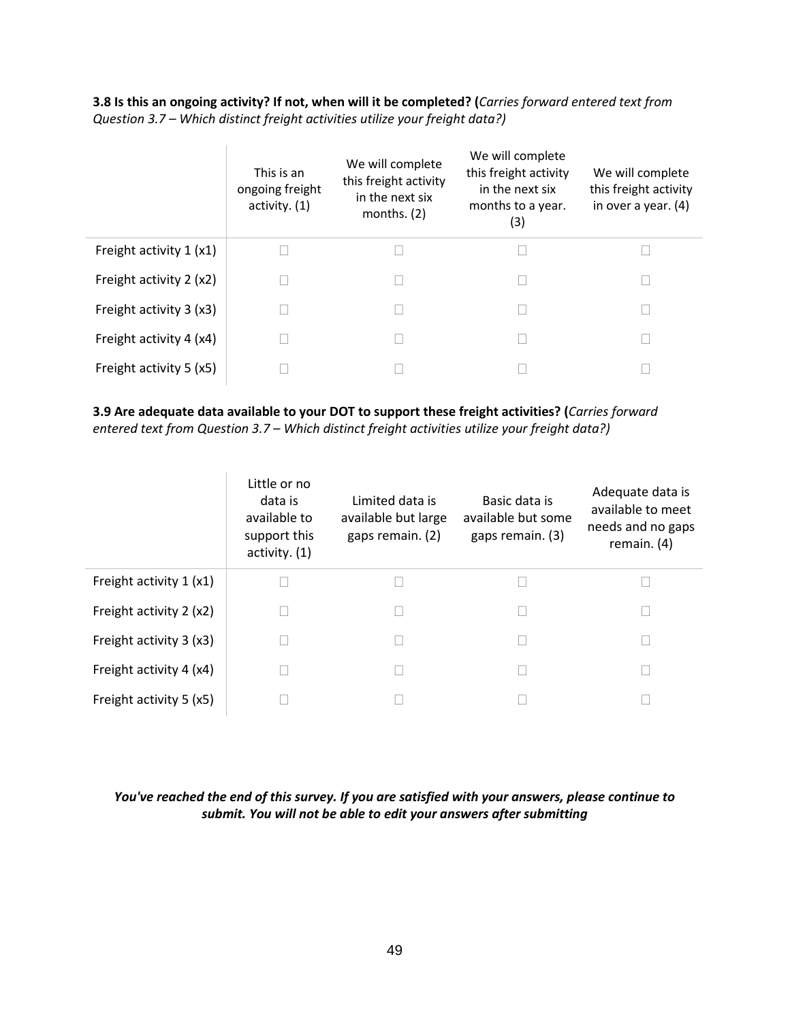**3.8 Is this an ongoing activity? If not, when will it be completed? (***Carries forward entered text from Question 3.7 – Which distinct freight activities utilize your freight data?)*

|                         | This is an<br>ongoing freight<br>activity. $(1)$ | We will complete<br>this freight activity<br>in the next six<br>months. $(2)$ | We will complete<br>this freight activity<br>in the next six<br>months to a year.<br>(3) | We will complete<br>this freight activity<br>in over a year. $(4)$ |
|-------------------------|--------------------------------------------------|-------------------------------------------------------------------------------|------------------------------------------------------------------------------------------|--------------------------------------------------------------------|
| Freight activity 1 (x1) |                                                  |                                                                               |                                                                                          |                                                                    |
| Freight activity 2 (x2) |                                                  |                                                                               |                                                                                          |                                                                    |
| Freight activity 3 (x3) |                                                  |                                                                               |                                                                                          |                                                                    |
| Freight activity 4 (x4) |                                                  |                                                                               |                                                                                          |                                                                    |
| Freight activity 5 (x5) |                                                  |                                                                               |                                                                                          |                                                                    |

**3.9 Are adequate data available to your DOT to support these freight activities? (***Carries forward entered text from Question 3.7 – Which distinct freight activities utilize your freight data?)*

|                         | Little or no<br>data is<br>available to<br>support this<br>activity. (1) | Limited data is<br>available but large<br>gaps remain. (2) | Basic data is<br>available but some<br>gaps remain. (3) | Adequate data is<br>available to meet<br>needs and no gaps<br>remain. $(4)$ |
|-------------------------|--------------------------------------------------------------------------|------------------------------------------------------------|---------------------------------------------------------|-----------------------------------------------------------------------------|
| Freight activity 1 (x1) |                                                                          |                                                            |                                                         |                                                                             |
| Freight activity 2 (x2) |                                                                          |                                                            |                                                         |                                                                             |
| Freight activity 3 (x3) |                                                                          |                                                            |                                                         |                                                                             |
| Freight activity 4 (x4) |                                                                          |                                                            |                                                         |                                                                             |
| Freight activity 5 (x5) |                                                                          |                                                            |                                                         |                                                                             |

#### *You've reached the end of this survey. If you are satisfied with your answers, please continue to submit. You will not be able to edit your answers after submitting*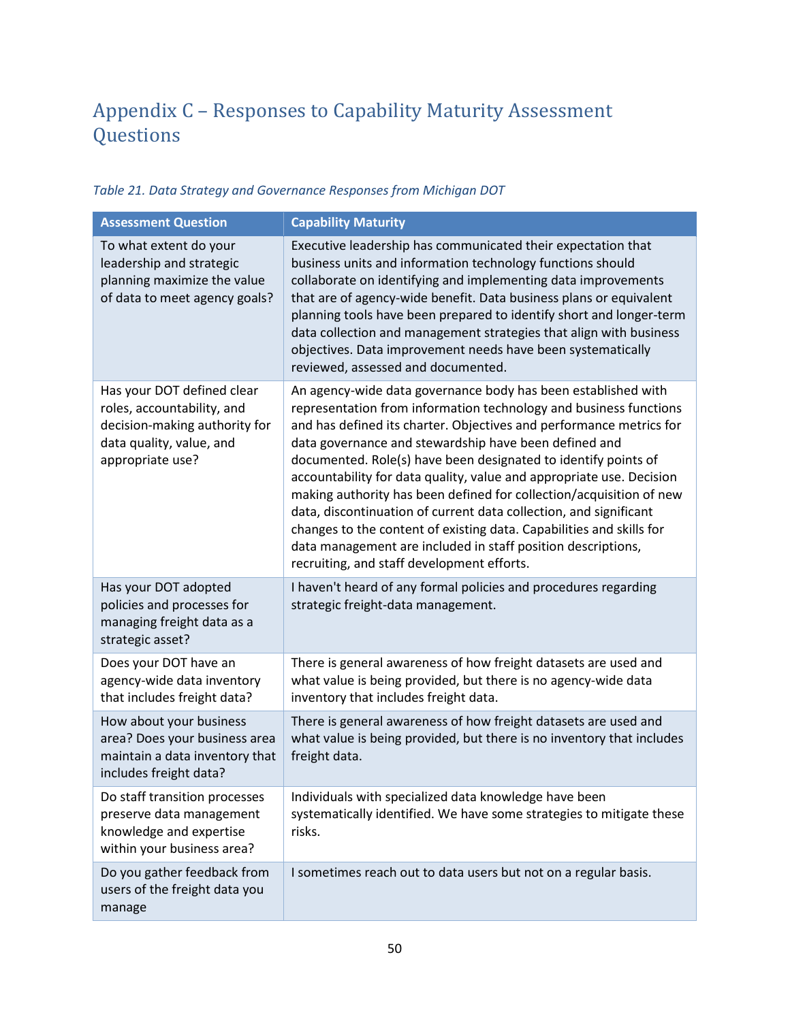# <span id="page-55-0"></span>Appendix C – Responses to Capability Maturity Assessment Questions

| <b>Assessment Question</b>                                                                                                                | <b>Capability Maturity</b>                                                                                                                                                                                                                                                                                                                                                                                                                                                                                                                                                                                                                                                                                                                     |
|-------------------------------------------------------------------------------------------------------------------------------------------|------------------------------------------------------------------------------------------------------------------------------------------------------------------------------------------------------------------------------------------------------------------------------------------------------------------------------------------------------------------------------------------------------------------------------------------------------------------------------------------------------------------------------------------------------------------------------------------------------------------------------------------------------------------------------------------------------------------------------------------------|
| To what extent do your<br>leadership and strategic<br>planning maximize the value<br>of data to meet agency goals?                        | Executive leadership has communicated their expectation that<br>business units and information technology functions should<br>collaborate on identifying and implementing data improvements<br>that are of agency-wide benefit. Data business plans or equivalent<br>planning tools have been prepared to identify short and longer-term<br>data collection and management strategies that align with business<br>objectives. Data improvement needs have been systematically<br>reviewed, assessed and documented.                                                                                                                                                                                                                            |
| Has your DOT defined clear<br>roles, accountability, and<br>decision-making authority for<br>data quality, value, and<br>appropriate use? | An agency-wide data governance body has been established with<br>representation from information technology and business functions<br>and has defined its charter. Objectives and performance metrics for<br>data governance and stewardship have been defined and<br>documented. Role(s) have been designated to identify points of<br>accountability for data quality, value and appropriate use. Decision<br>making authority has been defined for collection/acquisition of new<br>data, discontinuation of current data collection, and significant<br>changes to the content of existing data. Capabilities and skills for<br>data management are included in staff position descriptions,<br>recruiting, and staff development efforts. |
| Has your DOT adopted<br>policies and processes for<br>managing freight data as a<br>strategic asset?                                      | I haven't heard of any formal policies and procedures regarding<br>strategic freight-data management.                                                                                                                                                                                                                                                                                                                                                                                                                                                                                                                                                                                                                                          |
| Does your DOT have an<br>agency-wide data inventory<br>that includes freight data?                                                        | There is general awareness of how freight datasets are used and<br>what value is being provided, but there is no agency-wide data<br>inventory that includes freight data.                                                                                                                                                                                                                                                                                                                                                                                                                                                                                                                                                                     |
| How about your business<br>area? Does your business area<br>maintain a data inventory that<br>includes freight data?                      | There is general awareness of how freight datasets are used and<br>what value is being provided, but there is no inventory that includes<br>freight data.                                                                                                                                                                                                                                                                                                                                                                                                                                                                                                                                                                                      |
| Do staff transition processes<br>preserve data management<br>knowledge and expertise<br>within your business area?                        | Individuals with specialized data knowledge have been<br>systematically identified. We have some strategies to mitigate these<br>risks.                                                                                                                                                                                                                                                                                                                                                                                                                                                                                                                                                                                                        |
| Do you gather feedback from<br>users of the freight data you<br>manage                                                                    | I sometimes reach out to data users but not on a regular basis.                                                                                                                                                                                                                                                                                                                                                                                                                                                                                                                                                                                                                                                                                |

## <span id="page-55-1"></span>*Table 21. Data Strategy and Governance Responses from Michigan DOT*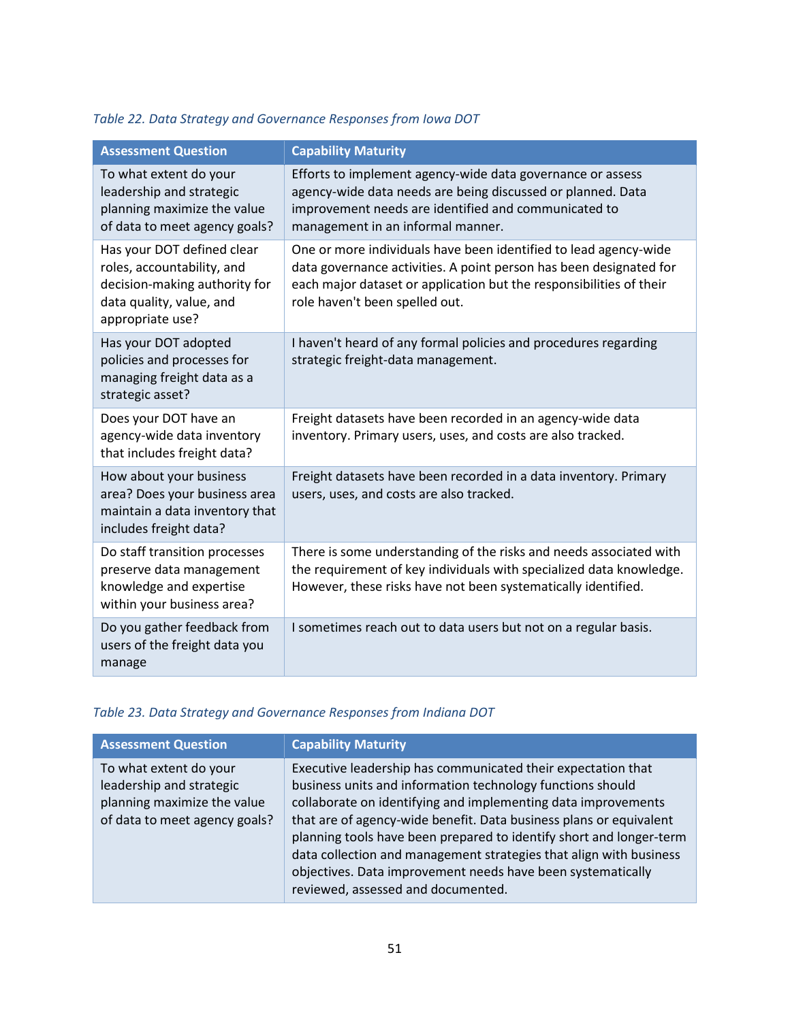## <span id="page-56-0"></span>*Table 22. Data Strategy and Governance Responses from Iowa DOT*

| <b>Assessment Question</b>                                                                                                                | <b>Capability Maturity</b>                                                                                                                                                                                                                      |
|-------------------------------------------------------------------------------------------------------------------------------------------|-------------------------------------------------------------------------------------------------------------------------------------------------------------------------------------------------------------------------------------------------|
| To what extent do your<br>leadership and strategic<br>planning maximize the value<br>of data to meet agency goals?                        | Efforts to implement agency-wide data governance or assess<br>agency-wide data needs are being discussed or planned. Data<br>improvement needs are identified and communicated to<br>management in an informal manner.                          |
| Has your DOT defined clear<br>roles, accountability, and<br>decision-making authority for<br>data quality, value, and<br>appropriate use? | One or more individuals have been identified to lead agency-wide<br>data governance activities. A point person has been designated for<br>each major dataset or application but the responsibilities of their<br>role haven't been spelled out. |
| Has your DOT adopted<br>policies and processes for<br>managing freight data as a<br>strategic asset?                                      | I haven't heard of any formal policies and procedures regarding<br>strategic freight-data management.                                                                                                                                           |
| Does your DOT have an<br>agency-wide data inventory<br>that includes freight data?                                                        | Freight datasets have been recorded in an agency-wide data<br>inventory. Primary users, uses, and costs are also tracked.                                                                                                                       |
| How about your business<br>area? Does your business area<br>maintain a data inventory that<br>includes freight data?                      | Freight datasets have been recorded in a data inventory. Primary<br>users, uses, and costs are also tracked.                                                                                                                                    |
| Do staff transition processes<br>preserve data management<br>knowledge and expertise<br>within your business area?                        | There is some understanding of the risks and needs associated with<br>the requirement of key individuals with specialized data knowledge.<br>However, these risks have not been systematically identified.                                      |
| Do you gather feedback from<br>users of the freight data you<br>manage                                                                    | I sometimes reach out to data users but not on a regular basis.                                                                                                                                                                                 |

# <span id="page-56-1"></span>*Table 23. Data Strategy and Governance Responses from Indiana DOT*

| <b>Assessment Question</b>                                                                                         | <b>Capability Maturity</b>                                                                                                                                                                                                                                                                                                                                                                                                                                                                                          |
|--------------------------------------------------------------------------------------------------------------------|---------------------------------------------------------------------------------------------------------------------------------------------------------------------------------------------------------------------------------------------------------------------------------------------------------------------------------------------------------------------------------------------------------------------------------------------------------------------------------------------------------------------|
| To what extent do your<br>leadership and strategic<br>planning maximize the value<br>of data to meet agency goals? | Executive leadership has communicated their expectation that<br>business units and information technology functions should<br>collaborate on identifying and implementing data improvements<br>that are of agency-wide benefit. Data business plans or equivalent<br>planning tools have been prepared to identify short and longer-term<br>data collection and management strategies that align with business<br>objectives. Data improvement needs have been systematically<br>reviewed, assessed and documented. |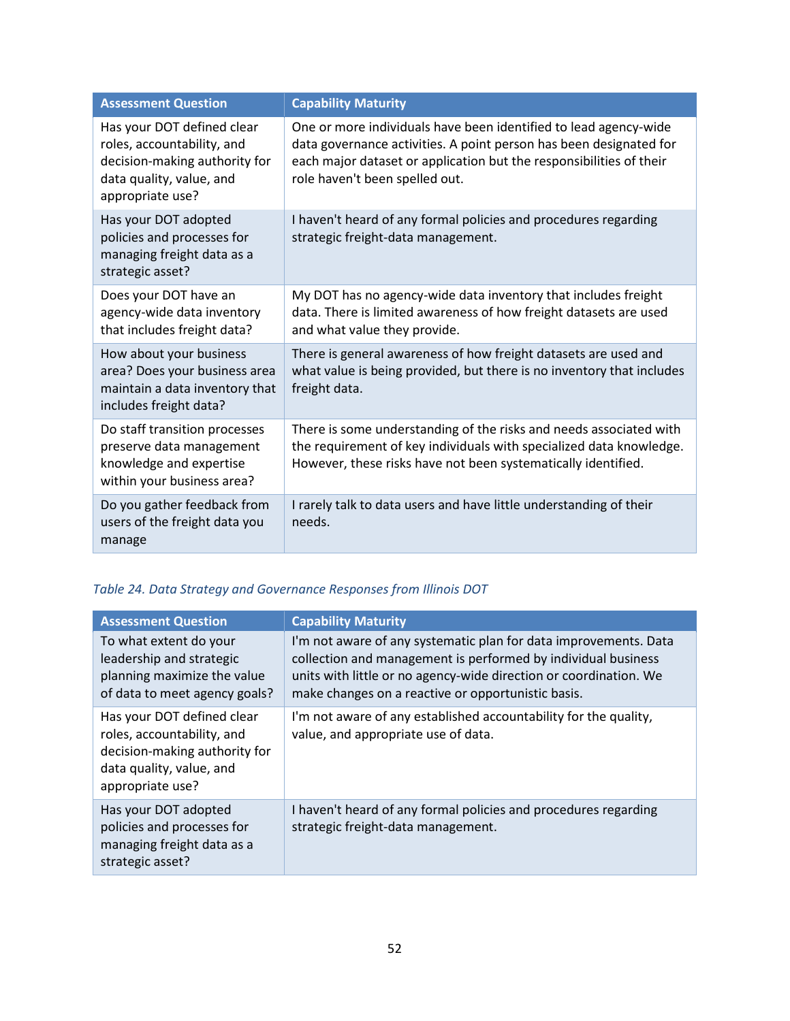| <b>Assessment Question</b>                                                                                                                | <b>Capability Maturity</b>                                                                                                                                                                                                                      |
|-------------------------------------------------------------------------------------------------------------------------------------------|-------------------------------------------------------------------------------------------------------------------------------------------------------------------------------------------------------------------------------------------------|
| Has your DOT defined clear<br>roles, accountability, and<br>decision-making authority for<br>data quality, value, and<br>appropriate use? | One or more individuals have been identified to lead agency-wide<br>data governance activities. A point person has been designated for<br>each major dataset or application but the responsibilities of their<br>role haven't been spelled out. |
| Has your DOT adopted<br>policies and processes for<br>managing freight data as a<br>strategic asset?                                      | I haven't heard of any formal policies and procedures regarding<br>strategic freight-data management.                                                                                                                                           |
| Does your DOT have an<br>agency-wide data inventory<br>that includes freight data?                                                        | My DOT has no agency-wide data inventory that includes freight<br>data. There is limited awareness of how freight datasets are used<br>and what value they provide.                                                                             |
| How about your business<br>area? Does your business area<br>maintain a data inventory that<br>includes freight data?                      | There is general awareness of how freight datasets are used and<br>what value is being provided, but there is no inventory that includes<br>freight data.                                                                                       |
| Do staff transition processes<br>preserve data management<br>knowledge and expertise<br>within your business area?                        | There is some understanding of the risks and needs associated with<br>the requirement of key individuals with specialized data knowledge.<br>However, these risks have not been systematically identified.                                      |
| Do you gather feedback from<br>users of the freight data you<br>manage                                                                    | I rarely talk to data users and have little understanding of their<br>needs.                                                                                                                                                                    |

# <span id="page-57-0"></span>*Table 24. Data Strategy and Governance Responses from Illinois DOT*

| <b>Assessment Question</b>                                                                                                                | <b>Capability Maturity</b>                                                                                                                                                                                                                                   |
|-------------------------------------------------------------------------------------------------------------------------------------------|--------------------------------------------------------------------------------------------------------------------------------------------------------------------------------------------------------------------------------------------------------------|
| To what extent do your<br>leadership and strategic<br>planning maximize the value<br>of data to meet agency goals?                        | I'm not aware of any systematic plan for data improvements. Data<br>collection and management is performed by individual business<br>units with little or no agency-wide direction or coordination. We<br>make changes on a reactive or opportunistic basis. |
| Has your DOT defined clear<br>roles, accountability, and<br>decision-making authority for<br>data quality, value, and<br>appropriate use? | I'm not aware of any established accountability for the quality,<br>value, and appropriate use of data.                                                                                                                                                      |
| Has your DOT adopted<br>policies and processes for<br>managing freight data as a<br>strategic asset?                                      | I haven't heard of any formal policies and procedures regarding<br>strategic freight-data management.                                                                                                                                                        |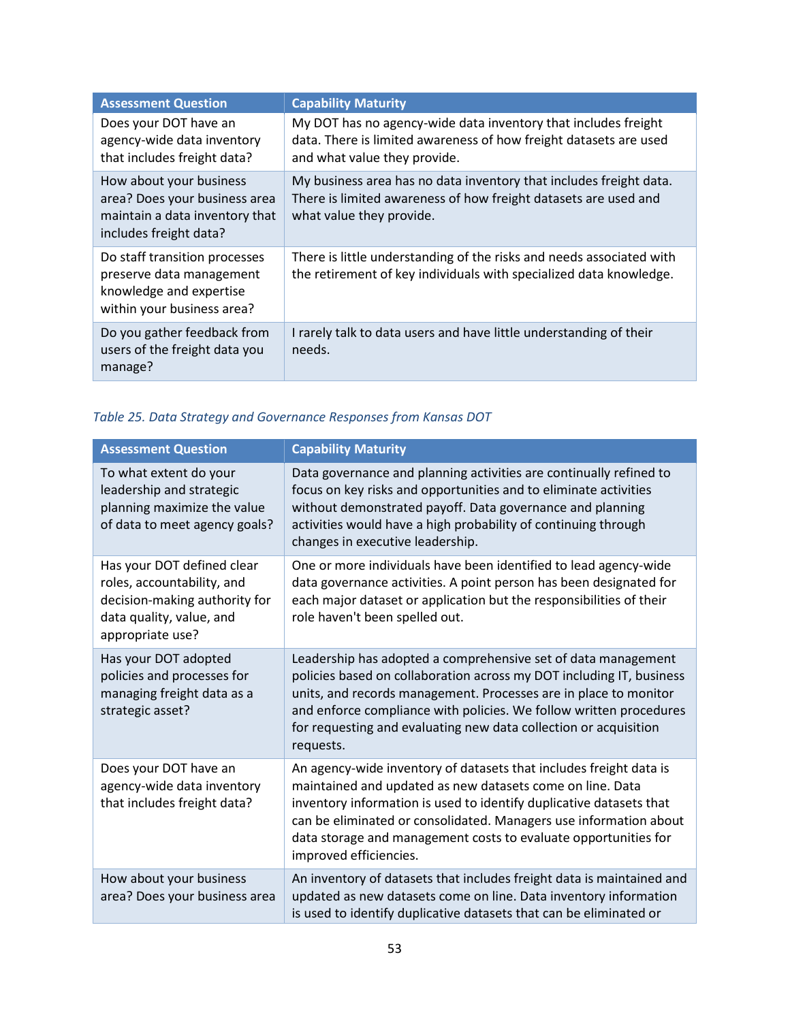| <b>Assessment Question</b>                                                                                           | <b>Capability Maturity</b>                                                                                                                                          |
|----------------------------------------------------------------------------------------------------------------------|---------------------------------------------------------------------------------------------------------------------------------------------------------------------|
| Does your DOT have an<br>agency-wide data inventory<br>that includes freight data?                                   | My DOT has no agency-wide data inventory that includes freight<br>data. There is limited awareness of how freight datasets are used<br>and what value they provide. |
| How about your business<br>area? Does your business area<br>maintain a data inventory that<br>includes freight data? | My business area has no data inventory that includes freight data.<br>There is limited awareness of how freight datasets are used and<br>what value they provide.   |
| Do staff transition processes<br>preserve data management<br>knowledge and expertise<br>within your business area?   | There is little understanding of the risks and needs associated with<br>the retirement of key individuals with specialized data knowledge.                          |
| Do you gather feedback from<br>users of the freight data you<br>manage?                                              | I rarely talk to data users and have little understanding of their<br>needs.                                                                                        |

# <span id="page-58-0"></span>*Table 25. Data Strategy and Governance Responses from Kansas DOT*

| <b>Assessment Question</b>                                                                                                                | <b>Capability Maturity</b>                                                                                                                                                                                                                                                                                                                                               |
|-------------------------------------------------------------------------------------------------------------------------------------------|--------------------------------------------------------------------------------------------------------------------------------------------------------------------------------------------------------------------------------------------------------------------------------------------------------------------------------------------------------------------------|
| To what extent do your<br>leadership and strategic<br>planning maximize the value<br>of data to meet agency goals?                        | Data governance and planning activities are continually refined to<br>focus on key risks and opportunities and to eliminate activities<br>without demonstrated payoff. Data governance and planning<br>activities would have a high probability of continuing through<br>changes in executive leadership.                                                                |
| Has your DOT defined clear<br>roles, accountability, and<br>decision-making authority for<br>data quality, value, and<br>appropriate use? | One or more individuals have been identified to lead agency-wide<br>data governance activities. A point person has been designated for<br>each major dataset or application but the responsibilities of their<br>role haven't been spelled out.                                                                                                                          |
| Has your DOT adopted<br>policies and processes for<br>managing freight data as a<br>strategic asset?                                      | Leadership has adopted a comprehensive set of data management<br>policies based on collaboration across my DOT including IT, business<br>units, and records management. Processes are in place to monitor<br>and enforce compliance with policies. We follow written procedures<br>for requesting and evaluating new data collection or acquisition<br>requests.         |
| Does your DOT have an<br>agency-wide data inventory<br>that includes freight data?                                                        | An agency-wide inventory of datasets that includes freight data is<br>maintained and updated as new datasets come on line. Data<br>inventory information is used to identify duplicative datasets that<br>can be eliminated or consolidated. Managers use information about<br>data storage and management costs to evaluate opportunities for<br>improved efficiencies. |
| How about your business<br>area? Does your business area                                                                                  | An inventory of datasets that includes freight data is maintained and<br>updated as new datasets come on line. Data inventory information<br>is used to identify duplicative datasets that can be eliminated or                                                                                                                                                          |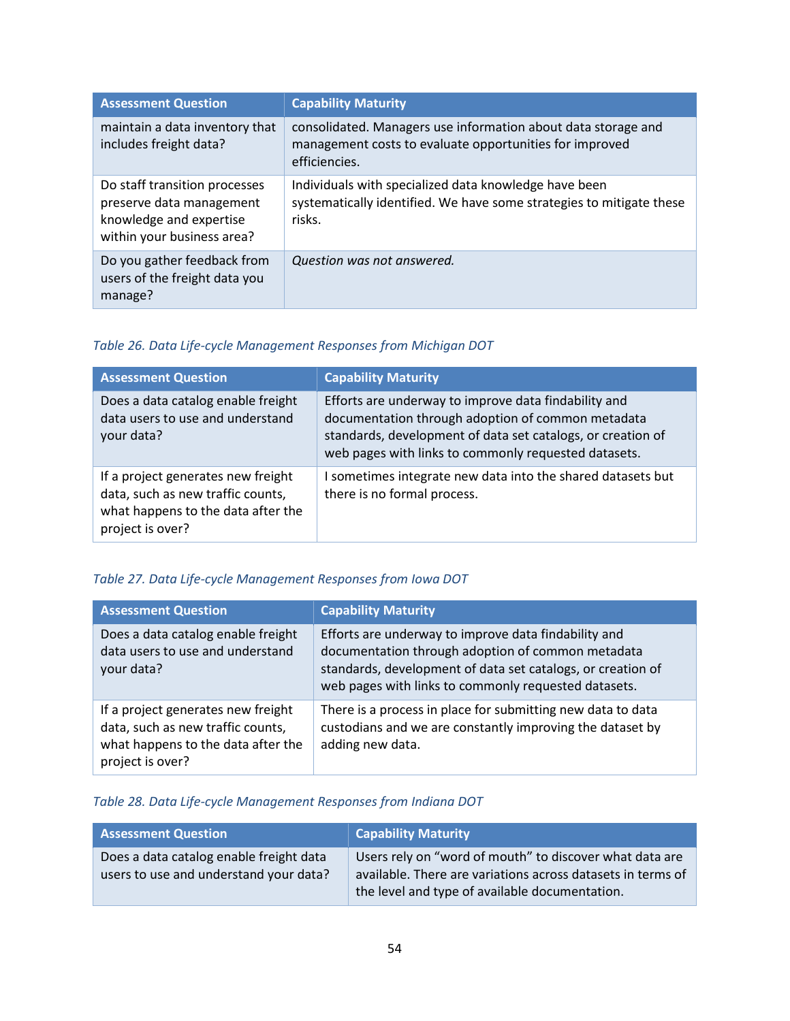| <b>Assessment Question</b>                                                                                         | <b>Capability Maturity</b>                                                                                                                |
|--------------------------------------------------------------------------------------------------------------------|-------------------------------------------------------------------------------------------------------------------------------------------|
| maintain a data inventory that<br>includes freight data?                                                           | consolidated. Managers use information about data storage and<br>management costs to evaluate opportunities for improved<br>efficiencies. |
| Do staff transition processes<br>preserve data management<br>knowledge and expertise<br>within your business area? | Individuals with specialized data knowledge have been<br>systematically identified. We have some strategies to mitigate these<br>risks.   |
| Do you gather feedback from<br>users of the freight data you<br>manage?                                            | Question was not answered.                                                                                                                |

# <span id="page-59-0"></span>*Table 26. Data Life-cycle Management Responses from Michigan DOT*

| <b>Assessment Question</b>                                                                                                        | <b>Capability Maturity</b>                                                                                                                                                                                                       |
|-----------------------------------------------------------------------------------------------------------------------------------|----------------------------------------------------------------------------------------------------------------------------------------------------------------------------------------------------------------------------------|
| Does a data catalog enable freight<br>data users to use and understand<br>your data?                                              | Efforts are underway to improve data findability and<br>documentation through adoption of common metadata<br>standards, development of data set catalogs, or creation of<br>web pages with links to commonly requested datasets. |
| If a project generates new freight<br>data, such as new traffic counts,<br>what happens to the data after the<br>project is over? | I sometimes integrate new data into the shared datasets but<br>there is no formal process.                                                                                                                                       |

# <span id="page-59-1"></span>*Table 27. Data Life-cycle Management Responses from Iowa DOT*

| <b>Assessment Question</b>                                                                                                        | <b>Capability Maturity</b>                                                                                                                                                                                                       |
|-----------------------------------------------------------------------------------------------------------------------------------|----------------------------------------------------------------------------------------------------------------------------------------------------------------------------------------------------------------------------------|
| Does a data catalog enable freight<br>data users to use and understand<br>your data?                                              | Efforts are underway to improve data findability and<br>documentation through adoption of common metadata<br>standards, development of data set catalogs, or creation of<br>web pages with links to commonly requested datasets. |
| If a project generates new freight<br>data, such as new traffic counts,<br>what happens to the data after the<br>project is over? | There is a process in place for submitting new data to data<br>custodians and we are constantly improving the dataset by<br>adding new data.                                                                                     |

## <span id="page-59-2"></span>*Table 28. Data Life-cycle Management Responses from Indiana DOT*

| <b>Assessment Question</b>                                                        | <b>Capability Maturity</b>                                                                                                                                               |
|-----------------------------------------------------------------------------------|--------------------------------------------------------------------------------------------------------------------------------------------------------------------------|
| Does a data catalog enable freight data<br>users to use and understand your data? | Users rely on "word of mouth" to discover what data are<br>available. There are variations across datasets in terms of<br>the level and type of available documentation. |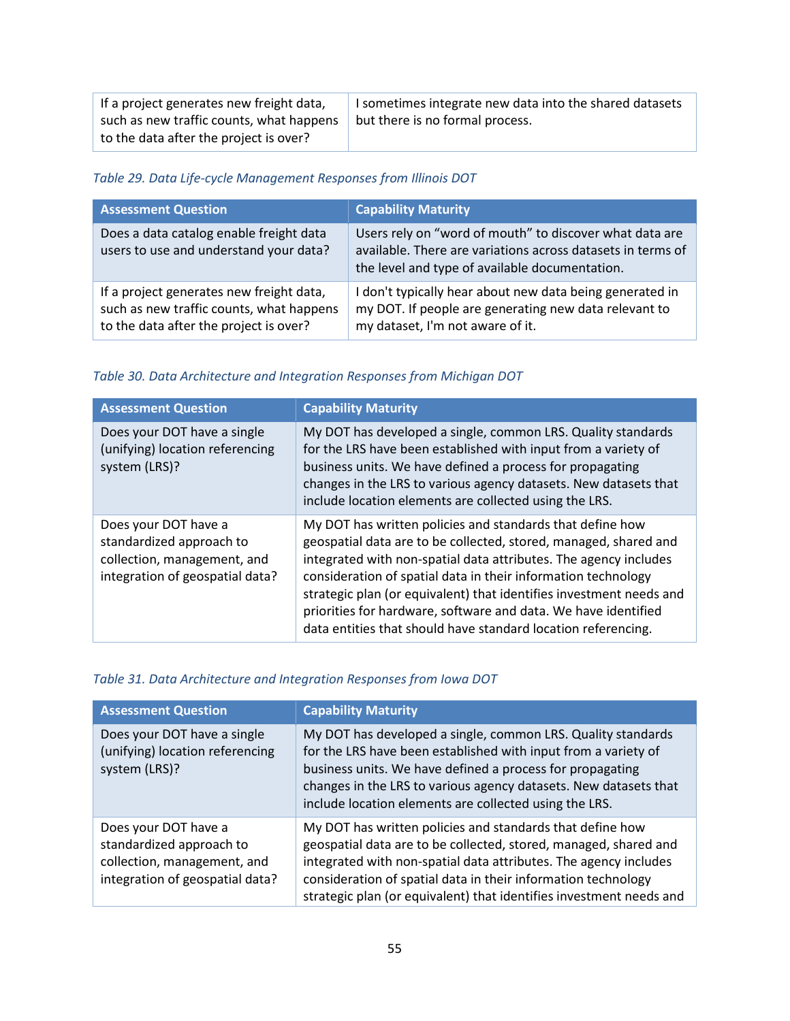| If a project generates new freight data, | I sometimes integrate new data into the shared datasets |
|------------------------------------------|---------------------------------------------------------|
| such as new traffic counts, what happens | but there is no formal process.                         |
| to the data after the project is over?   |                                                         |

## <span id="page-60-0"></span>*Table 29. Data Life-cycle Management Responses from Illinois DOT*

| <b>Assessment Question</b>                                                                                                     | <b>Capability Maturity</b>                                                                                                                                               |
|--------------------------------------------------------------------------------------------------------------------------------|--------------------------------------------------------------------------------------------------------------------------------------------------------------------------|
| Does a data catalog enable freight data<br>users to use and understand your data?                                              | Users rely on "word of mouth" to discover what data are<br>available. There are variations across datasets in terms of<br>the level and type of available documentation. |
| If a project generates new freight data,<br>such as new traffic counts, what happens<br>to the data after the project is over? | I don't typically hear about new data being generated in<br>my DOT. If people are generating new data relevant to<br>my dataset, I'm not aware of it.                    |

## <span id="page-60-1"></span>*Table 30. Data Architecture and Integration Responses from Michigan DOT*

| <b>Assessment Question</b>                                                                                         | <b>Capability Maturity</b>                                                                                                                                                                                                                                                                                                                                                                                                                                                   |
|--------------------------------------------------------------------------------------------------------------------|------------------------------------------------------------------------------------------------------------------------------------------------------------------------------------------------------------------------------------------------------------------------------------------------------------------------------------------------------------------------------------------------------------------------------------------------------------------------------|
| Does your DOT have a single<br>(unifying) location referencing<br>system (LRS)?                                    | My DOT has developed a single, common LRS. Quality standards<br>for the LRS have been established with input from a variety of<br>business units. We have defined a process for propagating<br>changes in the LRS to various agency datasets. New datasets that<br>include location elements are collected using the LRS.                                                                                                                                                    |
| Does your DOT have a<br>standardized approach to<br>collection, management, and<br>integration of geospatial data? | My DOT has written policies and standards that define how<br>geospatial data are to be collected, stored, managed, shared and<br>integrated with non-spatial data attributes. The agency includes<br>consideration of spatial data in their information technology<br>strategic plan (or equivalent) that identifies investment needs and<br>priorities for hardware, software and data. We have identified<br>data entities that should have standard location referencing. |

## <span id="page-60-2"></span>*Table 31. Data Architecture and Integration Responses from Iowa DOT*

| <b>Assessment Question</b>                                                                                         | <b>Capability Maturity</b>                                                                                                                                                                                                                                                                                                                |
|--------------------------------------------------------------------------------------------------------------------|-------------------------------------------------------------------------------------------------------------------------------------------------------------------------------------------------------------------------------------------------------------------------------------------------------------------------------------------|
| Does your DOT have a single<br>(unifying) location referencing<br>system (LRS)?                                    | My DOT has developed a single, common LRS. Quality standards<br>for the LRS have been established with input from a variety of<br>business units. We have defined a process for propagating<br>changes in the LRS to various agency datasets. New datasets that<br>include location elements are collected using the LRS.                 |
| Does your DOT have a<br>standardized approach to<br>collection, management, and<br>integration of geospatial data? | My DOT has written policies and standards that define how<br>geospatial data are to be collected, stored, managed, shared and<br>integrated with non-spatial data attributes. The agency includes<br>consideration of spatial data in their information technology<br>strategic plan (or equivalent) that identifies investment needs and |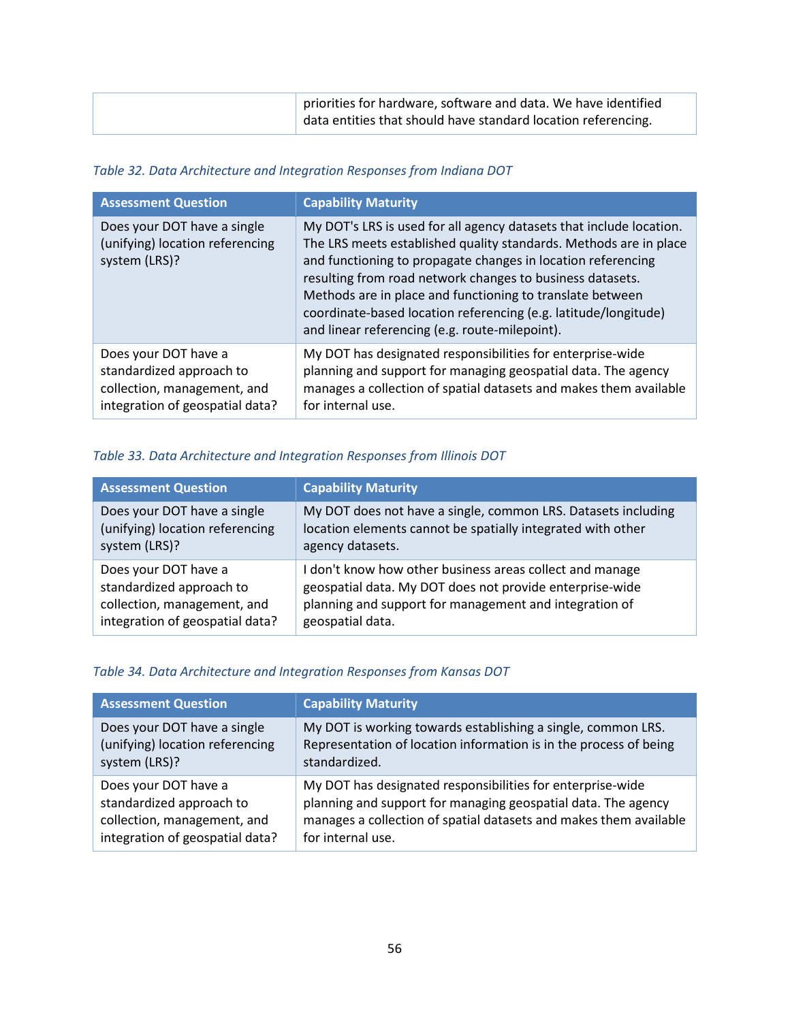| priorities for hardware, software and data. We have identified  |
|-----------------------------------------------------------------|
| I data entities that should have standard location referencing. |

## <span id="page-61-0"></span>*Table 32. Data Architecture and Integration Responses from Indiana DOT*

| <b>Assessment Question</b>                                                                                         | <b>Capability Maturity</b>                                                                                                                                                                                                                                                                                                                                                                                                                              |
|--------------------------------------------------------------------------------------------------------------------|---------------------------------------------------------------------------------------------------------------------------------------------------------------------------------------------------------------------------------------------------------------------------------------------------------------------------------------------------------------------------------------------------------------------------------------------------------|
| Does your DOT have a single<br>(unifying) location referencing<br>system (LRS)?                                    | My DOT's LRS is used for all agency datasets that include location.<br>The LRS meets established quality standards. Methods are in place<br>and functioning to propagate changes in location referencing<br>resulting from road network changes to business datasets.<br>Methods are in place and functioning to translate between<br>coordinate-based location referencing (e.g. latitude/longitude)<br>and linear referencing (e.g. route-milepoint). |
| Does your DOT have a<br>standardized approach to<br>collection, management, and<br>integration of geospatial data? | My DOT has designated responsibilities for enterprise-wide<br>planning and support for managing geospatial data. The agency<br>manages a collection of spatial datasets and makes them available<br>for internal use.                                                                                                                                                                                                                                   |

## <span id="page-61-1"></span>*Table 33. Data Architecture and Integration Responses from Illinois DOT*

| <b>Assessment Question</b>      | <b>Capability Maturity</b>                                    |
|---------------------------------|---------------------------------------------------------------|
| Does your DOT have a single     | My DOT does not have a single, common LRS. Datasets including |
| (unifying) location referencing | location elements cannot be spatially integrated with other   |
| system (LRS)?                   | agency datasets.                                              |
| Does your DOT have a            | I don't know how other business areas collect and manage      |
| standardized approach to        | geospatial data. My DOT does not provide enterprise-wide      |
| collection, management, and     | planning and support for management and integration of        |
| integration of geospatial data? | geospatial data.                                              |

## <span id="page-61-2"></span>*Table 34. Data Architecture and Integration Responses from Kansas DOT*

| <b>Assessment Question</b>      | <b>Capability Maturity</b>                                        |
|---------------------------------|-------------------------------------------------------------------|
| Does your DOT have a single     | My DOT is working towards establishing a single, common LRS.      |
| (unifying) location referencing | Representation of location information is in the process of being |
| system (LRS)?                   | standardized.                                                     |
| Does your DOT have a            | My DOT has designated responsibilities for enterprise-wide        |
| standardized approach to        | planning and support for managing geospatial data. The agency     |
| collection, management, and     | manages a collection of spatial datasets and makes them available |
| integration of geospatial data? | for internal use.                                                 |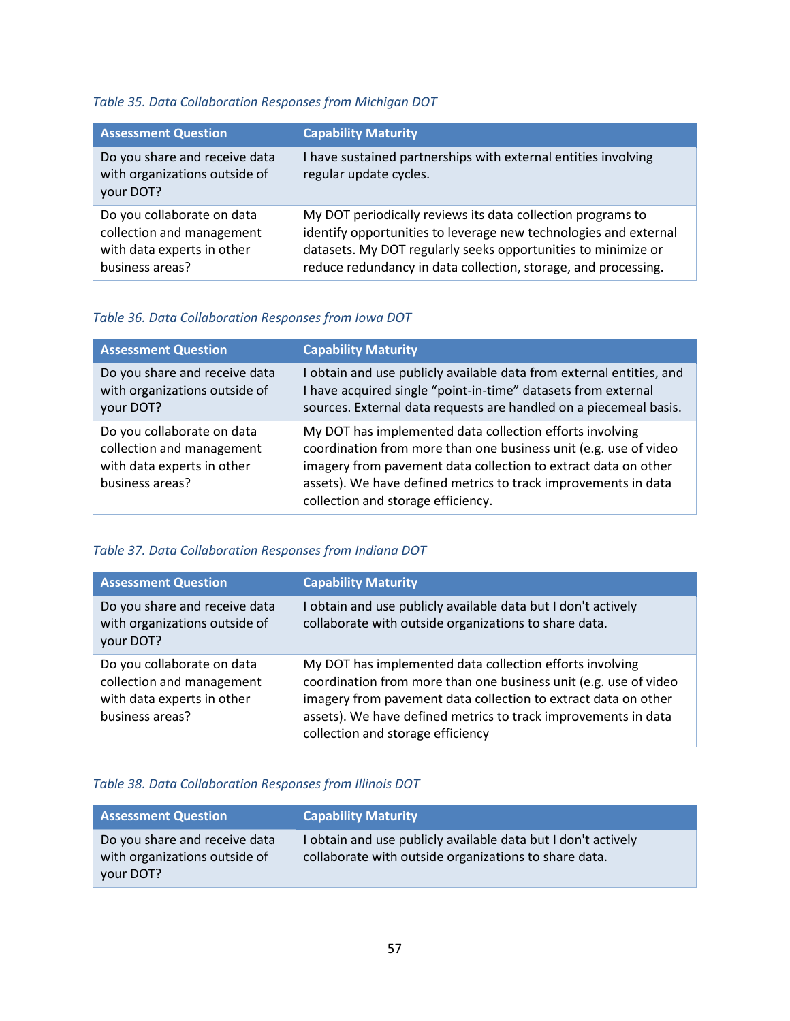# <span id="page-62-0"></span>*Table 35. Data Collaboration Responses from Michigan DOT*

| <b>Assessment Question</b>                                                                               | <b>Capability Maturity</b>                                                                                                                                                                                                                                         |
|----------------------------------------------------------------------------------------------------------|--------------------------------------------------------------------------------------------------------------------------------------------------------------------------------------------------------------------------------------------------------------------|
| Do you share and receive data<br>with organizations outside of<br>your DOT?                              | I have sustained partnerships with external entities involving<br>regular update cycles.                                                                                                                                                                           |
| Do you collaborate on data<br>collection and management<br>with data experts in other<br>business areas? | My DOT periodically reviews its data collection programs to<br>identify opportunities to leverage new technologies and external<br>datasets. My DOT regularly seeks opportunities to minimize or<br>reduce redundancy in data collection, storage, and processing. |

## <span id="page-62-1"></span>*Table 36. Data Collaboration Responses from Iowa DOT*

| <b>Assessment Question</b>                                                                               | <b>Capability Maturity</b>                                                                                                                                                                                                                                                                             |
|----------------------------------------------------------------------------------------------------------|--------------------------------------------------------------------------------------------------------------------------------------------------------------------------------------------------------------------------------------------------------------------------------------------------------|
| Do you share and receive data<br>with organizations outside of<br>your DOT?                              | I obtain and use publicly available data from external entities, and<br>I have acquired single "point-in-time" datasets from external<br>sources. External data requests are handled on a piecemeal basis.                                                                                             |
| Do you collaborate on data<br>collection and management<br>with data experts in other<br>business areas? | My DOT has implemented data collection efforts involving<br>coordination from more than one business unit (e.g. use of video<br>imagery from pavement data collection to extract data on other<br>assets). We have defined metrics to track improvements in data<br>collection and storage efficiency. |

## <span id="page-62-2"></span>*Table 37. Data Collaboration Responses from Indiana DOT*

| <b>Assessment Question</b>                                                                               | <b>Capability Maturity</b>                                                                                                                                                                                                                                                                            |
|----------------------------------------------------------------------------------------------------------|-------------------------------------------------------------------------------------------------------------------------------------------------------------------------------------------------------------------------------------------------------------------------------------------------------|
| Do you share and receive data<br>with organizations outside of<br>your DOT?                              | obtain and use publicly available data but I don't actively<br>collaborate with outside organizations to share data.                                                                                                                                                                                  |
| Do you collaborate on data<br>collection and management<br>with data experts in other<br>business areas? | My DOT has implemented data collection efforts involving<br>coordination from more than one business unit (e.g. use of video<br>imagery from pavement data collection to extract data on other<br>assets). We have defined metrics to track improvements in data<br>collection and storage efficiency |

## <span id="page-62-3"></span>*Table 38. Data Collaboration Responses from Illinois DOT*

| <b>Assessment Question</b>                                                  | <b>Capability Maturity</b>                                                                                             |
|-----------------------------------------------------------------------------|------------------------------------------------------------------------------------------------------------------------|
| Do you share and receive data<br>with organizations outside of<br>your DOT? | I obtain and use publicly available data but I don't actively<br>collaborate with outside organizations to share data. |